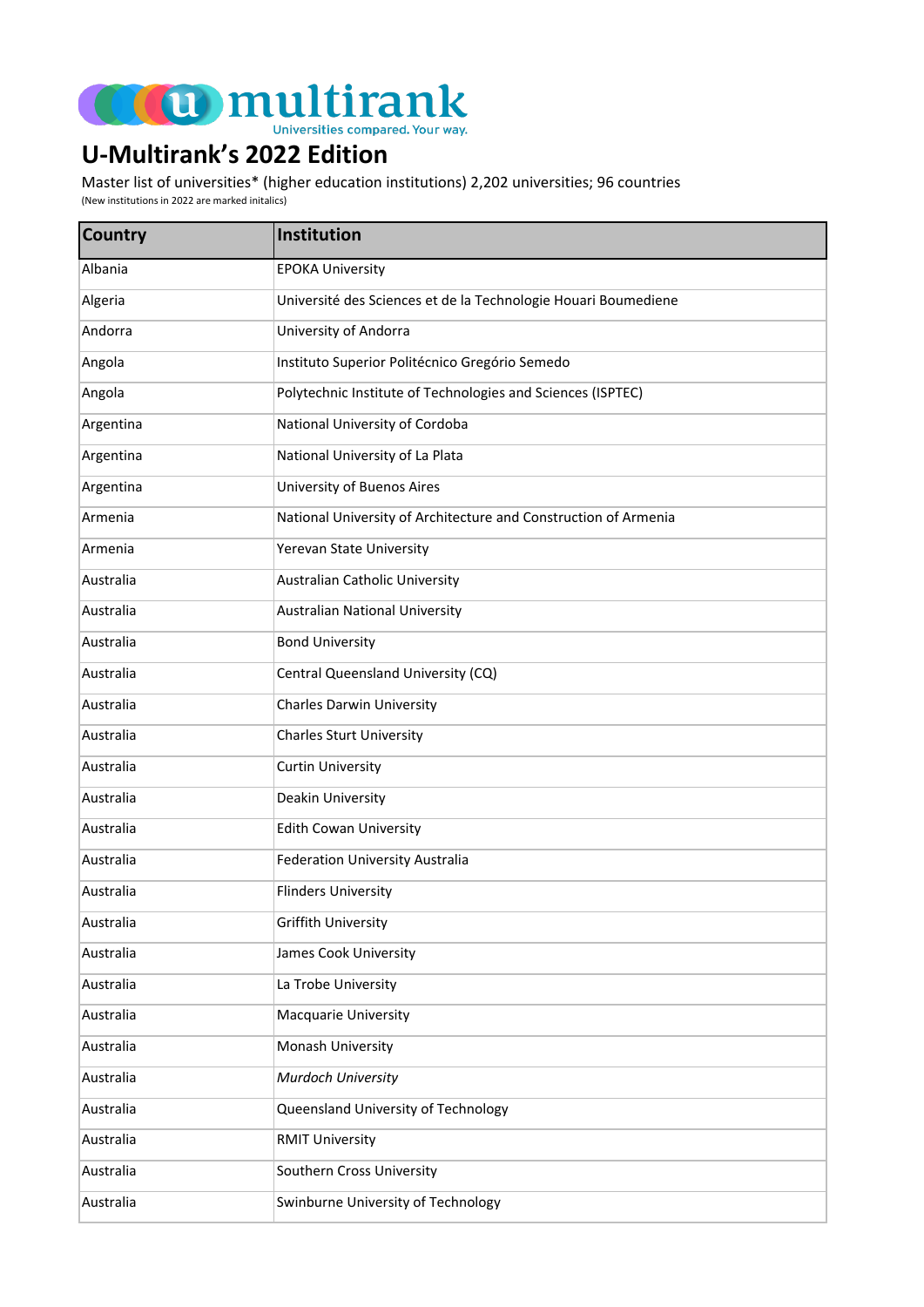

## **U-Multirank's 2022 Edition**

Master list of universities\* (higher education institutions) 2,202 universities; 96 countries

(New institutions in 2022 are marked initalics)

| <b>Country</b> | Institution                                                     |
|----------------|-----------------------------------------------------------------|
| Albania        | <b>EPOKA University</b>                                         |
| Algeria        | Université des Sciences et de la Technologie Houari Boumediene  |
| Andorra        | University of Andorra                                           |
| Angola         | Instituto Superior Politécnico Gregório Semedo                  |
| Angola         | Polytechnic Institute of Technologies and Sciences (ISPTEC)     |
| Argentina      | National University of Cordoba                                  |
| Argentina      | National University of La Plata                                 |
| Argentina      | <b>University of Buenos Aires</b>                               |
| Armenia        | National University of Architecture and Construction of Armenia |
| Armenia        | Yerevan State University                                        |
| Australia      | <b>Australian Catholic University</b>                           |
| Australia      | <b>Australian National University</b>                           |
| Australia      | <b>Bond University</b>                                          |
| Australia      | Central Queensland University (CQ)                              |
| Australia      | <b>Charles Darwin University</b>                                |
| Australia      | <b>Charles Sturt University</b>                                 |
| Australia      | <b>Curtin University</b>                                        |
| Australia      | Deakin University                                               |
| Australia      | <b>Edith Cowan University</b>                                   |
| Australia      | <b>Federation University Australia</b>                          |
| Australia      | <b>Flinders University</b>                                      |
| Australia      | Griffith University                                             |
| Australia      | James Cook University                                           |
| Australia      | La Trobe University                                             |
| Australia      | Macquarie University                                            |
| Australia      | Monash University                                               |
| Australia      | Murdoch University                                              |
| Australia      | Queensland University of Technology                             |
| Australia      | <b>RMIT University</b>                                          |
| Australia      | Southern Cross University                                       |
| Australia      | Swinburne University of Technology                              |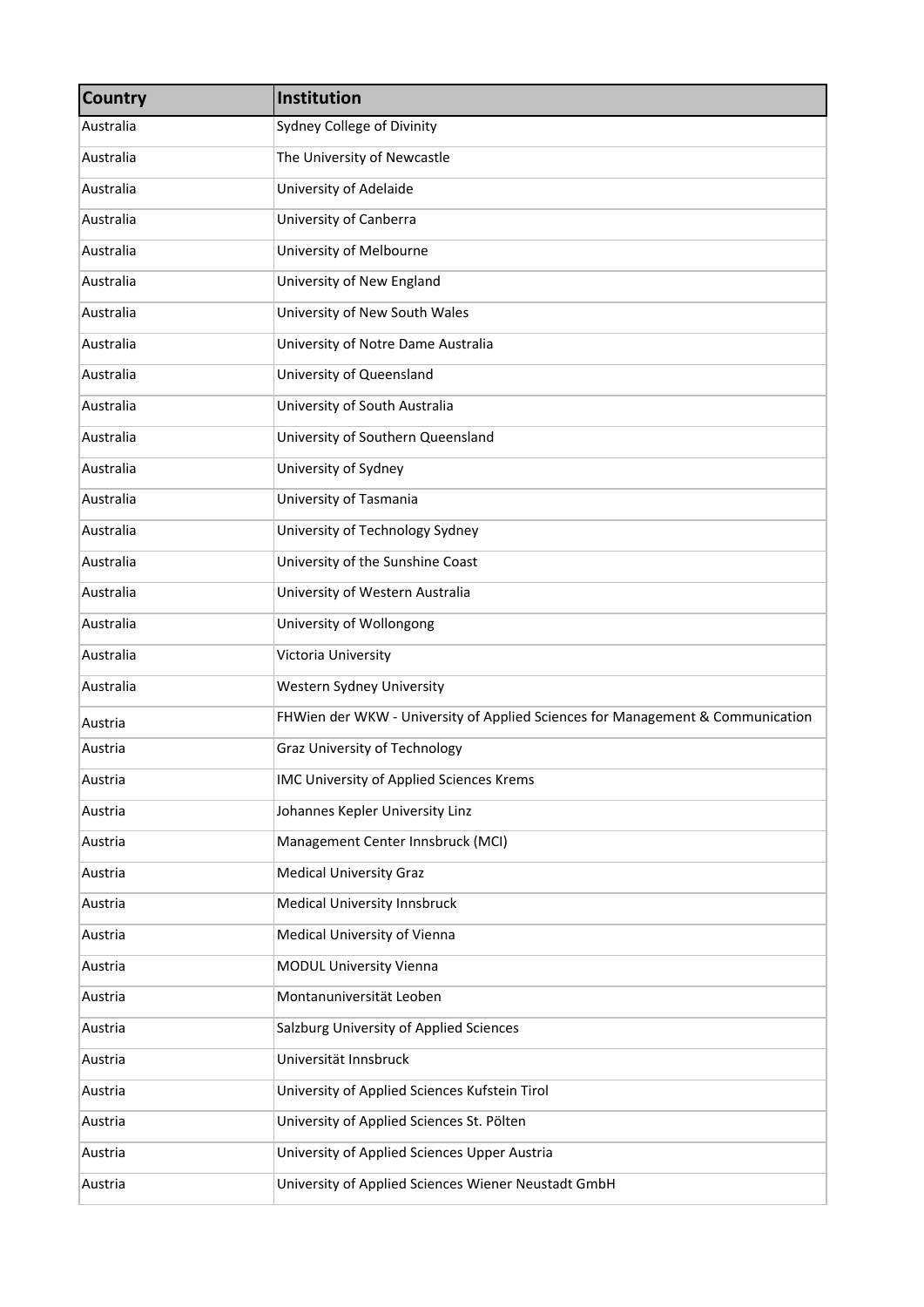| <b>Country</b> | Institution                                                                    |
|----------------|--------------------------------------------------------------------------------|
| Australia      | Sydney College of Divinity                                                     |
| Australia      | The University of Newcastle                                                    |
| Australia      | University of Adelaide                                                         |
| Australia      | University of Canberra                                                         |
| Australia      | University of Melbourne                                                        |
| Australia      | University of New England                                                      |
| Australia      | University of New South Wales                                                  |
| Australia      | University of Notre Dame Australia                                             |
| Australia      | University of Queensland                                                       |
| Australia      | University of South Australia                                                  |
| Australia      | University of Southern Queensland                                              |
| Australia      | University of Sydney                                                           |
| Australia      | University of Tasmania                                                         |
| Australia      | University of Technology Sydney                                                |
| Australia      | University of the Sunshine Coast                                               |
| Australia      | University of Western Australia                                                |
| Australia      | University of Wollongong                                                       |
| Australia      | Victoria University                                                            |
| Australia      | Western Sydney University                                                      |
| Austria        | FHWien der WKW - University of Applied Sciences for Management & Communication |
| Austria        | Graz University of Technology                                                  |
| Austria        | IMC University of Applied Sciences Krems                                       |
| Austria        | Johannes Kepler University Linz                                                |
| Austria        | Management Center Innsbruck (MCI)                                              |
| Austria        | <b>Medical University Graz</b>                                                 |
| Austria        | Medical University Innsbruck                                                   |
| Austria        | Medical University of Vienna                                                   |
| Austria        | MODUL University Vienna                                                        |
| Austria        | Montanuniversität Leoben                                                       |
| Austria        | Salzburg University of Applied Sciences                                        |
| Austria        | Universität Innsbruck                                                          |
| Austria        | University of Applied Sciences Kufstein Tirol                                  |
| Austria        | University of Applied Sciences St. Pölten                                      |
| Austria        | University of Applied Sciences Upper Austria                                   |
| Austria        | University of Applied Sciences Wiener Neustadt GmbH                            |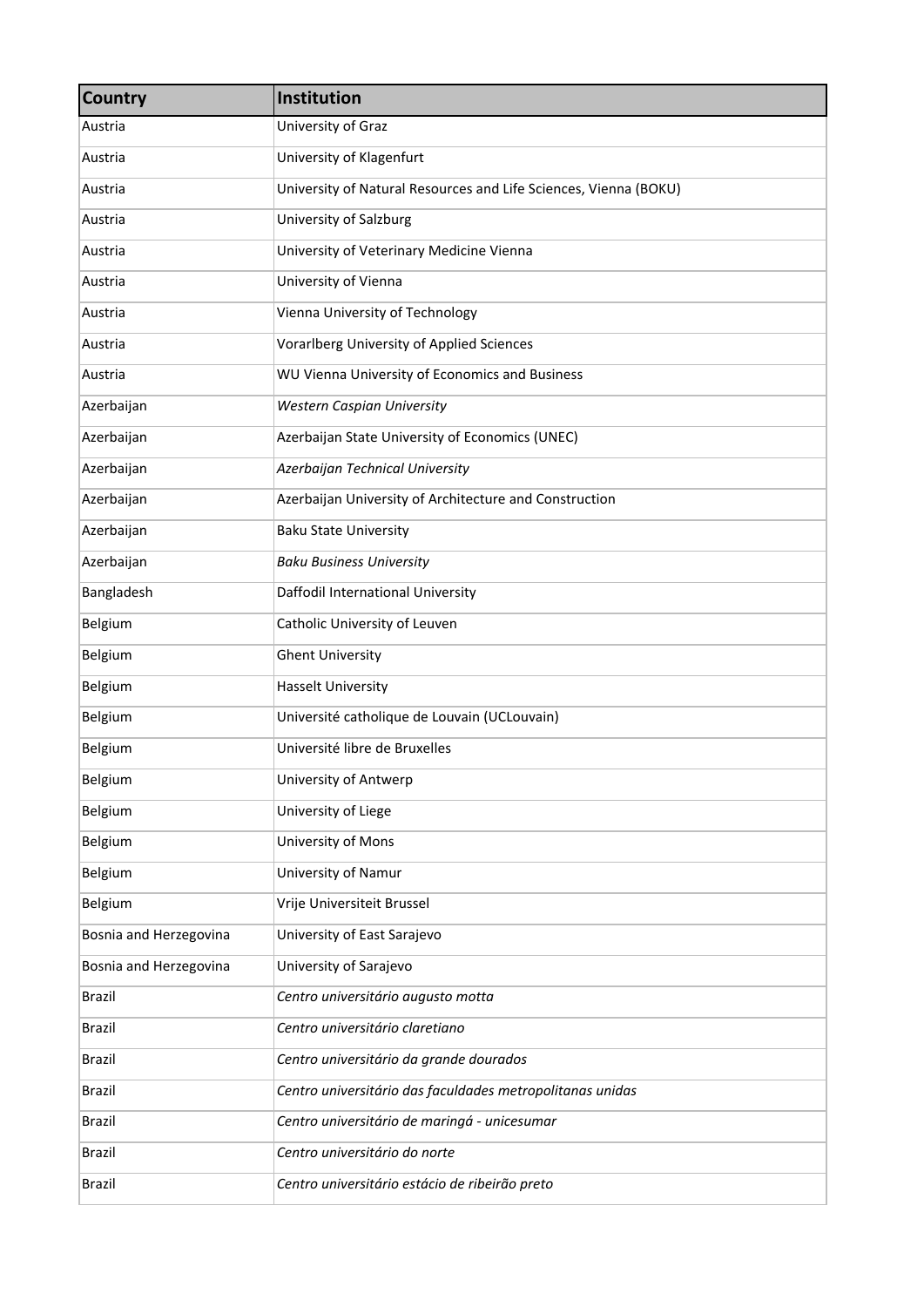| <b>Country</b>         | Institution                                                      |
|------------------------|------------------------------------------------------------------|
| Austria                | University of Graz                                               |
| Austria                | University of Klagenfurt                                         |
| Austria                | University of Natural Resources and Life Sciences, Vienna (BOKU) |
| Austria                | University of Salzburg                                           |
| Austria                | University of Veterinary Medicine Vienna                         |
| Austria                | University of Vienna                                             |
| Austria                | Vienna University of Technology                                  |
| Austria                | Vorarlberg University of Applied Sciences                        |
| Austria                | WU Vienna University of Economics and Business                   |
| Azerbaijan             | Western Caspian University                                       |
| Azerbaijan             | Azerbaijan State University of Economics (UNEC)                  |
| Azerbaijan             | Azerbaijan Technical University                                  |
| Azerbaijan             | Azerbaijan University of Architecture and Construction           |
| Azerbaijan             | <b>Baku State University</b>                                     |
| Azerbaijan             | <b>Baku Business University</b>                                  |
| Bangladesh             | Daffodil International University                                |
| Belgium                | Catholic University of Leuven                                    |
| Belgium                | <b>Ghent University</b>                                          |
| Belgium                | <b>Hasselt University</b>                                        |
| Belgium                | Université catholique de Louvain (UCLouvain)                     |
| Belgium                | Université libre de Bruxelles                                    |
| Belgium                | University of Antwerp                                            |
| Belgium                | University of Liege                                              |
| Belgium                | University of Mons                                               |
| Belgium                | University of Namur                                              |
| Belgium                | Vrije Universiteit Brussel                                       |
| Bosnia and Herzegovina | University of East Sarajevo                                      |
| Bosnia and Herzegovina | University of Sarajevo                                           |
| Brazil                 | Centro universitário augusto motta                               |
| Brazil                 | Centro universitário claretiano                                  |
| Brazil                 | Centro universitário da grande dourados                          |
| Brazil                 | Centro universitário das faculdades metropolitanas unidas        |
| <b>Brazil</b>          | Centro universitário de maringá - unicesumar                     |
| Brazil                 | Centro universitário do norte                                    |
| Brazil                 | Centro universitário estácio de ribeirão preto                   |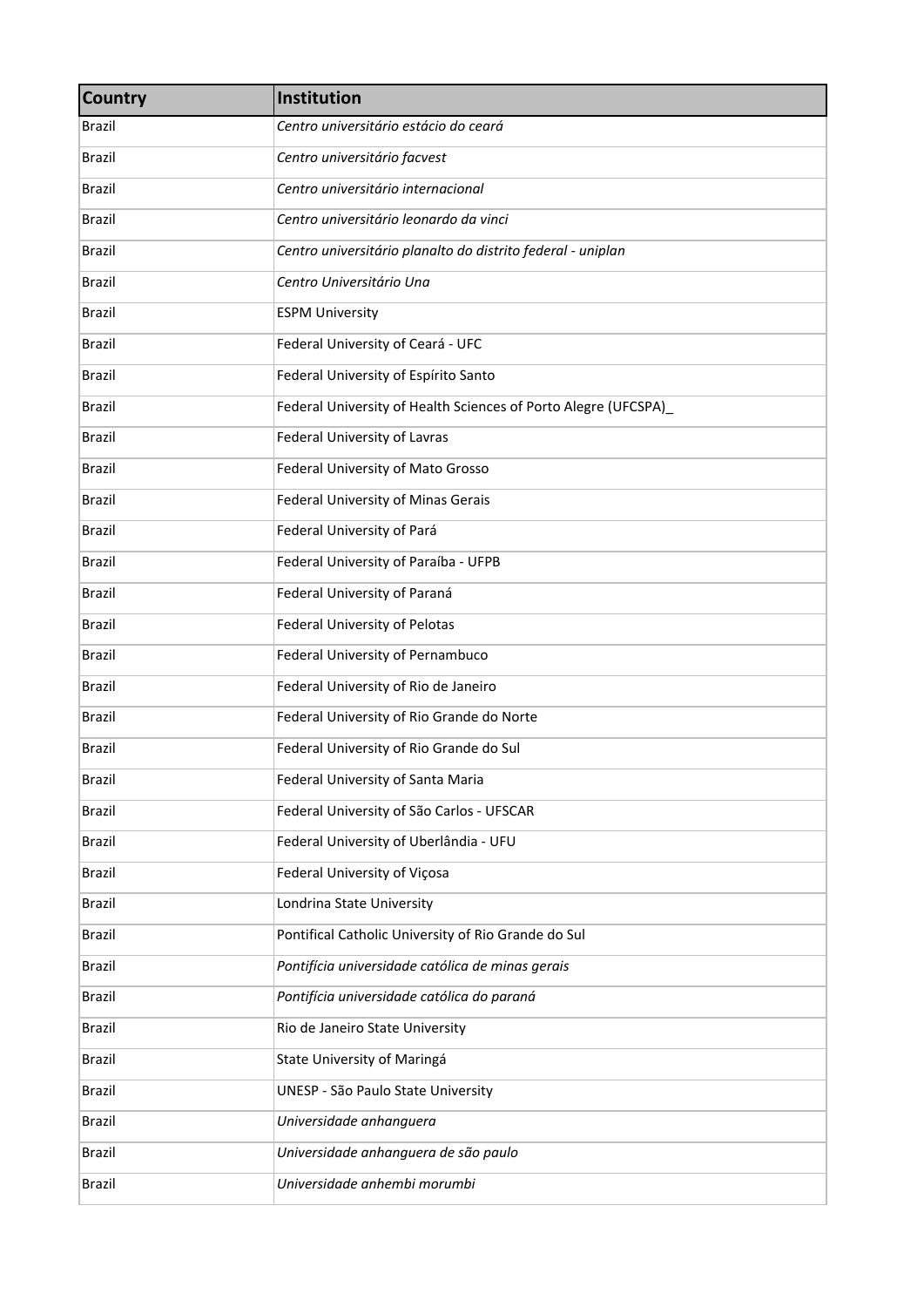| <b>Country</b> | Institution                                                    |
|----------------|----------------------------------------------------------------|
| Brazil         | Centro universitário estácio do ceará                          |
| Brazil         | Centro universitário facvest                                   |
| <b>Brazil</b>  | Centro universitário internacional                             |
| Brazil         | Centro universitário leonardo da vinci                         |
| <b>Brazil</b>  | Centro universitário planalto do distrito federal - uniplan    |
| Brazil         | Centro Universitário Una                                       |
| <b>Brazil</b>  | <b>ESPM University</b>                                         |
| <b>Brazil</b>  | Federal University of Ceará - UFC                              |
| <b>Brazil</b>  | Federal University of Espírito Santo                           |
| <b>Brazil</b>  | Federal University of Health Sciences of Porto Alegre (UFCSPA) |
| <b>Brazil</b>  | Federal University of Lavras                                   |
| <b>Brazil</b>  | Federal University of Mato Grosso                              |
| <b>Brazil</b>  | Federal University of Minas Gerais                             |
| <b>Brazil</b>  | Federal University of Pará                                     |
| <b>Brazil</b>  | Federal University of Paraíba - UFPB                           |
| <b>Brazil</b>  | Federal University of Paraná                                   |
| <b>Brazil</b>  | Federal University of Pelotas                                  |
| <b>Brazil</b>  | Federal University of Pernambuco                               |
| <b>Brazil</b>  | Federal University of Rio de Janeiro                           |
| <b>Brazil</b>  | Federal University of Rio Grande do Norte                      |
| <b>Brazil</b>  | Federal University of Rio Grande do Sul                        |
| <b>Brazil</b>  | Federal University of Santa Maria                              |
| Brazil         | Federal University of São Carlos - UFSCAR                      |
| <b>Brazil</b>  | Federal University of Uberlândia - UFU                         |
| Brazil         | Federal University of Viçosa                                   |
| Brazil         | Londrina State University                                      |
| <b>Brazil</b>  | Pontifical Catholic University of Rio Grande do Sul            |
| <b>Brazil</b>  | Pontifícia universidade católica de minas gerais               |
| Brazil         | Pontifícia universidade católica do paraná                     |
| <b>Brazil</b>  | Rio de Janeiro State University                                |
| <b>Brazil</b>  | State University of Maringá                                    |
| Brazil         | UNESP - São Paulo State University                             |
| Brazil         | Universidade anhanguera                                        |
| <b>Brazil</b>  | Universidade anhanguera de são paulo                           |
| Brazil         | Universidade anhembi morumbi                                   |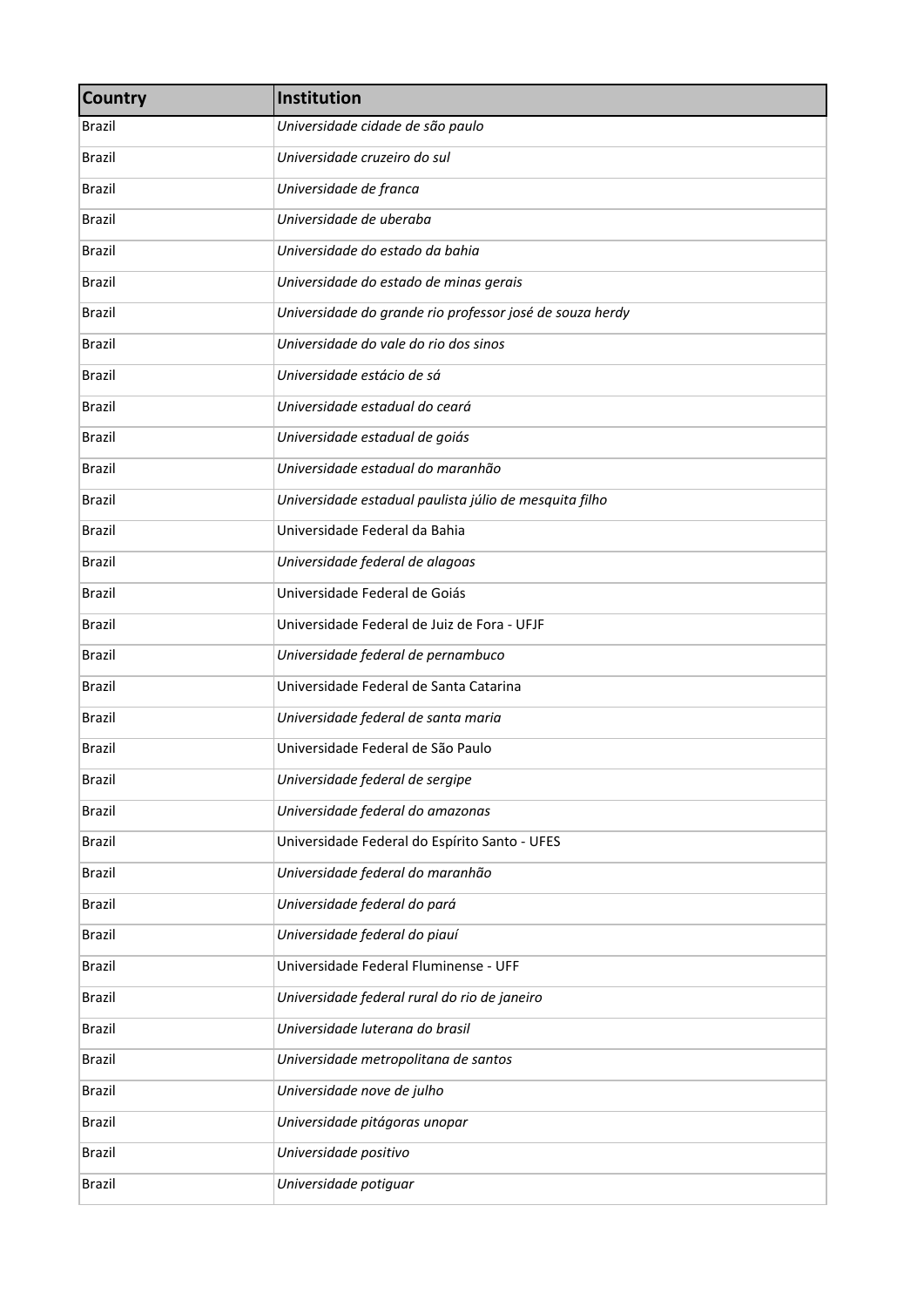| <b>Country</b> | Institution                                              |
|----------------|----------------------------------------------------------|
| Brazil         | Universidade cidade de são paulo                         |
| <b>Brazil</b>  | Universidade cruzeiro do sul                             |
| <b>Brazil</b>  | Universidade de franca                                   |
| <b>Brazil</b>  | Universidade de uberaba                                  |
| <b>Brazil</b>  | Universidade do estado da bahia                          |
| <b>Brazil</b>  | Universidade do estado de minas gerais                   |
| <b>Brazil</b>  | Universidade do grande rio professor josé de souza herdy |
| <b>Brazil</b>  | Universidade do vale do rio dos sinos                    |
| <b>Brazil</b>  | Universidade estácio de sá                               |
| <b>Brazil</b>  | Universidade estadual do ceará                           |
| <b>Brazil</b>  | Universidade estadual de goiás                           |
| <b>Brazil</b>  | Universidade estadual do maranhão                        |
| <b>Brazil</b>  | Universidade estadual paulista júlio de mesquita filho   |
| <b>Brazil</b>  | Universidade Federal da Bahia                            |
| <b>Brazil</b>  | Universidade federal de alagoas                          |
| <b>Brazil</b>  | Universidade Federal de Goiás                            |
| <b>Brazil</b>  | Universidade Federal de Juiz de Fora - UFJF              |
| <b>Brazil</b>  | Universidade federal de pernambuco                       |
| <b>Brazil</b>  | Universidade Federal de Santa Catarina                   |
| <b>Brazil</b>  | Universidade federal de santa maria                      |
| <b>Brazil</b>  | Universidade Federal de São Paulo                        |
| <b>Brazil</b>  | Universidade federal de sergipe                          |
| <b>Brazil</b>  | Universidade federal do amazonas                         |
| Brazil         | Universidade Federal do Espírito Santo - UFES            |
| <b>Brazil</b>  | Universidade federal do maranhão                         |
| <b>Brazil</b>  | Universidade federal do pará                             |
| <b>Brazil</b>  | Universidade federal do piauí                            |
| <b>Brazil</b>  | Universidade Federal Fluminense - UFF                    |
| <b>Brazil</b>  | Universidade federal rural do rio de janeiro             |
| <b>Brazil</b>  | Universidade luterana do brasil                          |
| <b>Brazil</b>  | Universidade metropolitana de santos                     |
| <b>Brazil</b>  | Universidade nove de julho                               |
| <b>Brazil</b>  | Universidade pitágoras unopar                            |
| Brazil         | Universidade positivo                                    |
| <b>Brazil</b>  | Universidade potiguar                                    |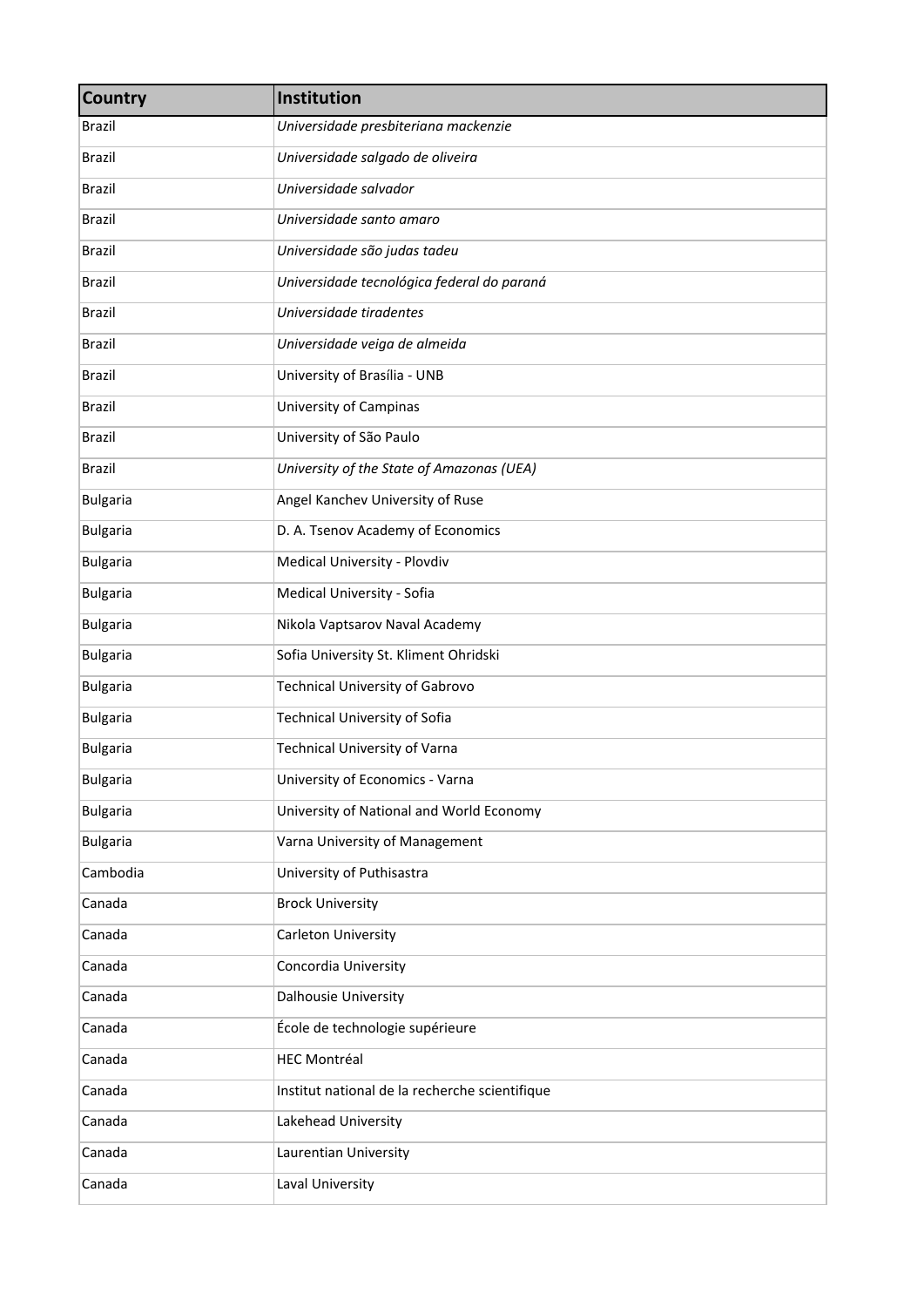| <b>Country</b>  | Institution                                    |
|-----------------|------------------------------------------------|
| <b>Brazil</b>   | Universidade presbiteriana mackenzie           |
| <b>Brazil</b>   | Universidade salgado de oliveira               |
| <b>Brazil</b>   | Universidade salvador                          |
| <b>Brazil</b>   | Universidade santo amaro                       |
| <b>Brazil</b>   | Universidade são judas tadeu                   |
| <b>Brazil</b>   | Universidade tecnológica federal do paraná     |
| <b>Brazil</b>   | Universidade tiradentes                        |
| <b>Brazil</b>   | Universidade veiga de almeida                  |
| <b>Brazil</b>   | University of Brasília - UNB                   |
| <b>Brazil</b>   | University of Campinas                         |
| <b>Brazil</b>   | University of São Paulo                        |
| <b>Brazil</b>   | University of the State of Amazonas (UEA)      |
| <b>Bulgaria</b> | Angel Kanchev University of Ruse               |
| <b>Bulgaria</b> | D. A. Tsenov Academy of Economics              |
| <b>Bulgaria</b> | Medical University - Plovdiv                   |
| <b>Bulgaria</b> | Medical University - Sofia                     |
| <b>Bulgaria</b> | Nikola Vaptsarov Naval Academy                 |
| <b>Bulgaria</b> | Sofia University St. Kliment Ohridski          |
| <b>Bulgaria</b> | <b>Technical University of Gabrovo</b>         |
| <b>Bulgaria</b> | Technical University of Sofia                  |
| <b>Bulgaria</b> | <b>Technical University of Varna</b>           |
| <b>Bulgaria</b> | University of Economics - Varna                |
| <b>Bulgaria</b> | University of National and World Economy       |
| <b>Bulgaria</b> | Varna University of Management                 |
| Cambodia        | University of Puthisastra                      |
| Canada          | <b>Brock University</b>                        |
| Canada          | Carleton University                            |
| Canada          | Concordia University                           |
| Canada          | Dalhousie University                           |
| Canada          | École de technologie supérieure                |
| Canada          | <b>HEC Montréal</b>                            |
| Canada          | Institut national de la recherche scientifique |
| Canada          | Lakehead University                            |
| Canada          | Laurentian University                          |
| Canada          | Laval University                               |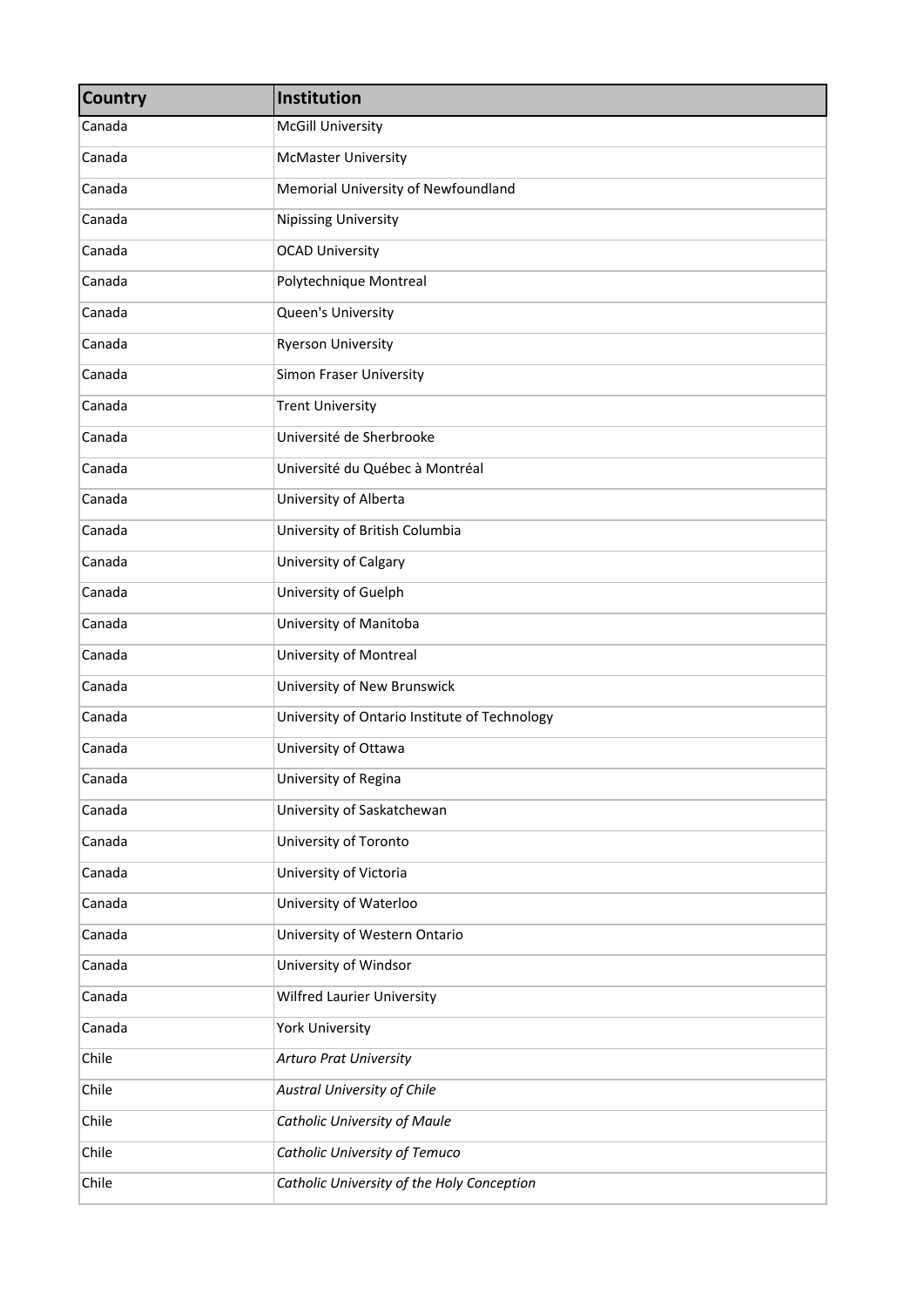| <b>Country</b> | Institution                                   |
|----------------|-----------------------------------------------|
| Canada         | <b>McGill University</b>                      |
| Canada         | <b>McMaster University</b>                    |
| Canada         | Memorial University of Newfoundland           |
| Canada         | <b>Nipissing University</b>                   |
| Canada         | <b>OCAD University</b>                        |
| Canada         | Polytechnique Montreal                        |
| Canada         | Queen's University                            |
| Canada         | <b>Ryerson University</b>                     |
| Canada         | <b>Simon Fraser University</b>                |
| Canada         | <b>Trent University</b>                       |
| Canada         | Université de Sherbrooke                      |
| Canada         | Université du Québec à Montréal               |
| Canada         | University of Alberta                         |
| Canada         | University of British Columbia                |
| Canada         | University of Calgary                         |
| Canada         | University of Guelph                          |
| Canada         | University of Manitoba                        |
| Canada         | University of Montreal                        |
| Canada         | University of New Brunswick                   |
| Canada         | University of Ontario Institute of Technology |
| Canada         | University of Ottawa                          |
| Canada         | University of Regina                          |
| Canada         | University of Saskatchewan                    |
| Canada         | University of Toronto                         |
| Canada         | University of Victoria                        |
| Canada         | University of Waterloo                        |
| Canada         | University of Western Ontario                 |
| Canada         | University of Windsor                         |
| Canada         | Wilfred Laurier University                    |
| Canada         | <b>York University</b>                        |
| Chile          | <b>Arturo Prat University</b>                 |
| Chile          | Austral University of Chile                   |
| Chile          | <b>Catholic University of Maule</b>           |
| Chile          | Catholic University of Temuco                 |
| Chile          | Catholic University of the Holy Conception    |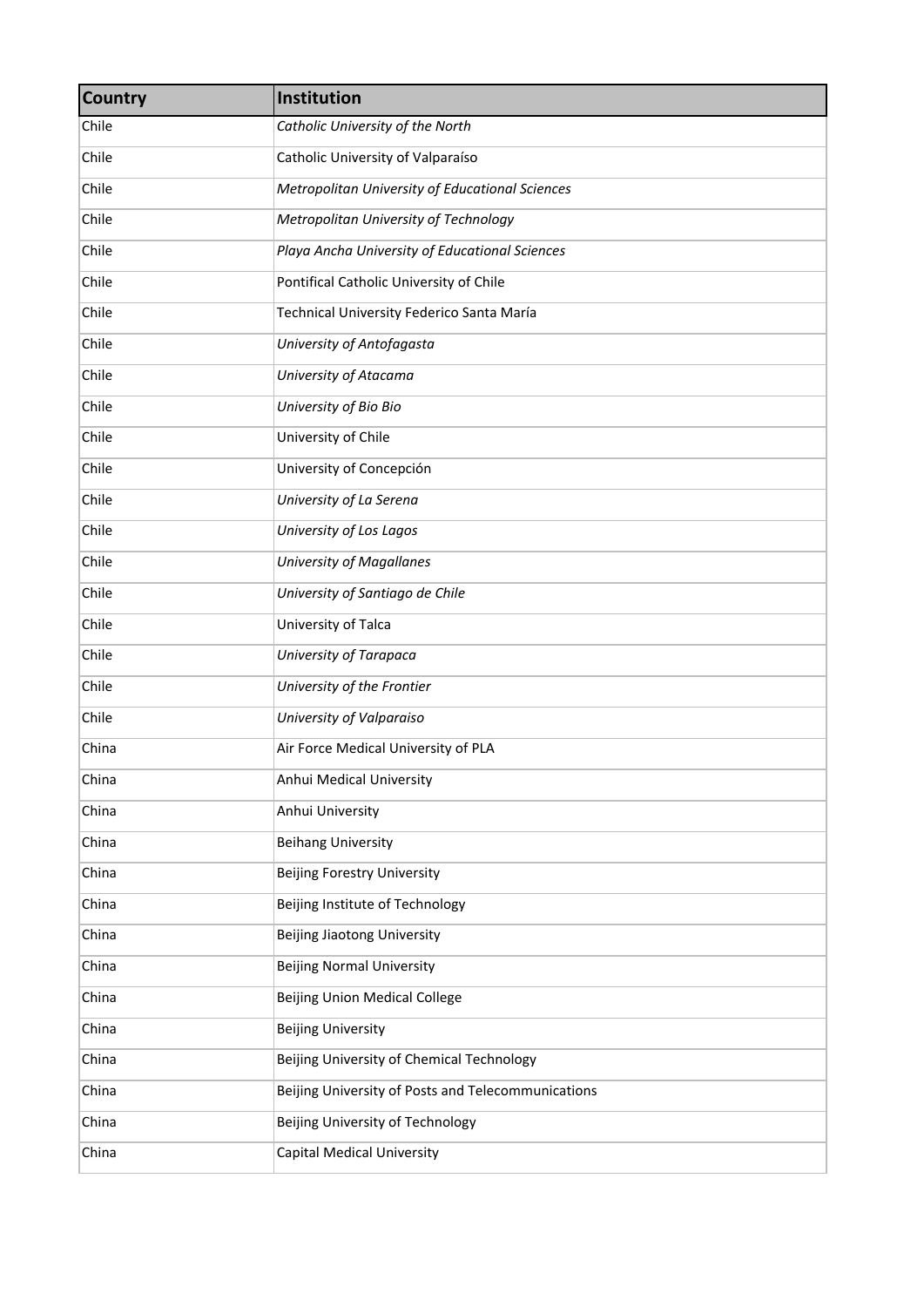| <b>Country</b> | Institution                                        |
|----------------|----------------------------------------------------|
| Chile          | Catholic University of the North                   |
| Chile          | Catholic University of Valparaíso                  |
| Chile          | Metropolitan University of Educational Sciences    |
| Chile          | Metropolitan University of Technology              |
| Chile          | Playa Ancha University of Educational Sciences     |
| Chile          | Pontifical Catholic University of Chile            |
| Chile          | Technical University Federico Santa María          |
| Chile          | University of Antofagasta                          |
| Chile          | University of Atacama                              |
| Chile          | University of Bio Bio                              |
| Chile          | University of Chile                                |
| Chile          | University of Concepción                           |
| Chile          | University of La Serena                            |
| Chile          | University of Los Lagos                            |
| Chile          | <b>University of Magallanes</b>                    |
| Chile          | University of Santiago de Chile                    |
| Chile          | University of Talca                                |
| Chile          | University of Tarapaca                             |
| Chile          | University of the Frontier                         |
| Chile          | University of Valparaiso                           |
| China          | Air Force Medical University of PLA                |
| China          | Anhui Medical University                           |
| China          | Anhui University                                   |
| China          | <b>Beihang University</b>                          |
| China          | <b>Beijing Forestry University</b>                 |
| China          | Beijing Institute of Technology                    |
| China          | <b>Beijing Jiaotong University</b>                 |
| China          | <b>Beijing Normal University</b>                   |
| China          | <b>Beijing Union Medical College</b>               |
| China          | <b>Beijing University</b>                          |
| China          | Beijing University of Chemical Technology          |
| China          | Beijing University of Posts and Telecommunications |
| China          | Beijing University of Technology                   |
| China          | <b>Capital Medical University</b>                  |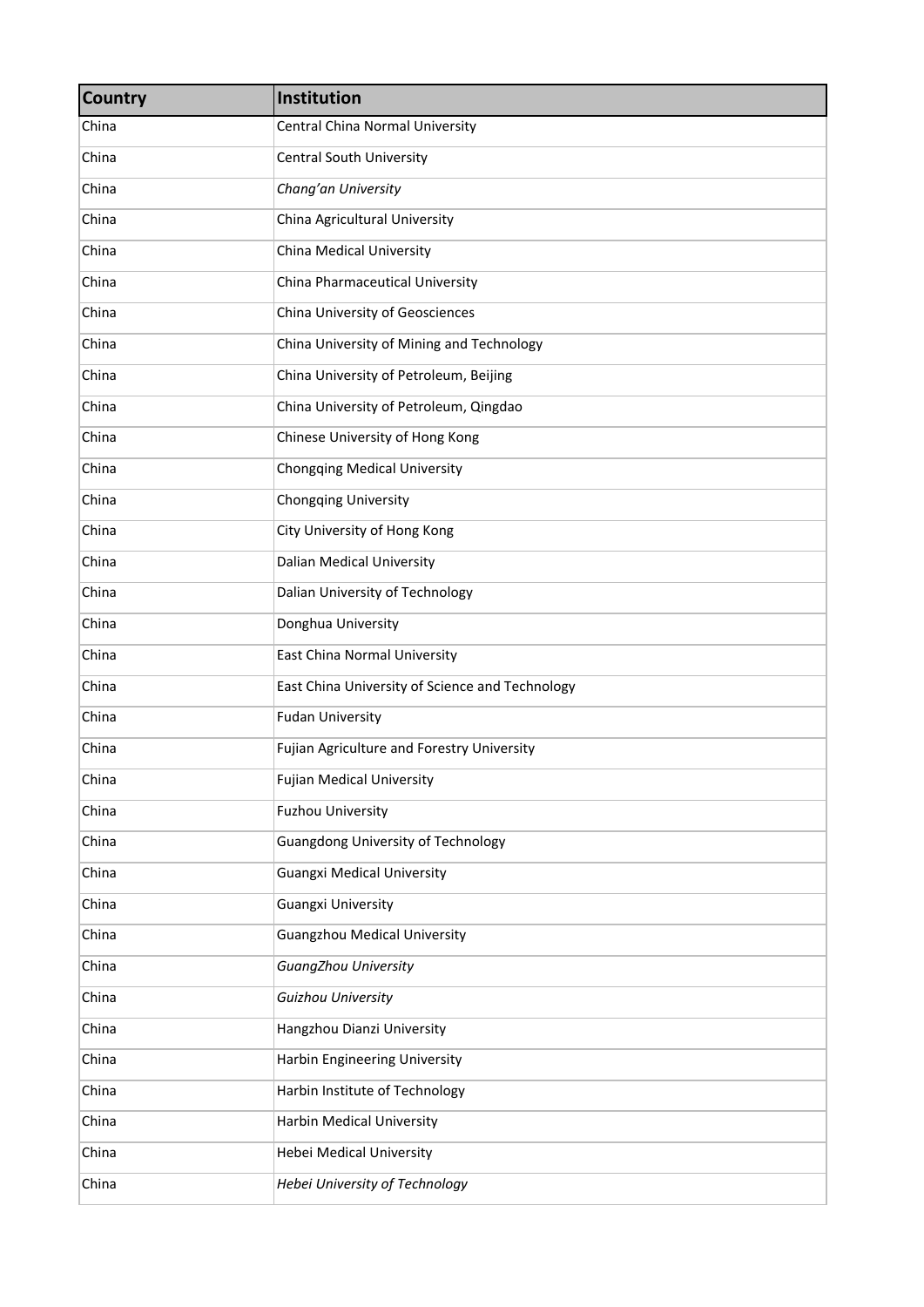| <b>Country</b> | Institution                                     |
|----------------|-------------------------------------------------|
| China          | Central China Normal University                 |
| China          | <b>Central South University</b>                 |
| China          | Chang'an University                             |
| China          | China Agricultural University                   |
| China          | <b>China Medical University</b>                 |
| China          | China Pharmaceutical University                 |
| China          | China University of Geosciences                 |
| China          | China University of Mining and Technology       |
| China          | China University of Petroleum, Beijing          |
| China          | China University of Petroleum, Qingdao          |
| China          | Chinese University of Hong Kong                 |
| China          | <b>Chongqing Medical University</b>             |
| China          | <b>Chongqing University</b>                     |
| China          | City University of Hong Kong                    |
| China          | <b>Dalian Medical University</b>                |
| China          | Dalian University of Technology                 |
| China          | Donghua University                              |
| China          | East China Normal University                    |
| China          | East China University of Science and Technology |
| China          | <b>Fudan University</b>                         |
| China          | Fujian Agriculture and Forestry University      |
| China          | <b>Fujian Medical University</b>                |
| China          | <b>Fuzhou University</b>                        |
| China          | <b>Guangdong University of Technology</b>       |
| China          | <b>Guangxi Medical University</b>               |
| China          | <b>Guangxi University</b>                       |
| China          | <b>Guangzhou Medical University</b>             |
| China          | <b>GuangZhou University</b>                     |
| China          | Guizhou University                              |
| China          | Hangzhou Dianzi University                      |
| China          | <b>Harbin Engineering University</b>            |
| China          | Harbin Institute of Technology                  |
| China          | Harbin Medical University                       |
| China          | <b>Hebei Medical University</b>                 |
| China          | Hebei University of Technology                  |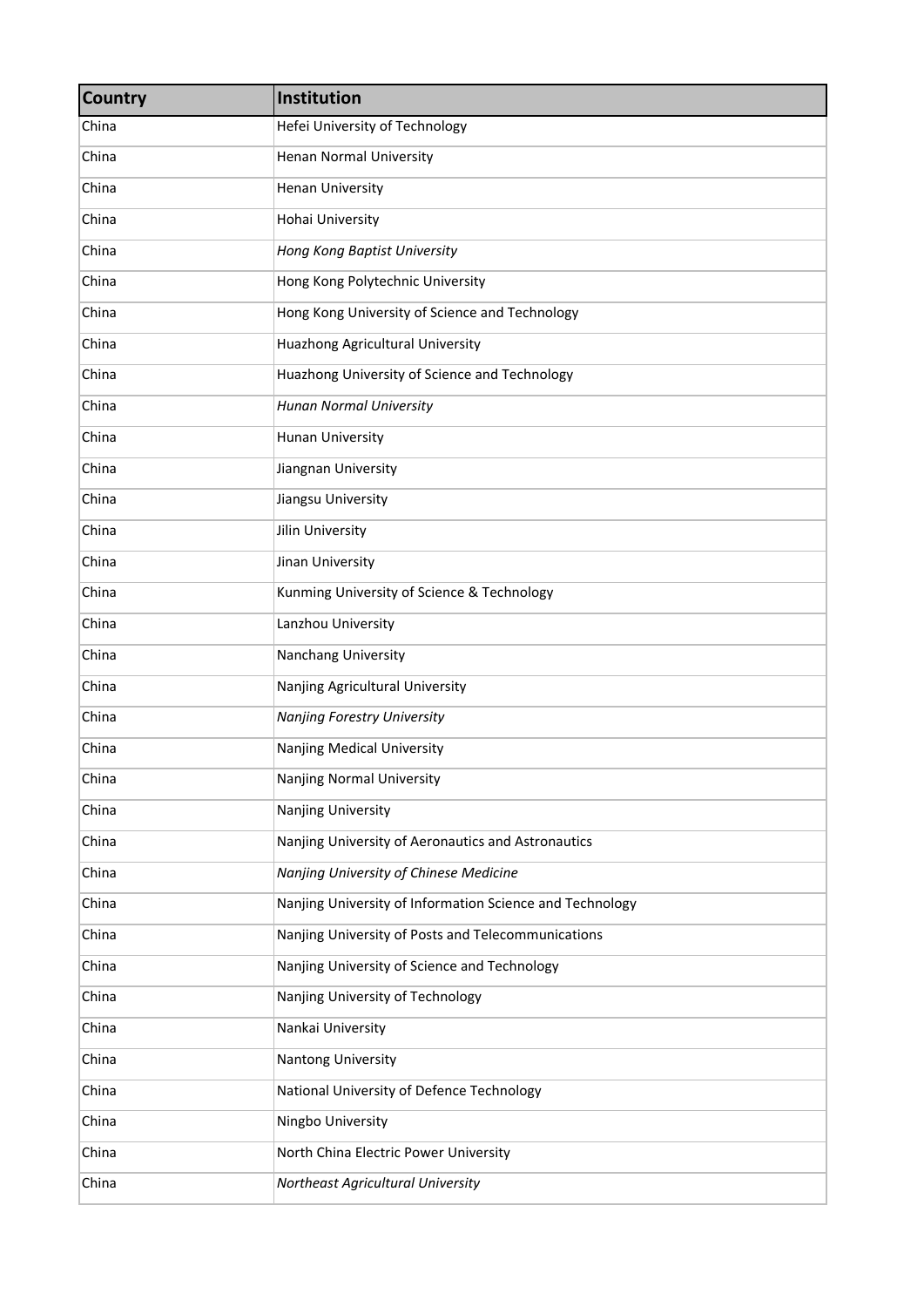| <b>Country</b> | Institution                                              |
|----------------|----------------------------------------------------------|
| China          | Hefei University of Technology                           |
| China          | Henan Normal University                                  |
| China          | <b>Henan University</b>                                  |
| China          | Hohai University                                         |
| China          | Hong Kong Baptist University                             |
| China          | Hong Kong Polytechnic University                         |
| China          | Hong Kong University of Science and Technology           |
| China          | Huazhong Agricultural University                         |
| China          | Huazhong University of Science and Technology            |
| China          | Hunan Normal University                                  |
| China          | Hunan University                                         |
| China          | Jiangnan University                                      |
| China          | Jiangsu University                                       |
| China          | Jilin University                                         |
| China          | Jinan University                                         |
| China          | Kunming University of Science & Technology               |
| China          | Lanzhou University                                       |
| China          | Nanchang University                                      |
| China          | Nanjing Agricultural University                          |
| China          | Nanjing Forestry University                              |
| China          | Nanjing Medical University                               |
| China          | Nanjing Normal University                                |
| China          | Nanjing University                                       |
| China          | Nanjing University of Aeronautics and Astronautics       |
| China          | Nanjing University of Chinese Medicine                   |
| China          | Nanjing University of Information Science and Technology |
| China          | Nanjing University of Posts and Telecommunications       |
| China          | Nanjing University of Science and Technology             |
| China          | Nanjing University of Technology                         |
| China          | Nankai University                                        |
| China          | Nantong University                                       |
| China          | National University of Defence Technology                |
| China          | Ningbo University                                        |
| China          | North China Electric Power University                    |
| China          | Northeast Agricultural University                        |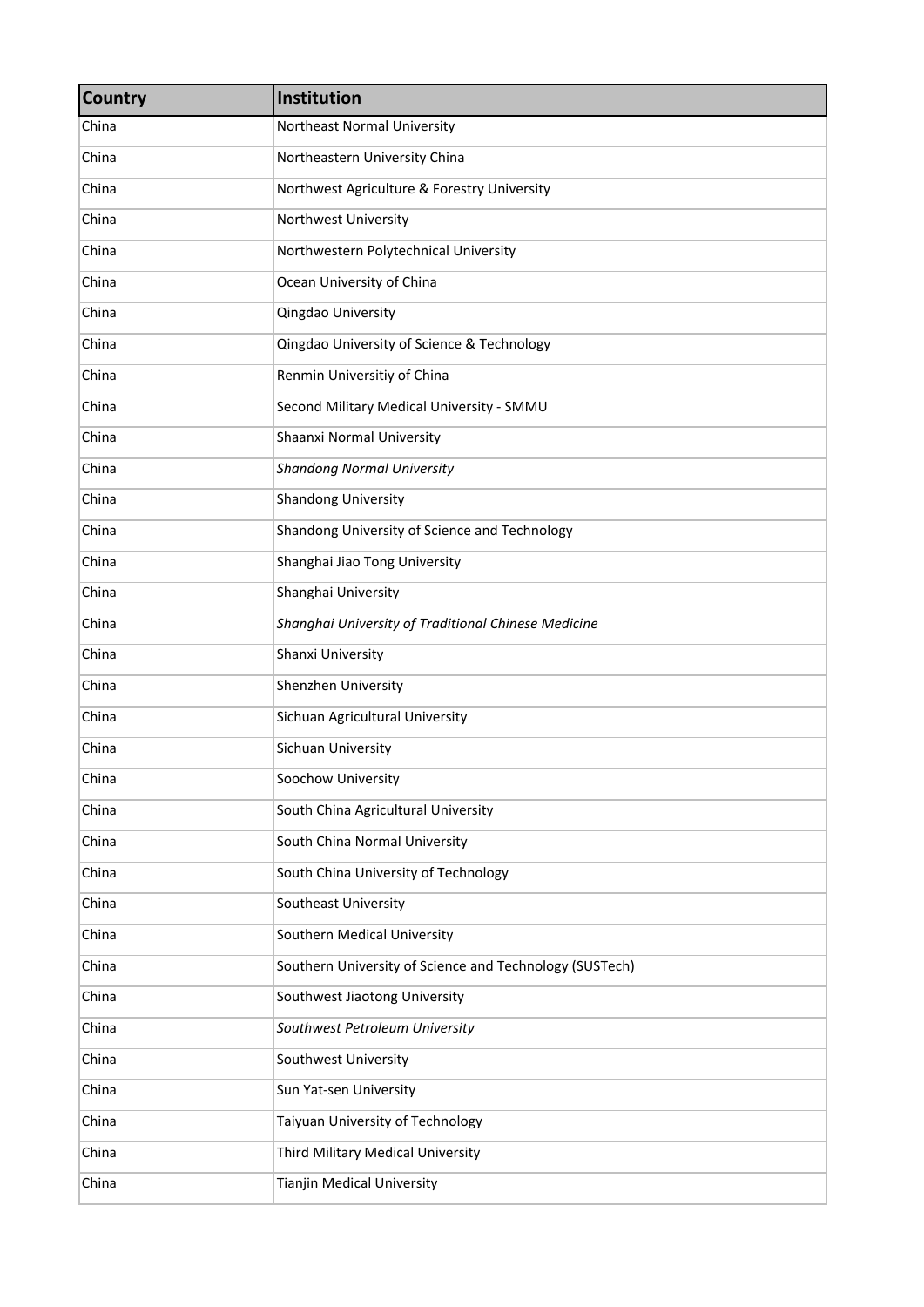| <b>Country</b> | Institution                                             |
|----------------|---------------------------------------------------------|
| China          | Northeast Normal University                             |
| China          | Northeastern University China                           |
| China          | Northwest Agriculture & Forestry University             |
| China          | Northwest University                                    |
| China          | Northwestern Polytechnical University                   |
| China          | Ocean University of China                               |
| China          | Qingdao University                                      |
| China          | Qingdao University of Science & Technology              |
| China          | Renmin Universitiy of China                             |
| China          | Second Military Medical University - SMMU               |
| China          | Shaanxi Normal University                               |
| China          | <b>Shandong Normal University</b>                       |
| China          | <b>Shandong University</b>                              |
| China          | Shandong University of Science and Technology           |
| China          | Shanghai Jiao Tong University                           |
| China          | Shanghai University                                     |
| China          | Shanghai University of Traditional Chinese Medicine     |
| China          | Shanxi University                                       |
| China          | Shenzhen University                                     |
| China          | Sichuan Agricultural University                         |
| China          | Sichuan University                                      |
| China          | Soochow University                                      |
| China          | South China Agricultural University                     |
| China          | South China Normal University                           |
| China          | South China University of Technology                    |
| China          | Southeast University                                    |
| China          | Southern Medical University                             |
| China          | Southern University of Science and Technology (SUSTech) |
| China          | Southwest Jiaotong University                           |
| China          | Southwest Petroleum University                          |
| China          | Southwest University                                    |
| China          | Sun Yat-sen University                                  |
| China          | Taiyuan University of Technology                        |
| China          | Third Military Medical University                       |
| China          | Tianjin Medical University                              |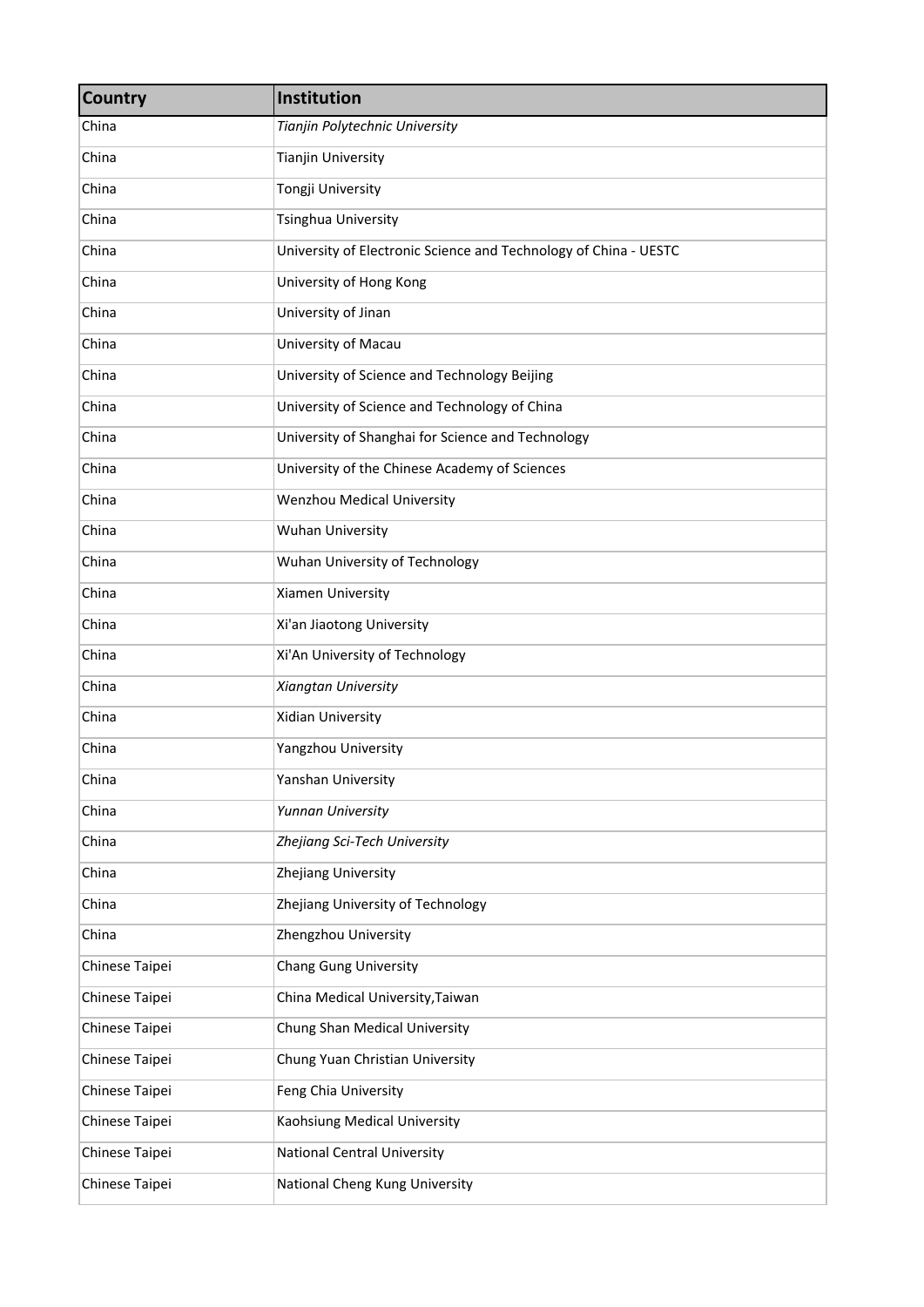| <b>Country</b> | Institution                                                      |
|----------------|------------------------------------------------------------------|
| China          | Tianjin Polytechnic University                                   |
| China          | <b>Tianjin University</b>                                        |
| China          | Tongji University                                                |
| China          | <b>Tsinghua University</b>                                       |
| China          | University of Electronic Science and Technology of China - UESTC |
| China          | University of Hong Kong                                          |
| China          | University of Jinan                                              |
| China          | University of Macau                                              |
| China          | University of Science and Technology Beijing                     |
| China          | University of Science and Technology of China                    |
| China          | University of Shanghai for Science and Technology                |
| China          | University of the Chinese Academy of Sciences                    |
| China          | <b>Wenzhou Medical University</b>                                |
| China          | Wuhan University                                                 |
| China          | Wuhan University of Technology                                   |
| China          | Xiamen University                                                |
| China          | Xi'an Jiaotong University                                        |
| China          | Xi'An University of Technology                                   |
| China          | Xiangtan University                                              |
| China          | <b>Xidian University</b>                                         |
| China          | Yangzhou University                                              |
| China          | Yanshan University                                               |
| China          | Yunnan University                                                |
| China          | Zhejiang Sci-Tech University                                     |
| China          | Zhejiang University                                              |
| China          | Zhejiang University of Technology                                |
| China          | Zhengzhou University                                             |
| Chinese Taipei | <b>Chang Gung University</b>                                     |
| Chinese Taipei | China Medical University, Taiwan                                 |
| Chinese Taipei | Chung Shan Medical University                                    |
| Chinese Taipei | Chung Yuan Christian University                                  |
| Chinese Taipei | Feng Chia University                                             |
| Chinese Taipei | Kaohsiung Medical University                                     |
| Chinese Taipei | <b>National Central University</b>                               |
| Chinese Taipei | National Cheng Kung University                                   |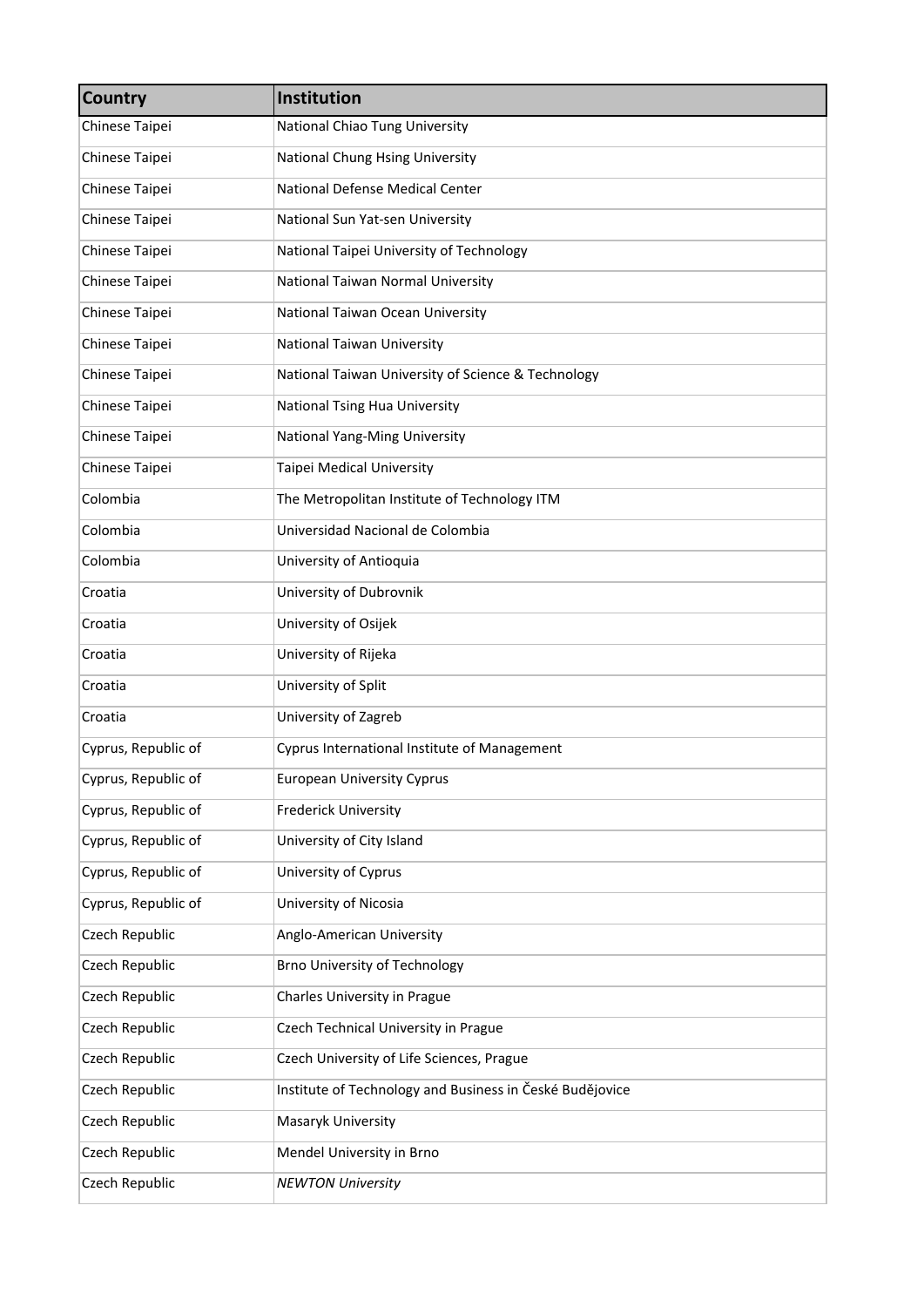| <b>Country</b>      | Institution                                              |
|---------------------|----------------------------------------------------------|
| Chinese Taipei      | National Chiao Tung University                           |
| Chinese Taipei      | National Chung Hsing University                          |
| Chinese Taipei      | National Defense Medical Center                          |
| Chinese Taipei      | National Sun Yat-sen University                          |
| Chinese Taipei      | National Taipei University of Technology                 |
| Chinese Taipei      | National Taiwan Normal University                        |
| Chinese Taipei      | National Taiwan Ocean University                         |
| Chinese Taipei      | National Taiwan University                               |
| Chinese Taipei      | National Taiwan University of Science & Technology       |
| Chinese Taipei      | National Tsing Hua University                            |
| Chinese Taipei      | National Yang-Ming University                            |
| Chinese Taipei      | Taipei Medical University                                |
| Colombia            | The Metropolitan Institute of Technology ITM             |
| Colombia            | Universidad Nacional de Colombia                         |
| Colombia            | University of Antioquia                                  |
| Croatia             | University of Dubrovnik                                  |
| Croatia             | University of Osijek                                     |
| Croatia             | University of Rijeka                                     |
| Croatia             | University of Split                                      |
| Croatia             | University of Zagreb                                     |
| Cyprus, Republic of | Cyprus International Institute of Management             |
| Cyprus, Republic of | <b>European University Cyprus</b>                        |
| Cyprus, Republic of | <b>Frederick University</b>                              |
| Cyprus, Republic of | University of City Island                                |
| Cyprus, Republic of | University of Cyprus                                     |
| Cyprus, Republic of | University of Nicosia                                    |
| Czech Republic      | Anglo-American University                                |
| Czech Republic      | <b>Brno University of Technology</b>                     |
| Czech Republic      | Charles University in Prague                             |
| Czech Republic      | Czech Technical University in Prague                     |
| Czech Republic      | Czech University of Life Sciences, Prague                |
| Czech Republic      | Institute of Technology and Business in České Budějovice |
| Czech Republic      | Masaryk University                                       |
| Czech Republic      | Mendel University in Brno                                |
| Czech Republic      | <b>NEWTON University</b>                                 |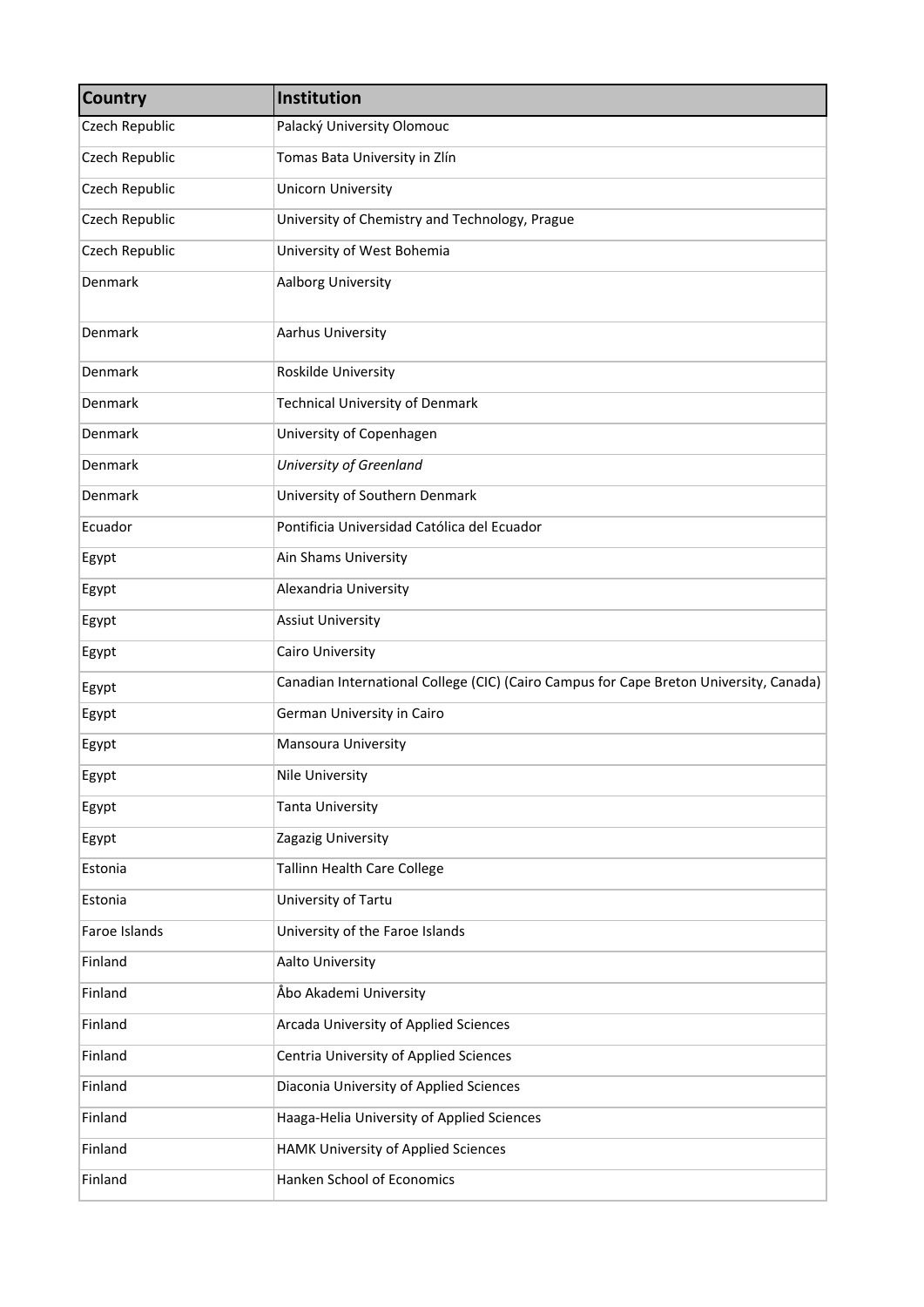| <b>Country</b> | Institution                                                                            |
|----------------|----------------------------------------------------------------------------------------|
| Czech Republic | Palacký University Olomouc                                                             |
| Czech Republic | Tomas Bata University in Zlín                                                          |
| Czech Republic | <b>Unicorn University</b>                                                              |
| Czech Republic | University of Chemistry and Technology, Prague                                         |
| Czech Republic | University of West Bohemia                                                             |
| Denmark        | Aalborg University                                                                     |
| Denmark        | Aarhus University                                                                      |
| <b>Denmark</b> | Roskilde University                                                                    |
| Denmark        | <b>Technical University of Denmark</b>                                                 |
| <b>Denmark</b> | University of Copenhagen                                                               |
| Denmark        | University of Greenland                                                                |
| Denmark        | University of Southern Denmark                                                         |
| Ecuador        | Pontificia Universidad Católica del Ecuador                                            |
| Egypt          | Ain Shams University                                                                   |
| Egypt          | Alexandria University                                                                  |
| Egypt          | <b>Assiut University</b>                                                               |
| Egypt          | Cairo University                                                                       |
| Egypt          | Canadian International College (CIC) (Cairo Campus for Cape Breton University, Canada) |
| Egypt          | German University in Cairo                                                             |
| Egypt          | Mansoura University                                                                    |
| Egypt          | Nile University                                                                        |
| Egypt          | <b>Tanta University</b>                                                                |
| Egypt          | Zagazig University                                                                     |
| Estonia        | Tallinn Health Care College                                                            |
| Estonia        | University of Tartu                                                                    |
| Faroe Islands  | University of the Faroe Islands                                                        |
| Finland        | Aalto University                                                                       |
| Finland        | Åbo Akademi University                                                                 |
| Finland        | Arcada University of Applied Sciences                                                  |
| Finland        | Centria University of Applied Sciences                                                 |
| Finland        | Diaconia University of Applied Sciences                                                |
| Finland        | Haaga-Helia University of Applied Sciences                                             |
| Finland        | HAMK University of Applied Sciences                                                    |
| Finland        | Hanken School of Economics                                                             |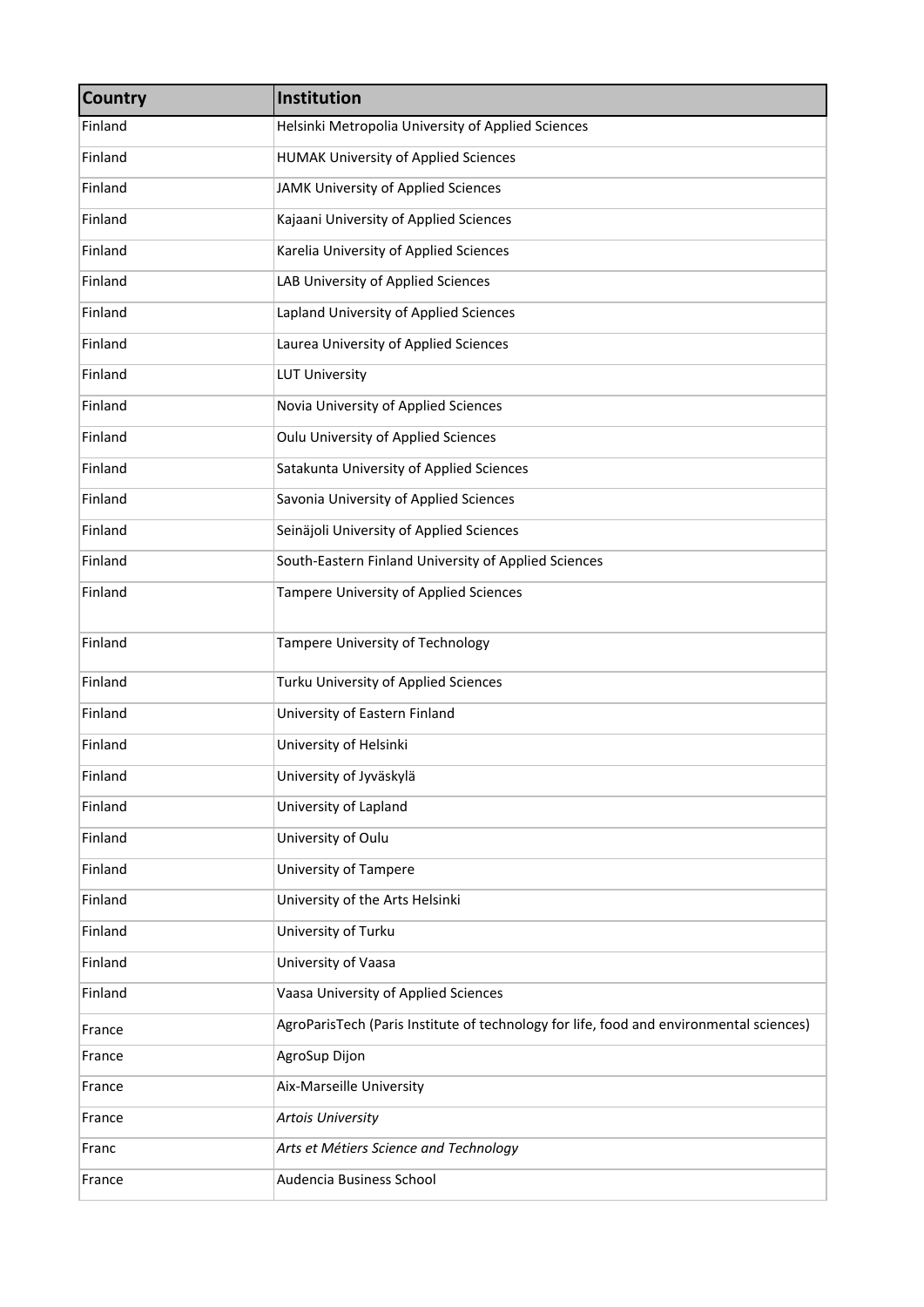| <b>Country</b> | Institution                                                                             |
|----------------|-----------------------------------------------------------------------------------------|
| Finland        | Helsinki Metropolia University of Applied Sciences                                      |
| Finland        | <b>HUMAK University of Applied Sciences</b>                                             |
| Finland        | JAMK University of Applied Sciences                                                     |
| Finland        | Kajaani University of Applied Sciences                                                  |
| Finland        | Karelia University of Applied Sciences                                                  |
| Finland        | LAB University of Applied Sciences                                                      |
| Finland        | Lapland University of Applied Sciences                                                  |
| Finland        | Laurea University of Applied Sciences                                                   |
| Finland        | <b>LUT University</b>                                                                   |
| Finland        | Novia University of Applied Sciences                                                    |
| Finland        | Oulu University of Applied Sciences                                                     |
| Finland        | Satakunta University of Applied Sciences                                                |
| Finland        | Savonia University of Applied Sciences                                                  |
| Finland        | Seinäjoli University of Applied Sciences                                                |
| Finland        | South-Eastern Finland University of Applied Sciences                                    |
| Finland        | Tampere University of Applied Sciences                                                  |
| Finland        | Tampere University of Technology                                                        |
| Finland        | Turku University of Applied Sciences                                                    |
| Finland        | University of Eastern Finland                                                           |
| Finland        | University of Helsinki                                                                  |
| Finland        | University of Jyväskylä                                                                 |
| Finland        | University of Lapland                                                                   |
| Finland        | University of Oulu                                                                      |
| Finland        | University of Tampere                                                                   |
| Finland        | University of the Arts Helsinki                                                         |
| Finland        | University of Turku                                                                     |
| Finland        | University of Vaasa                                                                     |
| Finland        | Vaasa University of Applied Sciences                                                    |
| France         | AgroParisTech (Paris Institute of technology for life, food and environmental sciences) |
| France         | AgroSup Dijon                                                                           |
| France         | Aix-Marseille University                                                                |
| France         | <b>Artois University</b>                                                                |
| Franc          | Arts et Métiers Science and Technology                                                  |
| France         | Audencia Business School                                                                |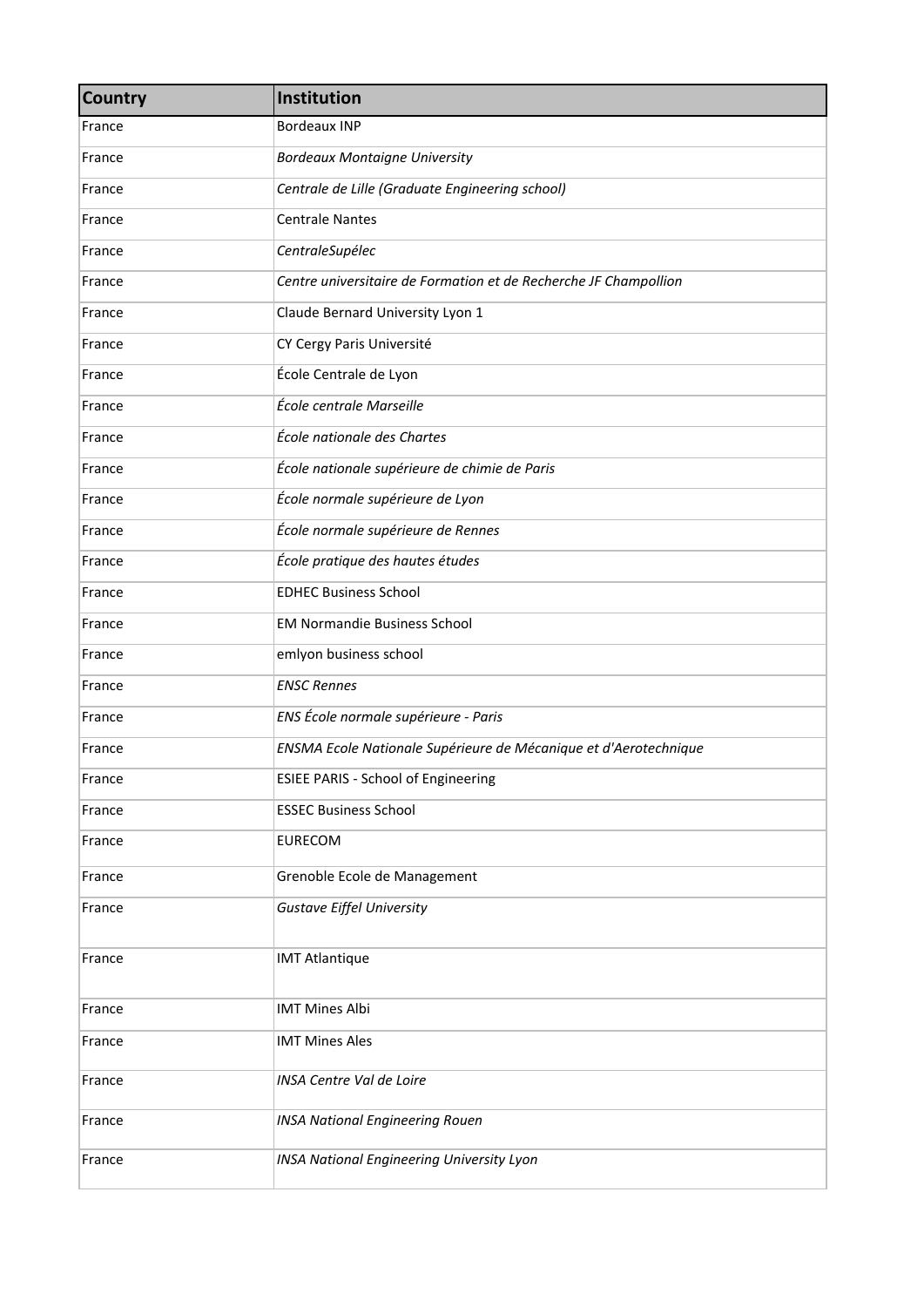| <b>Country</b> | Institution                                                      |
|----------------|------------------------------------------------------------------|
| France         | <b>Bordeaux INP</b>                                              |
| France         | <b>Bordeaux Montaigne University</b>                             |
| France         | Centrale de Lille (Graduate Engineering school)                  |
| France         | <b>Centrale Nantes</b>                                           |
| France         | CentraleSupélec                                                  |
| France         | Centre universitaire de Formation et de Recherche JF Champollion |
| France         | Claude Bernard University Lyon 1                                 |
| France         | CY Cergy Paris Université                                        |
| France         | École Centrale de Lyon                                           |
| France         | École centrale Marseille                                         |
| France         | École nationale des Chartes                                      |
| France         | École nationale supérieure de chimie de Paris                    |
| France         | École normale supérieure de Lyon                                 |
| France         | École normale supérieure de Rennes                               |
| France         | École pratique des hautes études                                 |
| France         | <b>EDHEC Business School</b>                                     |
| France         | <b>EM Normandie Business School</b>                              |
| France         | emlyon business school                                           |
| France         | <b>ENSC Rennes</b>                                               |
| France         | ENS École normale supérieure - Paris                             |
| France         | ENSMA Ecole Nationale Supérieure de Mécanique et d'Aerotechnique |
| France         | <b>ESIEE PARIS - School of Engineering</b>                       |
| France         | <b>ESSEC Business School</b>                                     |
| France         | <b>EURECOM</b>                                                   |
| France         | Grenoble Ecole de Management                                     |
| France         | <b>Gustave Eiffel University</b>                                 |
| France         | <b>IMT Atlantique</b>                                            |
| France         | <b>IMT Mines Albi</b>                                            |
| France         | <b>IMT Mines Ales</b>                                            |
| France         | <b>INSA Centre Val de Loire</b>                                  |
| France         | <b>INSA National Engineering Rouen</b>                           |
| France         | <b>INSA National Engineering University Lyon</b>                 |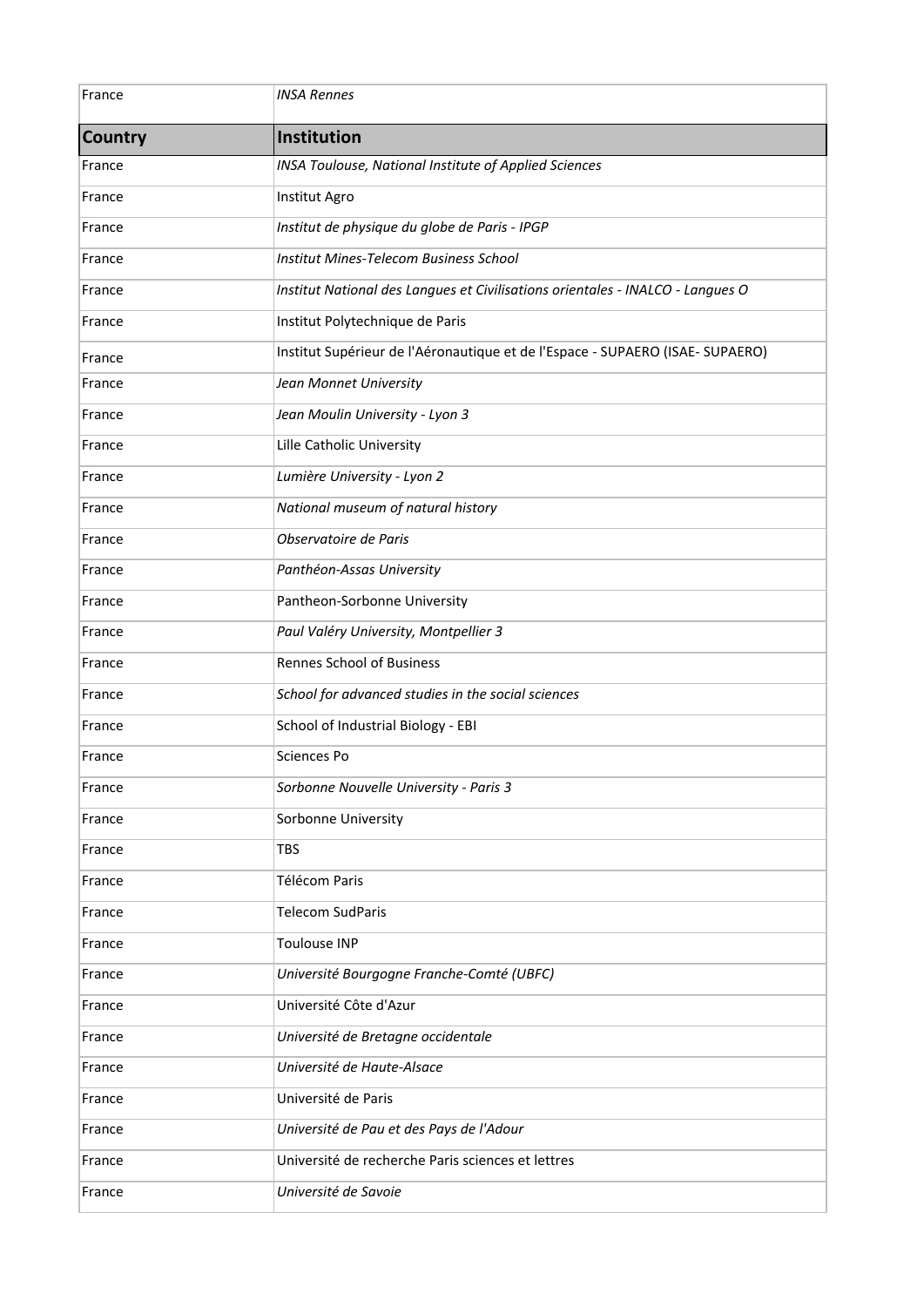| France         | <b>INSA Rennes</b>                                                             |
|----------------|--------------------------------------------------------------------------------|
| <b>Country</b> | Institution                                                                    |
| France         | INSA Toulouse, National Institute of Applied Sciences                          |
| France         | Institut Agro                                                                  |
| France         | Institut de physique du globe de Paris - IPGP                                  |
| France         | Institut Mines-Telecom Business School                                         |
| France         | Institut National des Langues et Civilisations orientales - INALCO - Langues O |
| France         | Institut Polytechnique de Paris                                                |
| France         | Institut Supérieur de l'Aéronautique et de l'Espace - SUPAERO (ISAE- SUPAERO)  |
| France         | Jean Monnet University                                                         |
| France         | Jean Moulin University - Lyon 3                                                |
| France         | Lille Catholic University                                                      |
| France         | Lumière University - Lyon 2                                                    |
| France         | National museum of natural history                                             |
| France         | Observatoire de Paris                                                          |
| France         | Panthéon-Assas University                                                      |
| France         | Pantheon-Sorbonne University                                                   |
| France         | Paul Valéry University, Montpellier 3                                          |
| France         | <b>Rennes School of Business</b>                                               |
| France         | School for advanced studies in the social sciences                             |
| France         | School of Industrial Biology - EBI                                             |
| France         | <b>Sciences Po</b>                                                             |
| France         | Sorbonne Nouvelle University - Paris 3                                         |
| France         | Sorbonne University                                                            |
| France         | <b>TBS</b>                                                                     |
| France         | Télécom Paris                                                                  |
| France         | <b>Telecom SudParis</b>                                                        |
| France         | <b>Toulouse INP</b>                                                            |
| France         | Université Bourgogne Franche-Comté (UBFC)                                      |
| France         | Université Côte d'Azur                                                         |
| France         | Université de Bretagne occidentale                                             |
| France         | Université de Haute-Alsace                                                     |
| France         | Université de Paris                                                            |
| France         | Université de Pau et des Pays de l'Adour                                       |
| France         | Université de recherche Paris sciences et lettres                              |
| France         | Université de Savoie                                                           |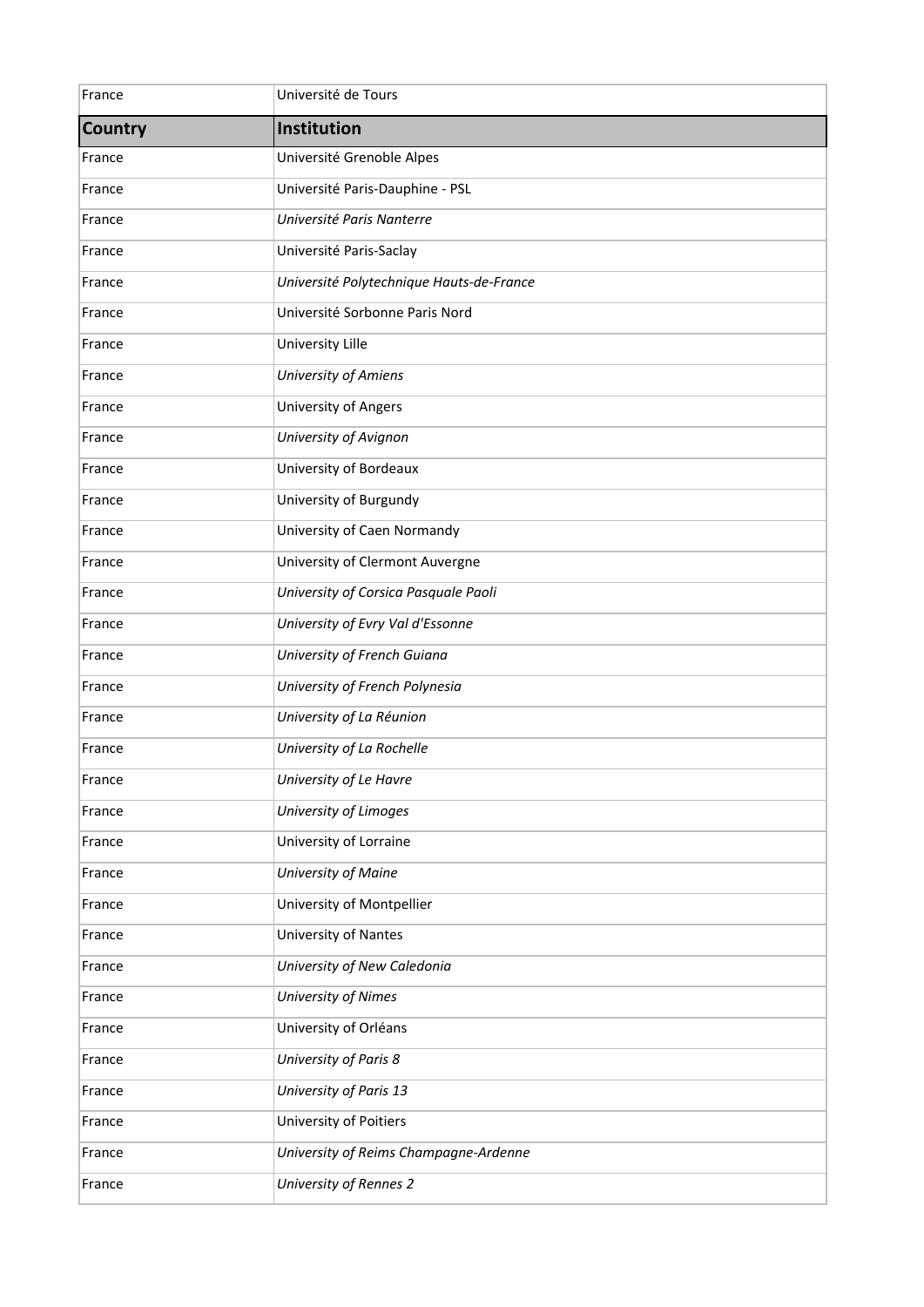| France         | Université de Tours                      |
|----------------|------------------------------------------|
| <b>Country</b> | Institution                              |
| France         | Université Grenoble Alpes                |
| France         | Université Paris-Dauphine - PSL          |
| France         | Université Paris Nanterre                |
| France         | Université Paris-Saclay                  |
| France         | Université Polytechnique Hauts-de-France |
| France         | Université Sorbonne Paris Nord           |
| France         | University Lille                         |
| France         | University of Amiens                     |
| France         | University of Angers                     |
| France         | University of Avignon                    |
| France         | University of Bordeaux                   |
| France         | University of Burgundy                   |
| France         | University of Caen Normandy              |
| France         | University of Clermont Auvergne          |
| France         | University of Corsica Pasquale Paoli     |
| France         | University of Evry Val d'Essonne         |
| France         | University of French Guiana              |
| France         | University of French Polynesia           |
| France         | University of La Réunion                 |
| France         | University of La Rochelle                |
| France         | University of Le Havre                   |
| France         | University of Limoges                    |
| France         | University of Lorraine                   |
| France         | University of Maine                      |
| France         | University of Montpellier                |
| France         | University of Nantes                     |
| France         | University of New Caledonia              |
| France         | University of Nimes                      |
| France         | University of Orléans                    |
| France         | University of Paris 8                    |
| France         | University of Paris 13                   |
| France         | University of Poitiers                   |
| France         | University of Reims Champagne-Ardenne    |
| France         | University of Rennes 2                   |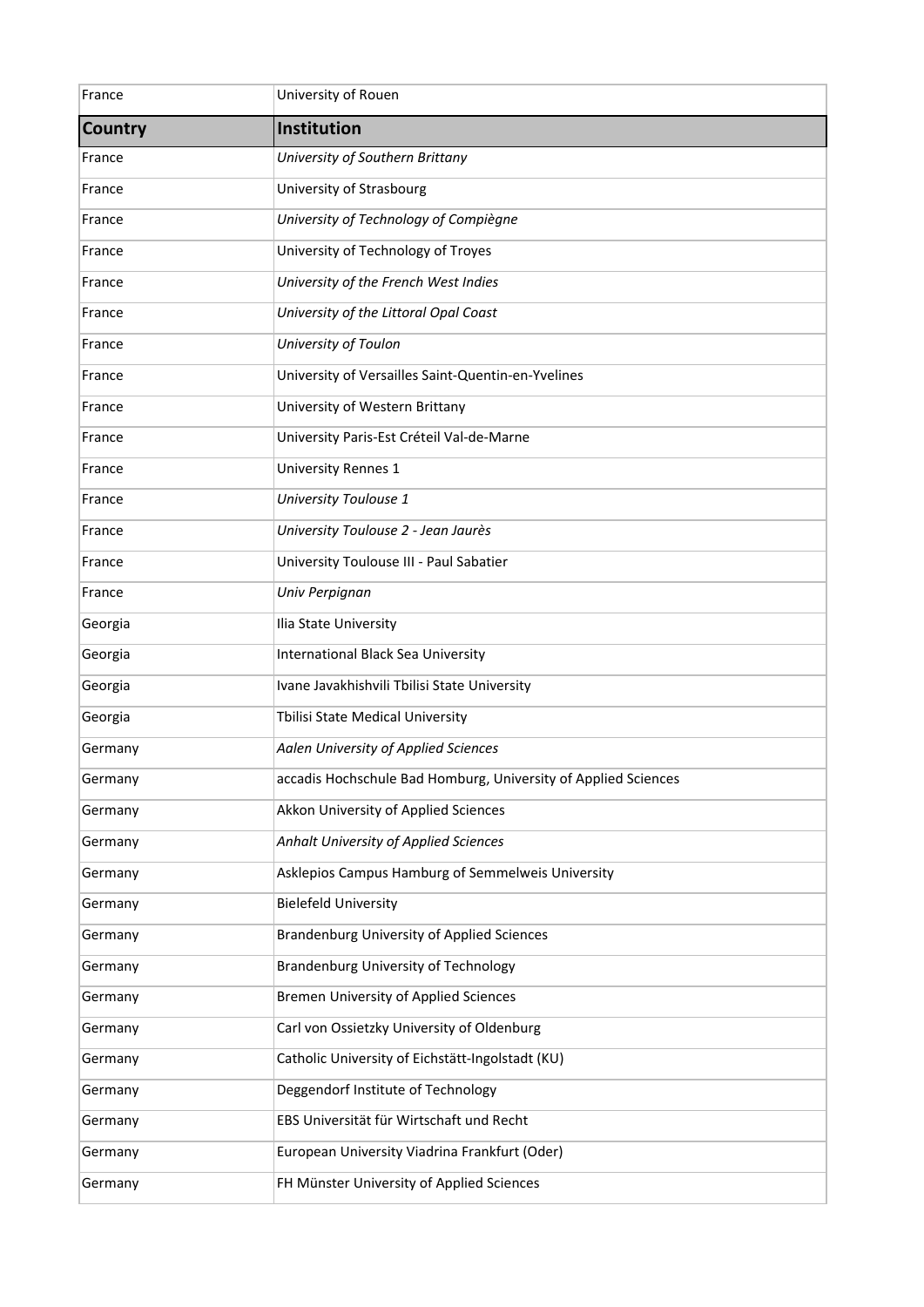| France         | University of Rouen                                            |
|----------------|----------------------------------------------------------------|
| <b>Country</b> | Institution                                                    |
| France         | University of Southern Brittany                                |
| France         | University of Strasbourg                                       |
| France         | University of Technology of Compiègne                          |
| France         | University of Technology of Troyes                             |
| France         | University of the French West Indies                           |
| France         | University of the Littoral Opal Coast                          |
| France         | University of Toulon                                           |
| France         | University of Versailles Saint-Quentin-en-Yvelines             |
| France         | University of Western Brittany                                 |
| France         | University Paris-Est Créteil Val-de-Marne                      |
| France         | University Rennes 1                                            |
| France         | University Toulouse 1                                          |
| France         | University Toulouse 2 - Jean Jaurès                            |
| France         | University Toulouse III - Paul Sabatier                        |
| France         | Univ Perpignan                                                 |
| Georgia        | Ilia State University                                          |
| Georgia        | International Black Sea University                             |
| Georgia        | Ivane Javakhishvili Tbilisi State University                   |
| Georgia        | Tbilisi State Medical University                               |
| Germany        | Aalen University of Applied Sciences                           |
| Germany        | accadis Hochschule Bad Homburg, University of Applied Sciences |
| Germany        | Akkon University of Applied Sciences                           |
| Germany        | Anhalt University of Applied Sciences                          |
| Germany        | Asklepios Campus Hamburg of Semmelweis University              |
| Germany        | <b>Bielefeld University</b>                                    |
| Germany        | <b>Brandenburg University of Applied Sciences</b>              |
| Germany        | Brandenburg University of Technology                           |
| Germany        | <b>Bremen University of Applied Sciences</b>                   |
| Germany        | Carl von Ossietzky University of Oldenburg                     |
| Germany        | Catholic University of Eichstätt-Ingolstadt (KU)               |
| Germany        | Deggendorf Institute of Technology                             |
| Germany        | EBS Universität für Wirtschaft und Recht                       |
| Germany        | European University Viadrina Frankfurt (Oder)                  |
| Germany        | FH Münster University of Applied Sciences                      |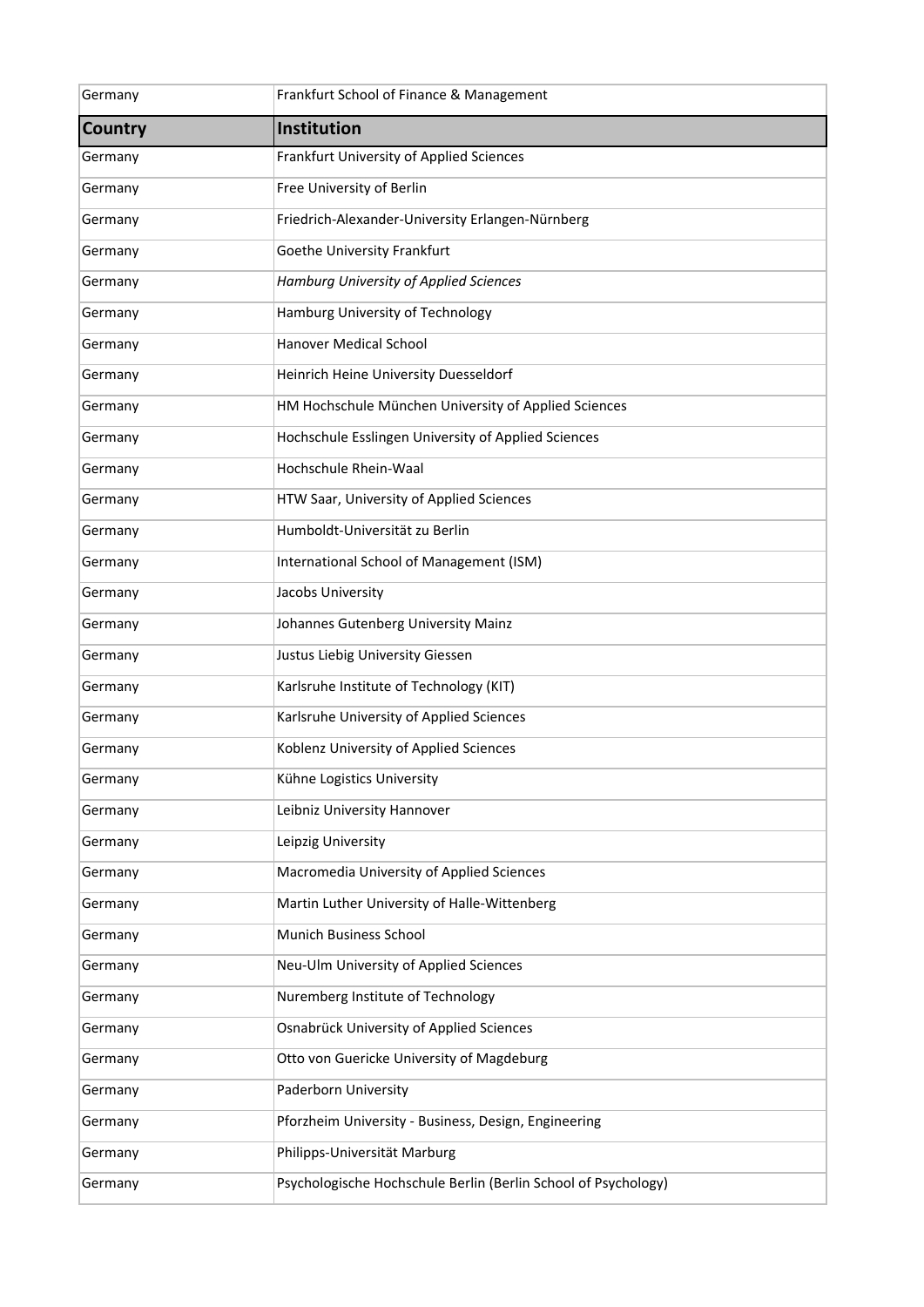| Germany | Frankfurt School of Finance & Management                       |
|---------|----------------------------------------------------------------|
| Country | Institution                                                    |
| Germany | Frankfurt University of Applied Sciences                       |
| Germany | Free University of Berlin                                      |
| Germany | Friedrich-Alexander-University Erlangen-Nürnberg               |
| Germany | Goethe University Frankfurt                                    |
| Germany | Hamburg University of Applied Sciences                         |
| Germany | Hamburg University of Technology                               |
| Germany | Hanover Medical School                                         |
| Germany | Heinrich Heine University Duesseldorf                          |
| Germany | HM Hochschule München University of Applied Sciences           |
| Germany | Hochschule Esslingen University of Applied Sciences            |
| Germany | Hochschule Rhein-Waal                                          |
| Germany | HTW Saar, University of Applied Sciences                       |
| Germany | Humboldt-Universität zu Berlin                                 |
| Germany | International School of Management (ISM)                       |
| Germany | Jacobs University                                              |
| Germany | Johannes Gutenberg University Mainz                            |
| Germany | Justus Liebig University Giessen                               |
| Germany | Karlsruhe Institute of Technology (KIT)                        |
| Germany | Karlsruhe University of Applied Sciences                       |
| Germany | Koblenz University of Applied Sciences                         |
| Germany | Kühne Logistics University                                     |
| Germany | Leibniz University Hannover                                    |
| Germany | Leipzig University                                             |
| Germany | Macromedia University of Applied Sciences                      |
| Germany | Martin Luther University of Halle-Wittenberg                   |
| Germany | Munich Business School                                         |
| Germany | Neu-Ulm University of Applied Sciences                         |
| Germany | Nuremberg Institute of Technology                              |
| Germany | Osnabrück University of Applied Sciences                       |
| Germany | Otto von Guericke University of Magdeburg                      |
| Germany | Paderborn University                                           |
| Germany | Pforzheim University - Business, Design, Engineering           |
| Germany | Philipps-Universität Marburg                                   |
| Germany | Psychologische Hochschule Berlin (Berlin School of Psychology) |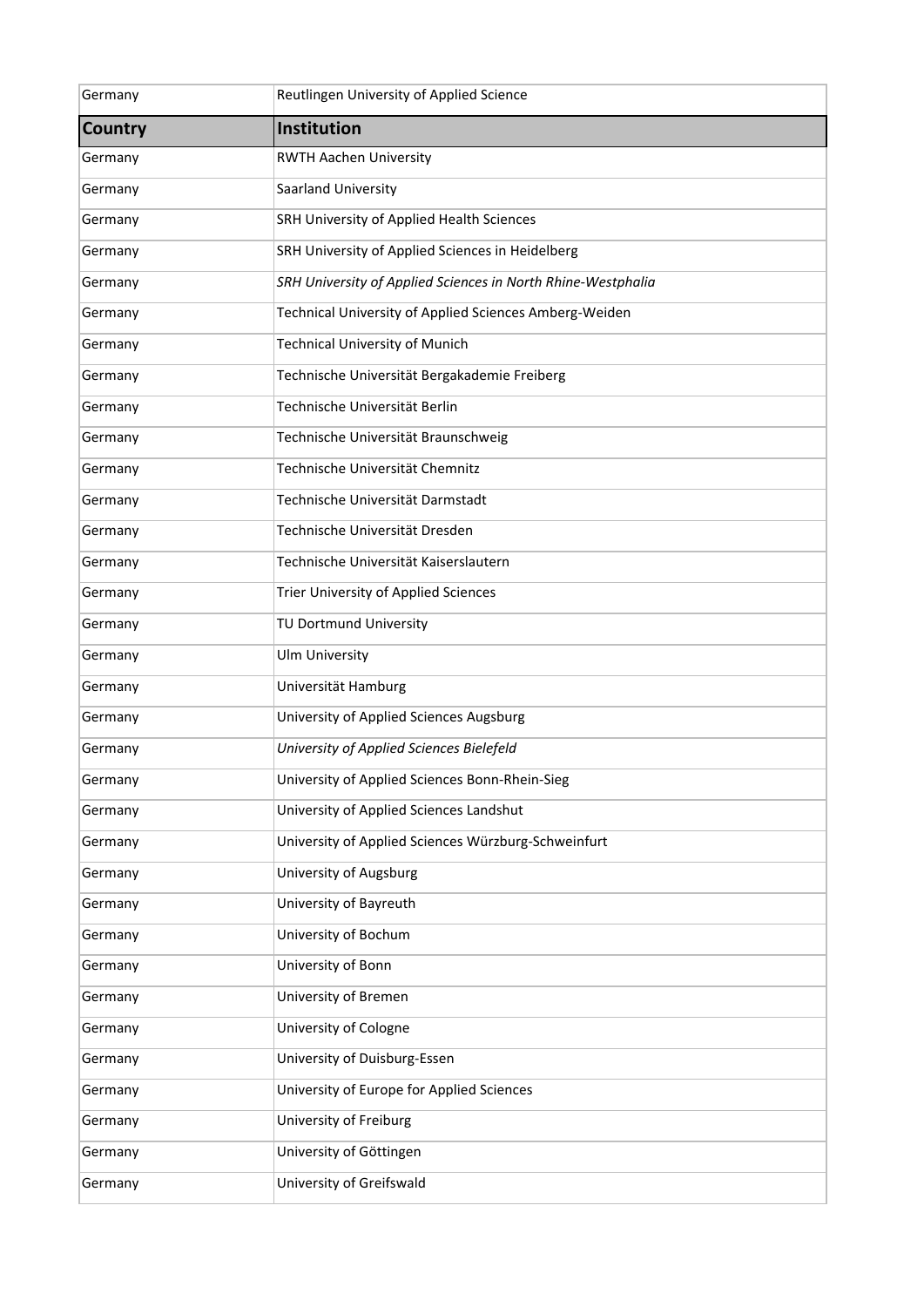| Germany        | Reutlingen University of Applied Science                     |
|----------------|--------------------------------------------------------------|
| <b>Country</b> | Institution                                                  |
| Germany        | <b>RWTH Aachen University</b>                                |
| Germany        | Saarland University                                          |
| Germany        | SRH University of Applied Health Sciences                    |
| Germany        | SRH University of Applied Sciences in Heidelberg             |
| Germany        | SRH University of Applied Sciences in North Rhine-Westphalia |
| Germany        | Technical University of Applied Sciences Amberg-Weiden       |
| Germany        | <b>Technical University of Munich</b>                        |
| Germany        | Technische Universität Bergakademie Freiberg                 |
| Germany        | Technische Universität Berlin                                |
| Germany        | Technische Universität Braunschweig                          |
| Germany        | Technische Universität Chemnitz                              |
| Germany        | Technische Universität Darmstadt                             |
| Germany        | Technische Universität Dresden                               |
| Germany        | Technische Universität Kaiserslautern                        |
| Germany        | Trier University of Applied Sciences                         |
| Germany        | TU Dortmund University                                       |
| Germany        | <b>Ulm University</b>                                        |
| Germany        | Universität Hamburg                                          |
| Germany        | University of Applied Sciences Augsburg                      |
| Germany        | University of Applied Sciences Bielefeld                     |
| Germany        | University of Applied Sciences Bonn-Rhein-Sieg               |
| Germany        | University of Applied Sciences Landshut                      |
| Germany        | University of Applied Sciences Würzburg-Schweinfurt          |
| Germany        | University of Augsburg                                       |
| Germany        | University of Bayreuth                                       |
| Germany        | University of Bochum                                         |
| Germany        | University of Bonn                                           |
| Germany        | University of Bremen                                         |
| Germany        | University of Cologne                                        |
| Germany        | University of Duisburg-Essen                                 |
| Germany        | University of Europe for Applied Sciences                    |
| Germany        | University of Freiburg                                       |
| Germany        | University of Göttingen                                      |
| Germany        | University of Greifswald                                     |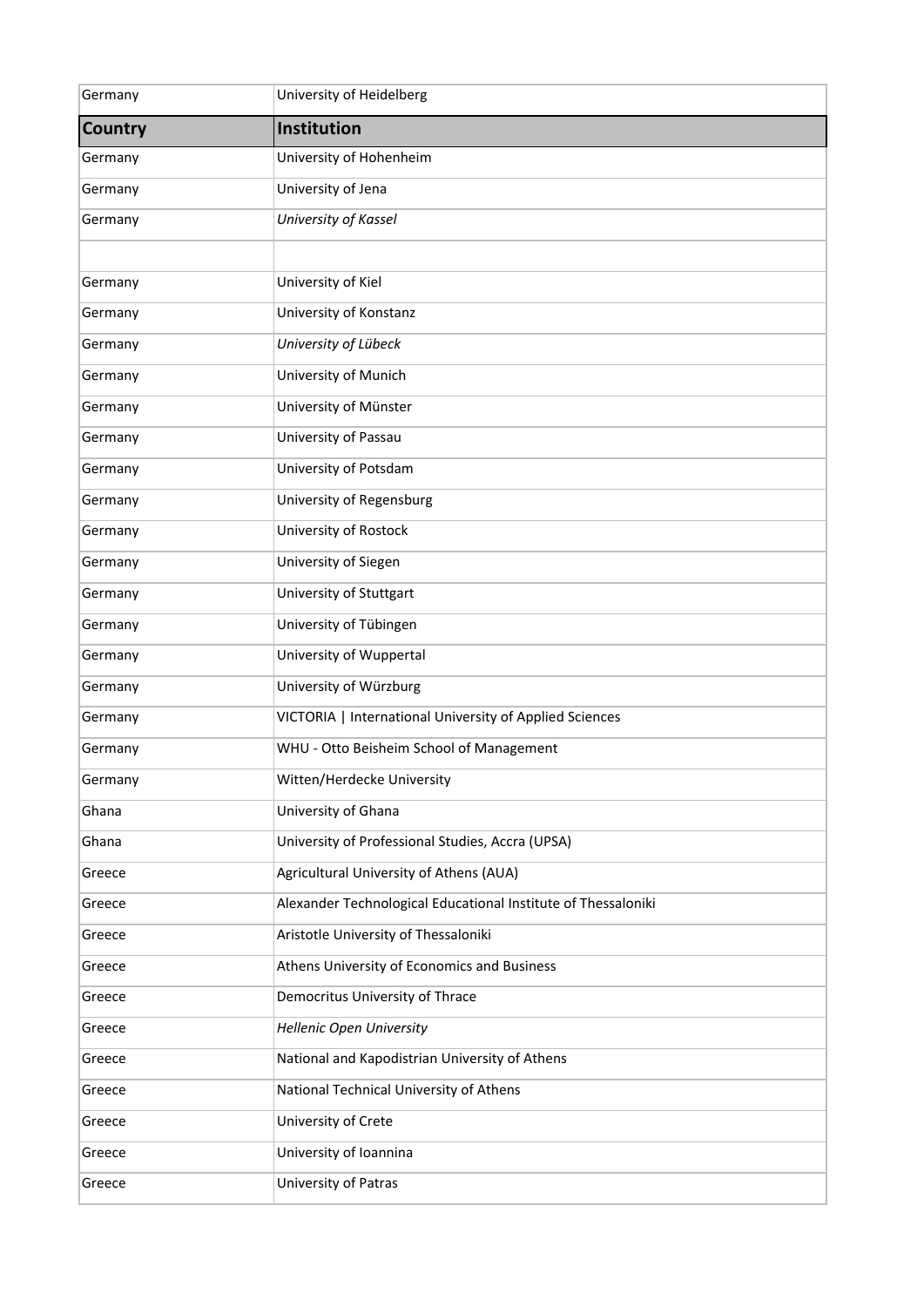| Germany        | University of Heidelberg                                      |
|----------------|---------------------------------------------------------------|
| <b>Country</b> | Institution                                                   |
| Germany        | University of Hohenheim                                       |
| Germany        | University of Jena                                            |
| Germany        | University of Kassel                                          |
|                |                                                               |
| Germany        | University of Kiel                                            |
| Germany        | University of Konstanz                                        |
| Germany        | University of Lübeck                                          |
| Germany        | University of Munich                                          |
| Germany        | University of Münster                                         |
| Germany        | University of Passau                                          |
| Germany        | University of Potsdam                                         |
| Germany        | University of Regensburg                                      |
| Germany        | University of Rostock                                         |
| Germany        | University of Siegen                                          |
| Germany        | University of Stuttgart                                       |
| Germany        | University of Tübingen                                        |
| Germany        | University of Wuppertal                                       |
| Germany        | University of Würzburg                                        |
| Germany        | VICTORIA   International University of Applied Sciences       |
| Germany        | WHU - Otto Beisheim School of Management                      |
| Germany        | Witten/Herdecke University                                    |
| Ghana          | University of Ghana                                           |
| Ghana          | University of Professional Studies, Accra (UPSA)              |
| Greece         | Agricultural University of Athens (AUA)                       |
| Greece         | Alexander Technological Educational Institute of Thessaloniki |
| Greece         | Aristotle University of Thessaloniki                          |
| Greece         | Athens University of Economics and Business                   |
| Greece         | Democritus University of Thrace                               |
| Greece         | <b>Hellenic Open University</b>                               |
| Greece         | National and Kapodistrian University of Athens                |
| Greece         | National Technical University of Athens                       |
| Greece         | University of Crete                                           |
| Greece         | University of Ioannina                                        |
| Greece         | University of Patras                                          |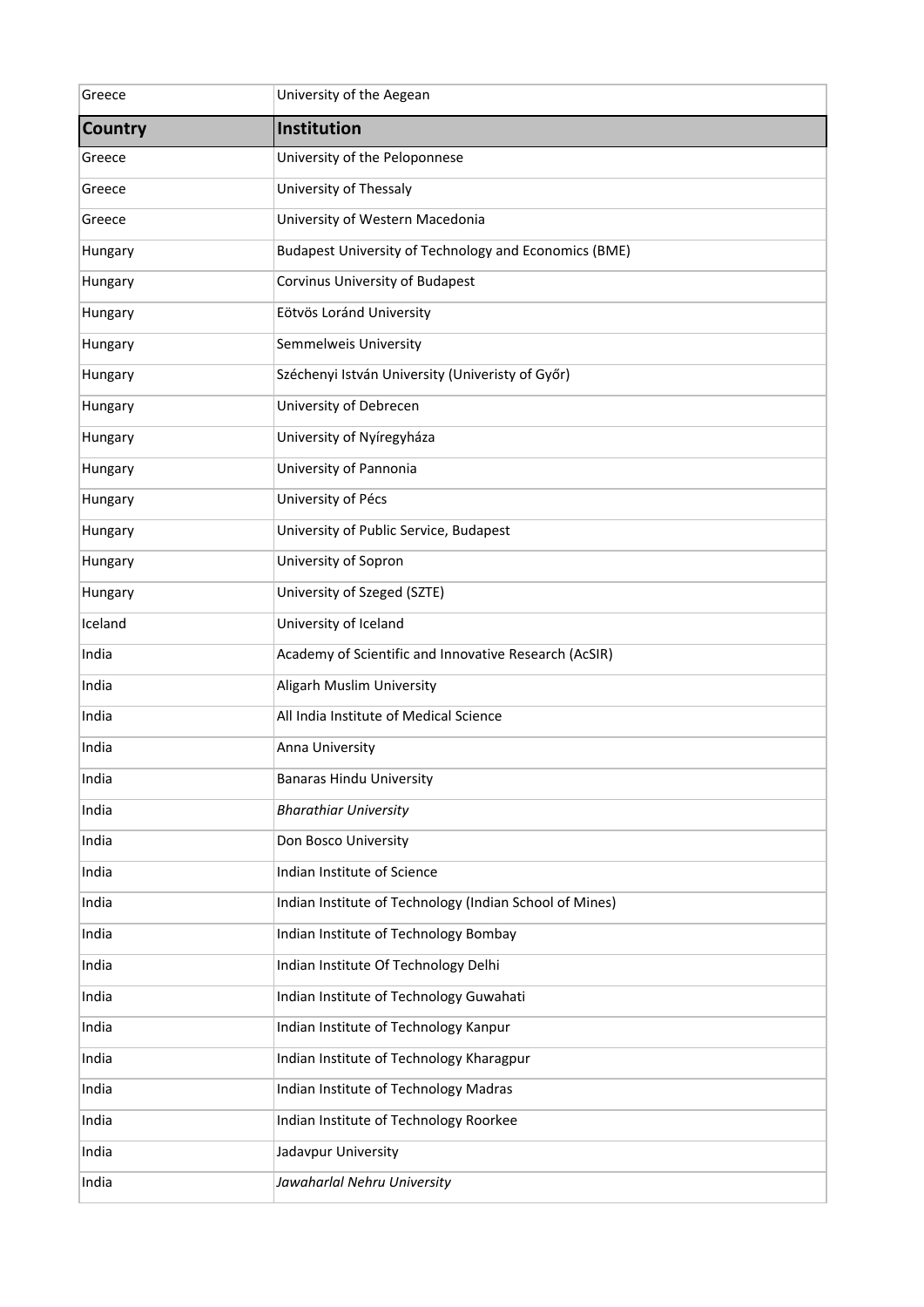| Greece         | University of the Aegean                                |
|----------------|---------------------------------------------------------|
| <b>Country</b> | Institution                                             |
| Greece         | University of the Peloponnese                           |
| Greece         | University of Thessaly                                  |
| Greece         | University of Western Macedonia                         |
| Hungary        | Budapest University of Technology and Economics (BME)   |
| Hungary        | Corvinus University of Budapest                         |
| Hungary        | Eötvös Loránd University                                |
| Hungary        | Semmelweis University                                   |
| Hungary        | Széchenyi István University (Univeristy of Győr)        |
| Hungary        | University of Debrecen                                  |
| Hungary        | University of Nyíregyháza                               |
| Hungary        | University of Pannonia                                  |
| Hungary        | University of Pécs                                      |
| Hungary        | University of Public Service, Budapest                  |
| Hungary        | University of Sopron                                    |
| Hungary        | University of Szeged (SZTE)                             |
| Iceland        | University of Iceland                                   |
| India          | Academy of Scientific and Innovative Research (AcSIR)   |
| India          | Aligarh Muslim University                               |
| India          | All India Institute of Medical Science                  |
| India          | Anna University                                         |
| India          | <b>Banaras Hindu University</b>                         |
| India          | <b>Bharathiar University</b>                            |
| India          | Don Bosco University                                    |
| India          | Indian Institute of Science                             |
| India          | Indian Institute of Technology (Indian School of Mines) |
| India          | Indian Institute of Technology Bombay                   |
| India          | Indian Institute Of Technology Delhi                    |
| India          | Indian Institute of Technology Guwahati                 |
| India          | Indian Institute of Technology Kanpur                   |
| India          | Indian Institute of Technology Kharagpur                |
| India          | Indian Institute of Technology Madras                   |
| India          | Indian Institute of Technology Roorkee                  |
| India          | Jadavpur University                                     |
| India          | Jawaharlal Nehru University                             |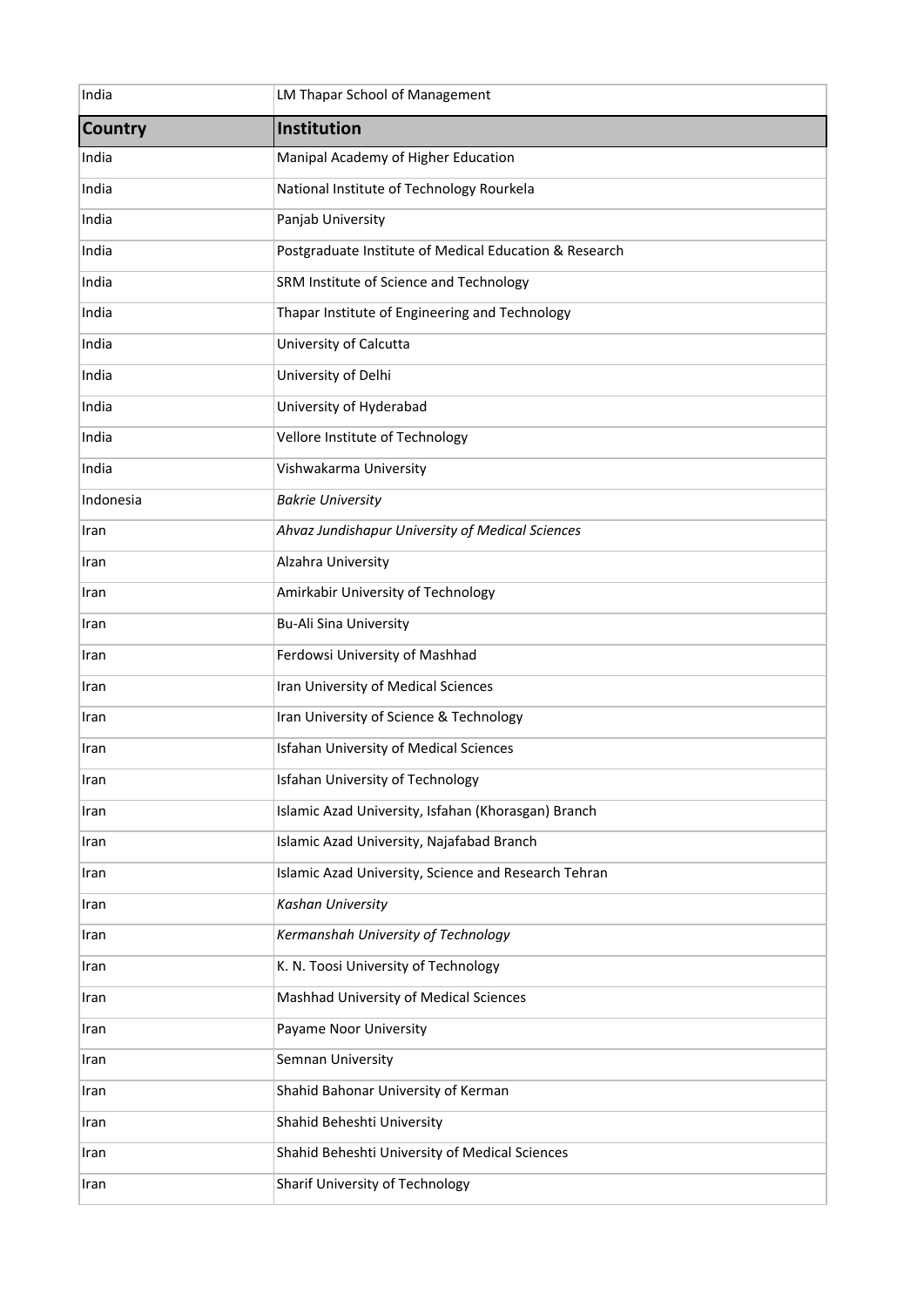| India          | LM Thapar School of Management                         |
|----------------|--------------------------------------------------------|
| <b>Country</b> | Institution                                            |
| India          | Manipal Academy of Higher Education                    |
| India          | National Institute of Technology Rourkela              |
| India          | Panjab University                                      |
| India          | Postgraduate Institute of Medical Education & Research |
| India          | SRM Institute of Science and Technology                |
| India          | Thapar Institute of Engineering and Technology         |
| India          | University of Calcutta                                 |
| India          | University of Delhi                                    |
| India          | University of Hyderabad                                |
| India          | Vellore Institute of Technology                        |
| India          | Vishwakarma University                                 |
| Indonesia      | <b>Bakrie University</b>                               |
| Iran           | Ahvaz Jundishapur University of Medical Sciences       |
| Iran           | Alzahra University                                     |
| Iran           | Amirkabir University of Technology                     |
| Iran           | <b>Bu-Ali Sina University</b>                          |
| Iran           | Ferdowsi University of Mashhad                         |
| Iran           | Iran University of Medical Sciences                    |
| Iran           | Iran University of Science & Technology                |
| Iran           | <b>Isfahan University of Medical Sciences</b>          |
| Iran           | <b>Isfahan University of Technology</b>                |
| Iran           | Islamic Azad University, Isfahan (Khorasgan) Branch    |
| Iran           | Islamic Azad University, Najafabad Branch              |
| Iran           | Islamic Azad University, Science and Research Tehran   |
| Iran           | Kashan University                                      |
| Iran           | Kermanshah University of Technology                    |
| Iran           | K. N. Toosi University of Technology                   |
| Iran           | Mashhad University of Medical Sciences                 |
| Iran           | Payame Noor University                                 |
| Iran           | Semnan University                                      |
| Iran           | Shahid Bahonar University of Kerman                    |
| Iran           | Shahid Beheshti University                             |
| Iran           | Shahid Beheshti University of Medical Sciences         |
| Iran           | Sharif University of Technology                        |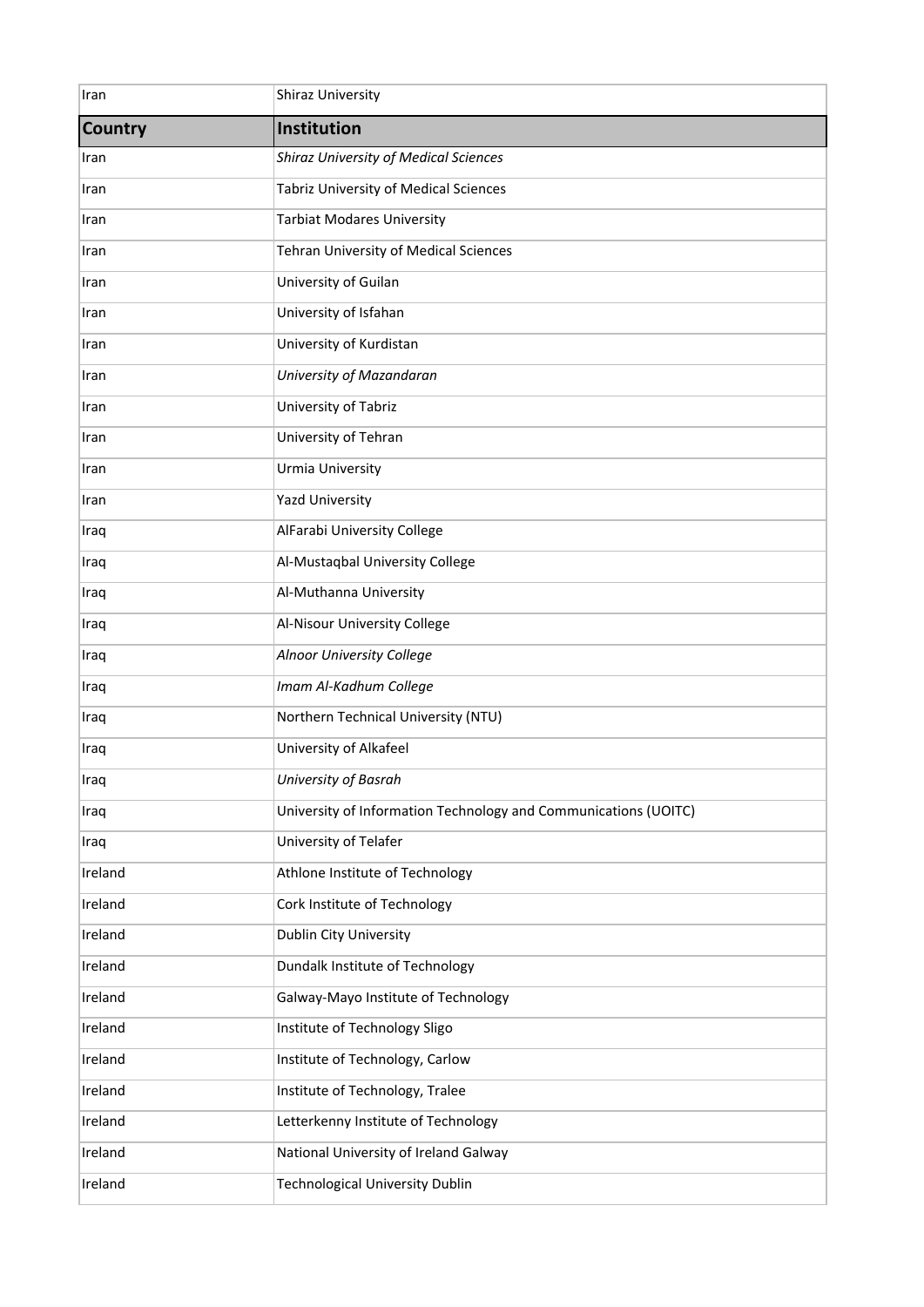| Iran           | <b>Shiraz University</b>                                        |
|----------------|-----------------------------------------------------------------|
| <b>Country</b> | Institution                                                     |
| Iran           | <b>Shiraz University of Medical Sciences</b>                    |
| Iran           | <b>Tabriz University of Medical Sciences</b>                    |
| Iran           | <b>Tarbiat Modares University</b>                               |
| Iran           | <b>Tehran University of Medical Sciences</b>                    |
| Iran           | University of Guilan                                            |
| Iran           | University of Isfahan                                           |
| Iran           | University of Kurdistan                                         |
| Iran           | University of Mazandaran                                        |
| Iran           | University of Tabriz                                            |
| Iran           | University of Tehran                                            |
| Iran           | Urmia University                                                |
| Iran           | <b>Yazd University</b>                                          |
| Iraq           | AlFarabi University College                                     |
| Iraq           | Al-Mustaqbal University College                                 |
| Iraq           | Al-Muthanna University                                          |
| Iraq           | Al-Nisour University College                                    |
| Iraq           | Alnoor University College                                       |
| Iraq           | Imam Al-Kadhum College                                          |
| Iraq           | Northern Technical University (NTU)                             |
| Iraq           | University of Alkafeel                                          |
| Iraq           | University of Basrah                                            |
| Iraq           | University of Information Technology and Communications (UOITC) |
| Iraq           | University of Telafer                                           |
| Ireland        | Athlone Institute of Technology                                 |
| Ireland        | Cork Institute of Technology                                    |
| Ireland        | <b>Dublin City University</b>                                   |
| Ireland        | Dundalk Institute of Technology                                 |
| Ireland        | Galway-Mayo Institute of Technology                             |
| Ireland        | Institute of Technology Sligo                                   |
| Ireland        | Institute of Technology, Carlow                                 |
| Ireland        | Institute of Technology, Tralee                                 |
| Ireland        | Letterkenny Institute of Technology                             |
| Ireland        | National University of Ireland Galway                           |
| Ireland        | <b>Technological University Dublin</b>                          |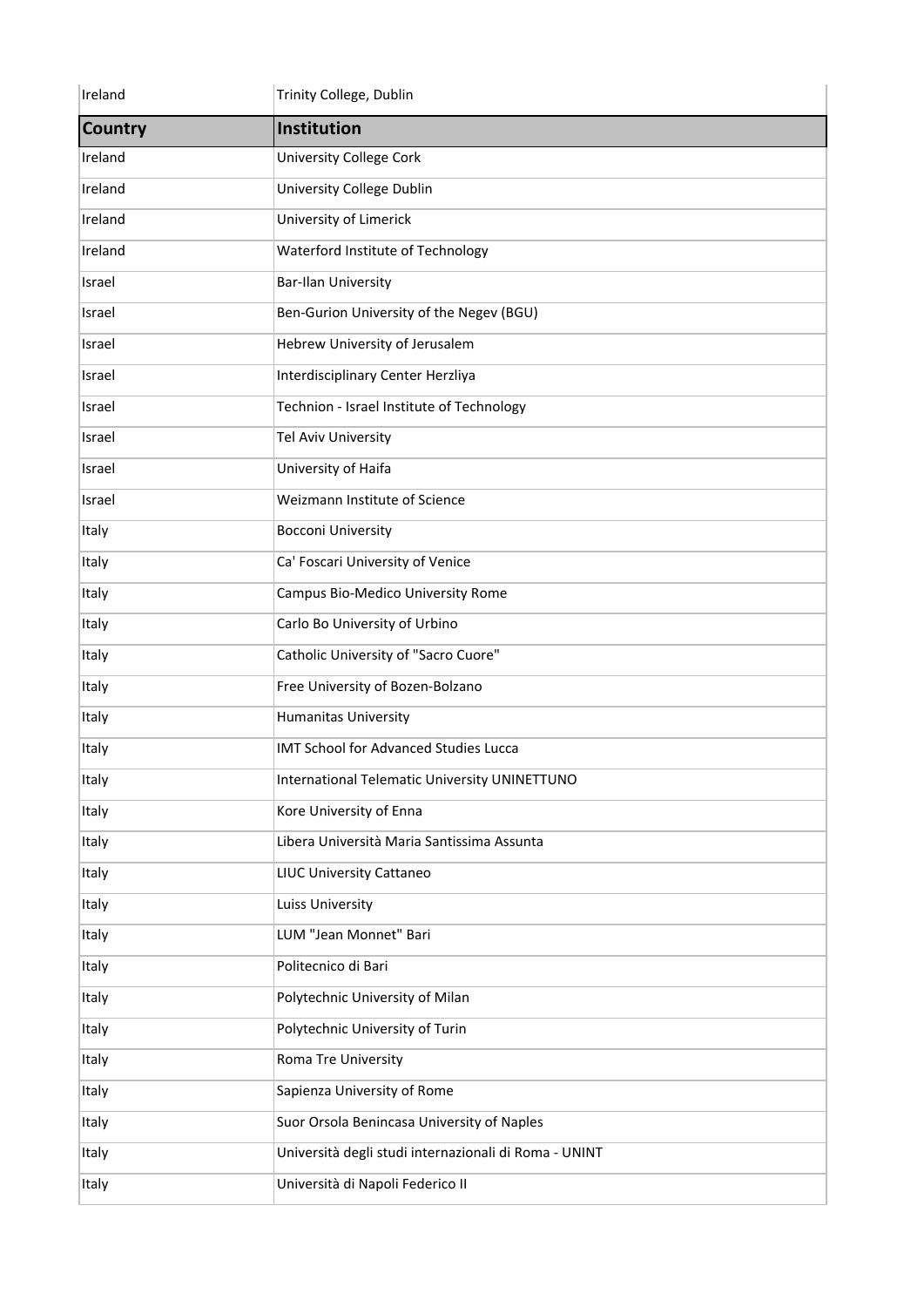| Ireland        | Trinity College, Dublin                               |
|----------------|-------------------------------------------------------|
| <b>Country</b> | Institution                                           |
| Ireland        | <b>University College Cork</b>                        |
| Ireland        | University College Dublin                             |
| Ireland        | University of Limerick                                |
| Ireland        | Waterford Institute of Technology                     |
| Israel         | <b>Bar-Ilan University</b>                            |
| Israel         | Ben-Gurion University of the Negev (BGU)              |
| Israel         | Hebrew University of Jerusalem                        |
| Israel         | Interdisciplinary Center Herzliya                     |
| Israel         | Technion - Israel Institute of Technology             |
| Israel         | Tel Aviv University                                   |
| Israel         | University of Haifa                                   |
| Israel         | Weizmann Institute of Science                         |
| Italy          | <b>Bocconi University</b>                             |
| Italy          | Ca' Foscari University of Venice                      |
| Italy          | Campus Bio-Medico University Rome                     |
| Italy          | Carlo Bo University of Urbino                         |
| Italy          | Catholic University of "Sacro Cuore"                  |
| Italy          | Free University of Bozen-Bolzano                      |
| Italy          | <b>Humanitas University</b>                           |
| Italy          | IMT School for Advanced Studies Lucca                 |
| Italy          | <b>International Telematic University UNINETTUNO</b>  |
| Italy          | Kore University of Enna                               |
| Italy          | Libera Università Maria Santissima Assunta            |
| Italy          | <b>LIUC University Cattaneo</b>                       |
| Italy          | Luiss University                                      |
| Italy          | LUM "Jean Monnet" Bari                                |
| Italy          | Politecnico di Bari                                   |
| Italy          | Polytechnic University of Milan                       |
| Italy          | Polytechnic University of Turin                       |
| Italy          | Roma Tre University                                   |
| Italy          | Sapienza University of Rome                           |
| Italy          | Suor Orsola Benincasa University of Naples            |
| Italy          | Università degli studi internazionali di Roma - UNINT |
| Italy          | Università di Napoli Federico II                      |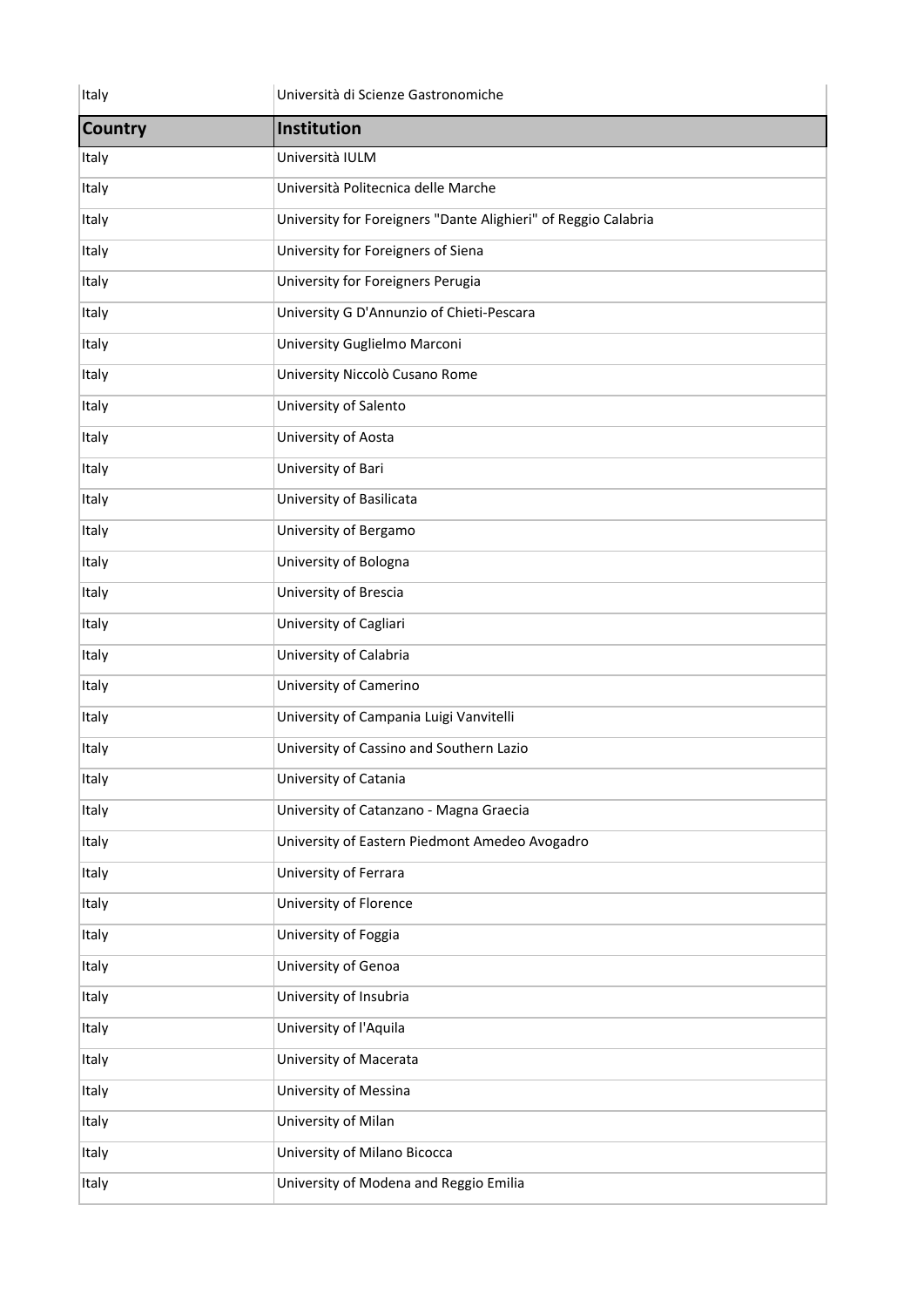| Italy          | Università di Scienze Gastronomiche                            |
|----------------|----------------------------------------------------------------|
| <b>Country</b> | Institution                                                    |
| Italy          | Università IULM                                                |
| Italy          | Università Politecnica delle Marche                            |
| Italy          | University for Foreigners "Dante Alighieri" of Reggio Calabria |
| Italy          | University for Foreigners of Siena                             |
| Italy          | University for Foreigners Perugia                              |
| Italy          | University G D'Annunzio of Chieti-Pescara                      |
| Italy          | University Guglielmo Marconi                                   |
| Italy          | University Niccolò Cusano Rome                                 |
| Italy          | University of Salento                                          |
| Italy          | University of Aosta                                            |
| Italy          | University of Bari                                             |
| Italy          | University of Basilicata                                       |
| Italy          | University of Bergamo                                          |
| Italy          | University of Bologna                                          |
| Italy          | University of Brescia                                          |
| Italy          | University of Cagliari                                         |
| Italy          | University of Calabria                                         |
| Italy          | University of Camerino                                         |
| Italy          | University of Campania Luigi Vanvitelli                        |
| Italy          | University of Cassino and Southern Lazio                       |
| Italy          | University of Catania                                          |
| Italy          | University of Catanzano - Magna Graecia                        |
| Italy          | University of Eastern Piedmont Amedeo Avogadro                 |
| Italy          | University of Ferrara                                          |
| Italy          | University of Florence                                         |
| Italy          | University of Foggia                                           |
| Italy          | University of Genoa                                            |
| Italy          | University of Insubria                                         |
| Italy          | University of l'Aquila                                         |
| Italy          | University of Macerata                                         |
| Italy          | University of Messina                                          |
| Italy          | University of Milan                                            |
| Italy          | University of Milano Bicocca                                   |
| Italy          | University of Modena and Reggio Emilia                         |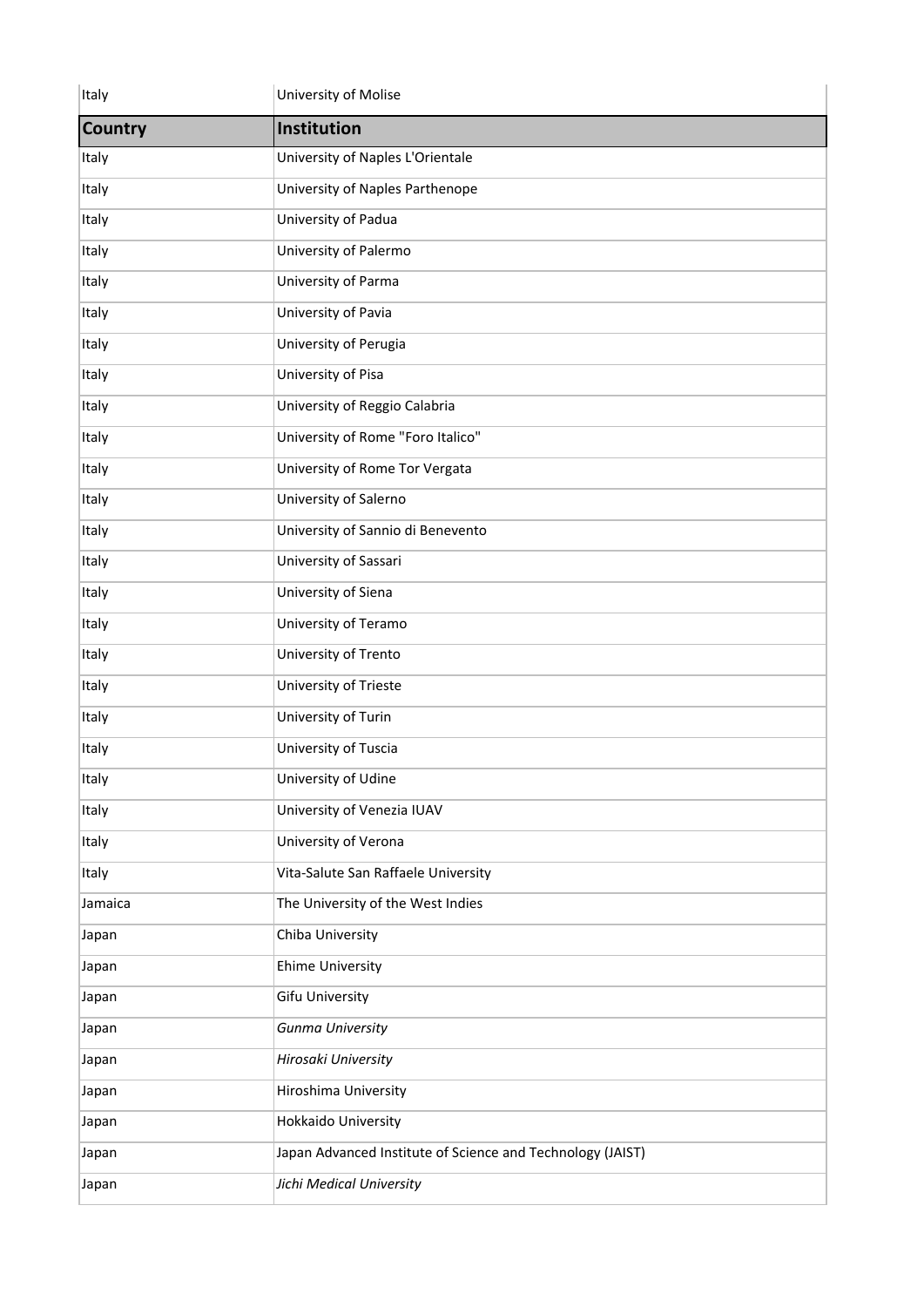| Italy          | University of Molise                                       |
|----------------|------------------------------------------------------------|
| <b>Country</b> | Institution                                                |
| Italy          | University of Naples L'Orientale                           |
| Italy          | University of Naples Parthenope                            |
| Italy          | University of Padua                                        |
| Italy          | University of Palermo                                      |
| Italy          | University of Parma                                        |
| Italy          | University of Pavia                                        |
| Italy          | University of Perugia                                      |
| Italy          | University of Pisa                                         |
| Italy          | University of Reggio Calabria                              |
| Italy          | University of Rome "Foro Italico"                          |
| Italy          | University of Rome Tor Vergata                             |
| Italy          | University of Salerno                                      |
| Italy          | University of Sannio di Benevento                          |
| Italy          | University of Sassari                                      |
| Italy          | University of Siena                                        |
| Italy          | University of Teramo                                       |
| Italy          | University of Trento                                       |
| Italy          | University of Trieste                                      |
| Italy          | University of Turin                                        |
| Italy          | University of Tuscia                                       |
| Italy          | University of Udine                                        |
| Italy          | University of Venezia IUAV                                 |
| Italy          | University of Verona                                       |
| Italy          | Vita-Salute San Raffaele University                        |
| Jamaica        | The University of the West Indies                          |
| Japan          | Chiba University                                           |
| Japan          | <b>Ehime University</b>                                    |
| Japan          | <b>Gifu University</b>                                     |
| Japan          | Gunma University                                           |
| Japan          | Hirosaki University                                        |
| Japan          | Hiroshima University                                       |
| Japan          | Hokkaido University                                        |
| Japan          | Japan Advanced Institute of Science and Technology (JAIST) |
| Japan          | Jichi Medical University                                   |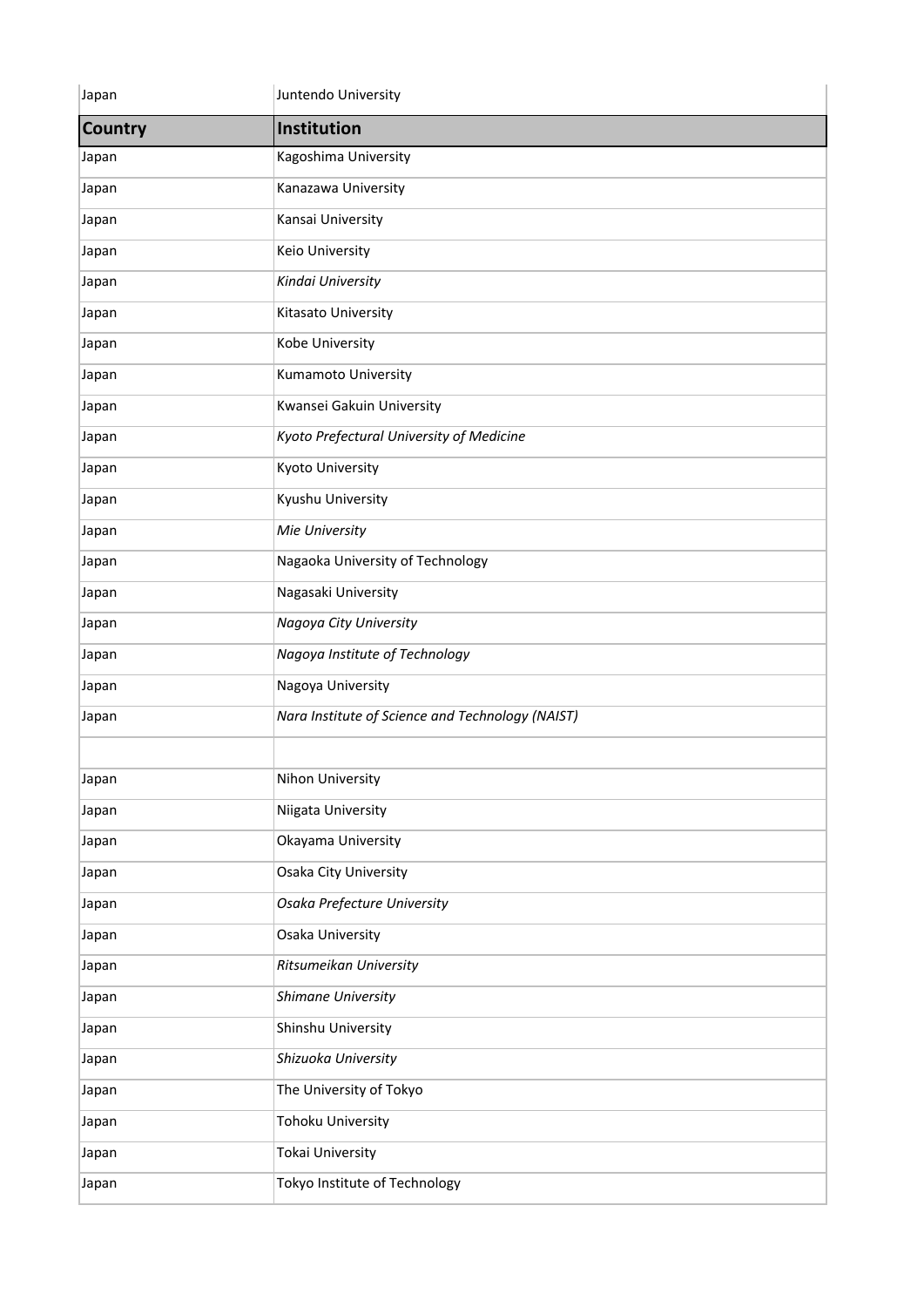| Japan          | Juntendo University                              |
|----------------|--------------------------------------------------|
| <b>Country</b> | Institution                                      |
| Japan          | Kagoshima University                             |
| Japan          | Kanazawa University                              |
| Japan          | Kansai University                                |
| Japan          | <b>Keio University</b>                           |
| Japan          | Kindai University                                |
| Japan          | Kitasato University                              |
| Japan          | Kobe University                                  |
| Japan          | Kumamoto University                              |
| Japan          | Kwansei Gakuin University                        |
| Japan          | Kyoto Prefectural University of Medicine         |
| Japan          | <b>Kyoto University</b>                          |
| Japan          | Kyushu University                                |
| Japan          | Mie University                                   |
| Japan          | Nagaoka University of Technology                 |
| Japan          | Nagasaki University                              |
| Japan          | Nagoya City University                           |
| Japan          | Nagoya Institute of Technology                   |
| Japan          | Nagoya University                                |
| Japan          | Nara Institute of Science and Technology (NAIST) |
|                |                                                  |
| Japan          | Nihon University                                 |
| Japan          | Niigata University                               |
| Japan          | Okayama University                               |
| Japan          | Osaka City University                            |
| Japan          | Osaka Prefecture University                      |
| Japan          | Osaka University                                 |
| Japan          | Ritsumeikan University                           |
| Japan          | Shimane University                               |
| Japan          | Shinshu University                               |
| Japan          | Shizuoka University                              |
| Japan          | The University of Tokyo                          |
| Japan          | <b>Tohoku University</b>                         |
| Japan          | Tokai University                                 |
| Japan          | Tokyo Institute of Technology                    |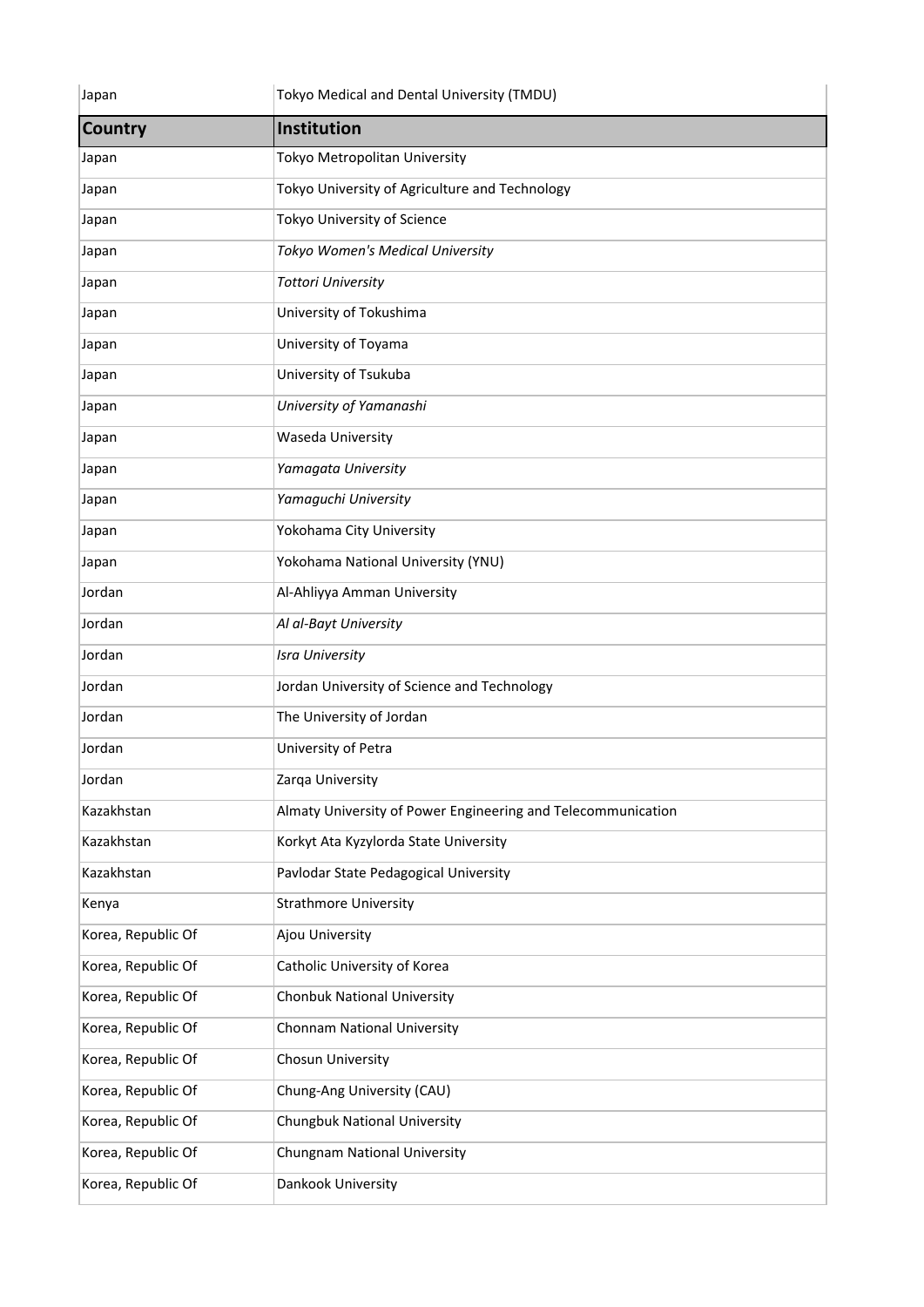| Japan              | Tokyo Medical and Dental University (TMDU)                   |
|--------------------|--------------------------------------------------------------|
| <b>Country</b>     | Institution                                                  |
| Japan              | Tokyo Metropolitan University                                |
| Japan              | Tokyo University of Agriculture and Technology               |
| Japan              | Tokyo University of Science                                  |
| Japan              | Tokyo Women's Medical University                             |
| Japan              | <b>Tottori University</b>                                    |
| Japan              | University of Tokushima                                      |
| Japan              | University of Toyama                                         |
| Japan              | University of Tsukuba                                        |
| Japan              | University of Yamanashi                                      |
| Japan              | Waseda University                                            |
| Japan              | Yamagata University                                          |
| Japan              | Yamaguchi University                                         |
| Japan              | Yokohama City University                                     |
| Japan              | Yokohama National University (YNU)                           |
| Jordan             | Al-Ahliyya Amman University                                  |
| Jordan             | Al al-Bayt University                                        |
| Jordan             | <b>Isra University</b>                                       |
| Jordan             | Jordan University of Science and Technology                  |
| Jordan             | The University of Jordan                                     |
| Jordan             | University of Petra                                          |
| Jordan             | Zarqa University                                             |
| Kazakhstan         | Almaty University of Power Engineering and Telecommunication |
| Kazakhstan         | Korkyt Ata Kyzylorda State University                        |
| Kazakhstan         | Pavlodar State Pedagogical University                        |
| Kenya              | <b>Strathmore University</b>                                 |
| Korea, Republic Of | Ajou University                                              |
| Korea, Republic Of | Catholic University of Korea                                 |
| Korea, Republic Of | <b>Chonbuk National University</b>                           |
| Korea, Republic Of | Chonnam National University                                  |
| Korea, Republic Of | Chosun University                                            |
| Korea, Republic Of | Chung-Ang University (CAU)                                   |
| Korea, Republic Of | Chungbuk National University                                 |
| Korea, Republic Of | Chungnam National University                                 |
| Korea, Republic Of | Dankook University                                           |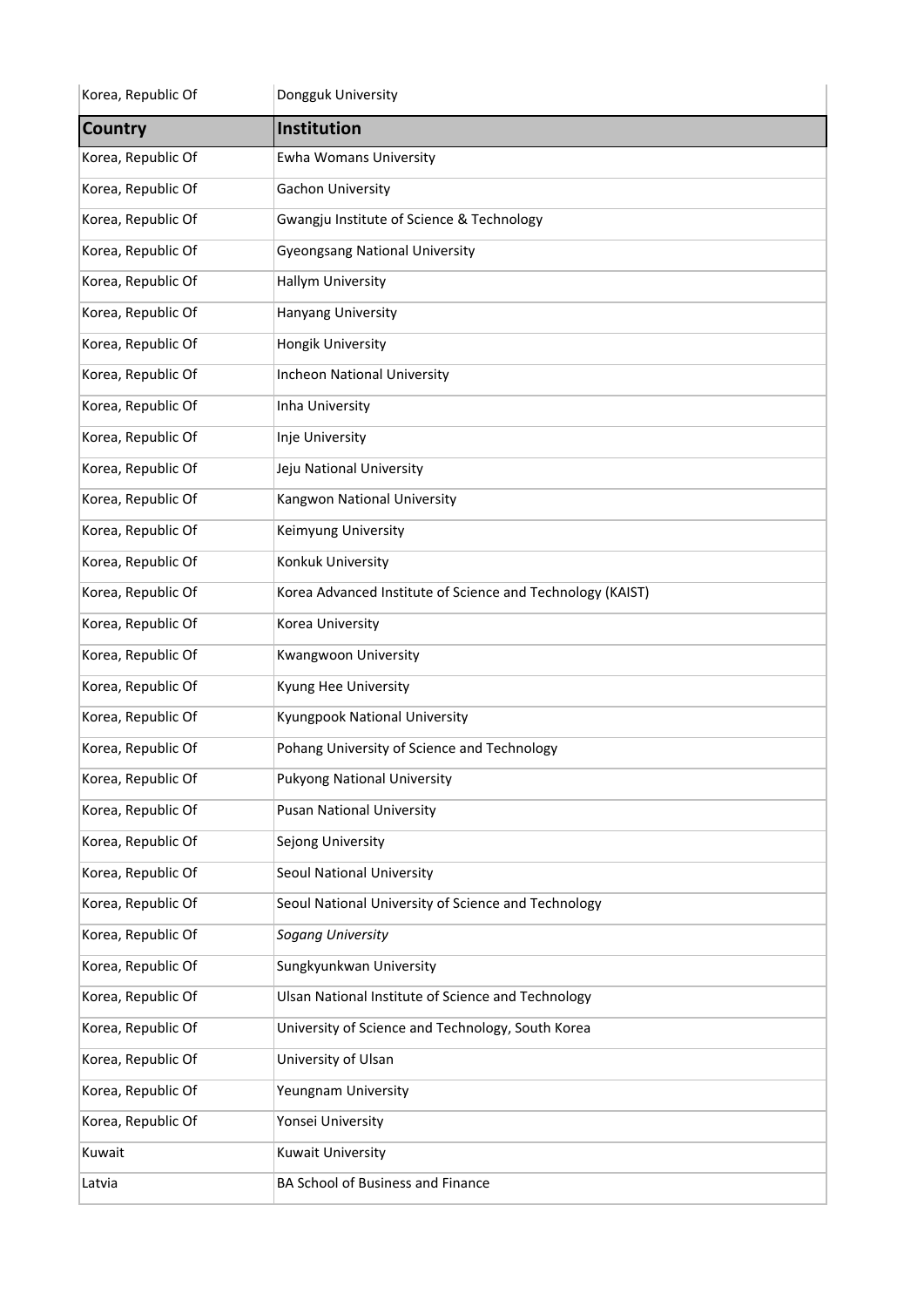| Korea, Republic Of | Dongguk University                                         |
|--------------------|------------------------------------------------------------|
| Country            | Institution                                                |
| Korea, Republic Of | <b>Ewha Womans University</b>                              |
| Korea, Republic Of | Gachon University                                          |
| Korea, Republic Of | Gwangju Institute of Science & Technology                  |
| Korea, Republic Of | <b>Gyeongsang National University</b>                      |
| Korea, Republic Of | <b>Hallym University</b>                                   |
| Korea, Republic Of | Hanyang University                                         |
| Korea, Republic Of | Hongik University                                          |
| Korea, Republic Of | <b>Incheon National University</b>                         |
| Korea, Republic Of | Inha University                                            |
| Korea, Republic Of | Inje University                                            |
| Korea, Republic Of | Jeju National University                                   |
| Korea, Republic Of | Kangwon National University                                |
| Korea, Republic Of | Keimyung University                                        |
| Korea, Republic Of | Konkuk University                                          |
| Korea, Republic Of | Korea Advanced Institute of Science and Technology (KAIST) |
| Korea, Republic Of | Korea University                                           |
| Korea, Republic Of | Kwangwoon University                                       |
| Korea, Republic Of | Kyung Hee University                                       |
| Korea, Republic Of | Kyungpook National University                              |
| Korea, Republic Of | Pohang University of Science and Technology                |
| Korea, Republic Of | <b>Pukyong National University</b>                         |
| Korea, Republic Of | <b>Pusan National University</b>                           |
| Korea, Republic Of | Sejong University                                          |
| Korea, Republic Of | Seoul National University                                  |
| Korea, Republic Of | Seoul National University of Science and Technology        |
| Korea, Republic Of | <b>Sogang University</b>                                   |
| Korea, Republic Of | Sungkyunkwan University                                    |
| Korea, Republic Of | Ulsan National Institute of Science and Technology         |
| Korea, Republic Of | University of Science and Technology, South Korea          |
| Korea, Republic Of | University of Ulsan                                        |
| Korea, Republic Of | Yeungnam University                                        |
| Korea, Republic Of | Yonsei University                                          |
| Kuwait             | Kuwait University                                          |
| Latvia             | BA School of Business and Finance                          |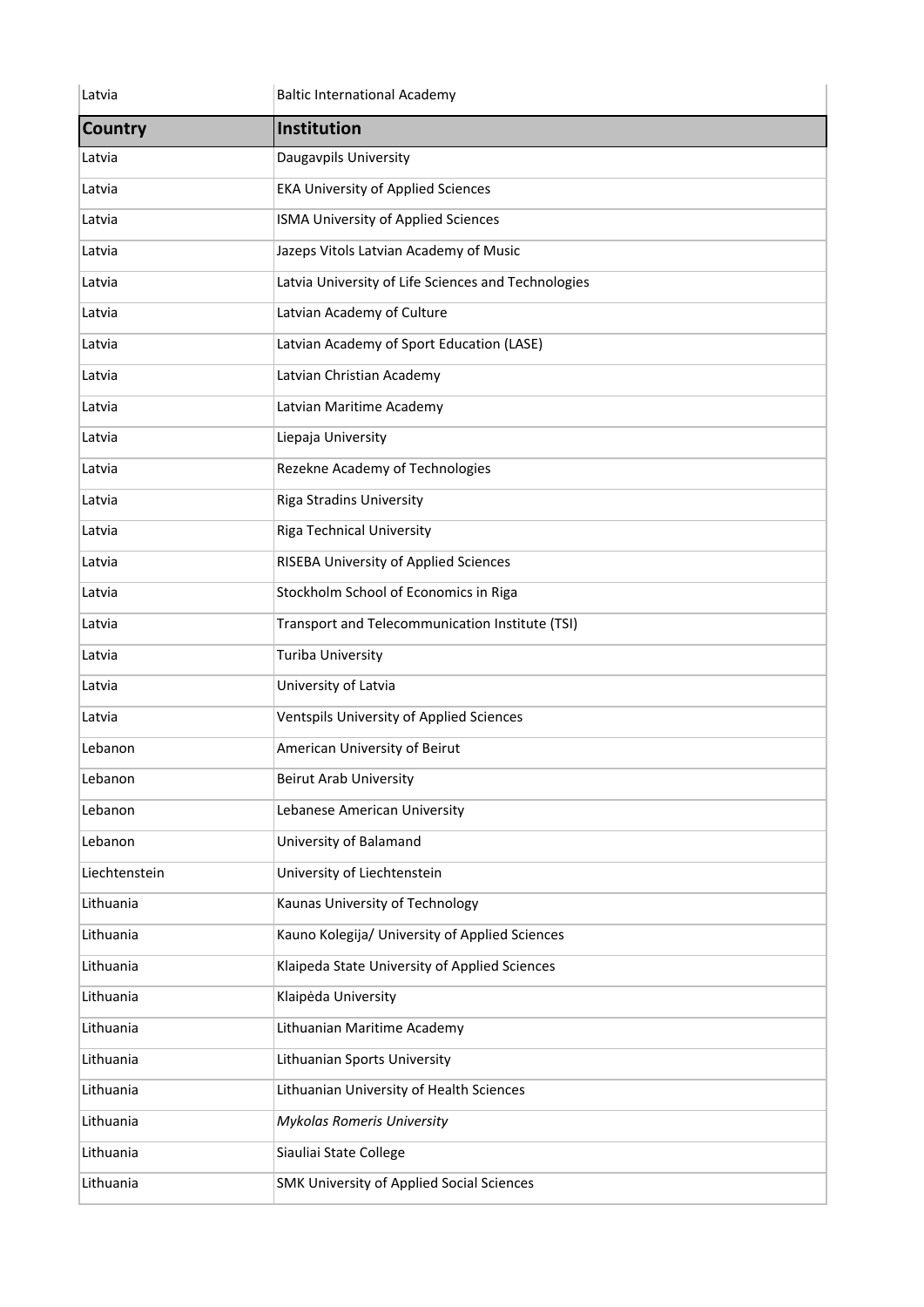| Latvia         | <b>Baltic International Academy</b>                 |
|----------------|-----------------------------------------------------|
| <b>Country</b> | Institution                                         |
| Latvia         | Daugavpils University                               |
| Latvia         | <b>EKA University of Applied Sciences</b>           |
| Latvia         | ISMA University of Applied Sciences                 |
| Latvia         | Jazeps Vitols Latvian Academy of Music              |
| Latvia         | Latvia University of Life Sciences and Technologies |
| Latvia         | Latvian Academy of Culture                          |
| Latvia         | Latvian Academy of Sport Education (LASE)           |
| Latvia         | Latvian Christian Academy                           |
| Latvia         | Latvian Maritime Academy                            |
| Latvia         | Liepaja University                                  |
| Latvia         | Rezekne Academy of Technologies                     |
| Latvia         | <b>Riga Stradins University</b>                     |
| Latvia         | <b>Riga Technical University</b>                    |
| Latvia         | RISEBA University of Applied Sciences               |
| Latvia         | Stockholm School of Economics in Riga               |
| Latvia         | Transport and Telecommunication Institute (TSI)     |
| Latvia         | <b>Turiba University</b>                            |
| Latvia         | University of Latvia                                |
| Latvia         | Ventspils University of Applied Sciences            |
| Lebanon        | American University of Beirut                       |
| Lebanon        | <b>Beirut Arab University</b>                       |
| Lebanon        | Lebanese American University                        |
| Lebanon        | University of Balamand                              |
| Liechtenstein  | University of Liechtenstein                         |
| Lithuania      | Kaunas University of Technology                     |
| Lithuania      | Kauno Kolegija/ University of Applied Sciences      |
| Lithuania      | Klaipeda State University of Applied Sciences       |
| Lithuania      | Klaipėda University                                 |
| Lithuania      | Lithuanian Maritime Academy                         |
| Lithuania      | Lithuanian Sports University                        |
| Lithuania      | Lithuanian University of Health Sciences            |
| Lithuania      | Mykolas Romeris University                          |
| Lithuania      | Siauliai State College                              |
| Lithuania      | <b>SMK University of Applied Social Sciences</b>    |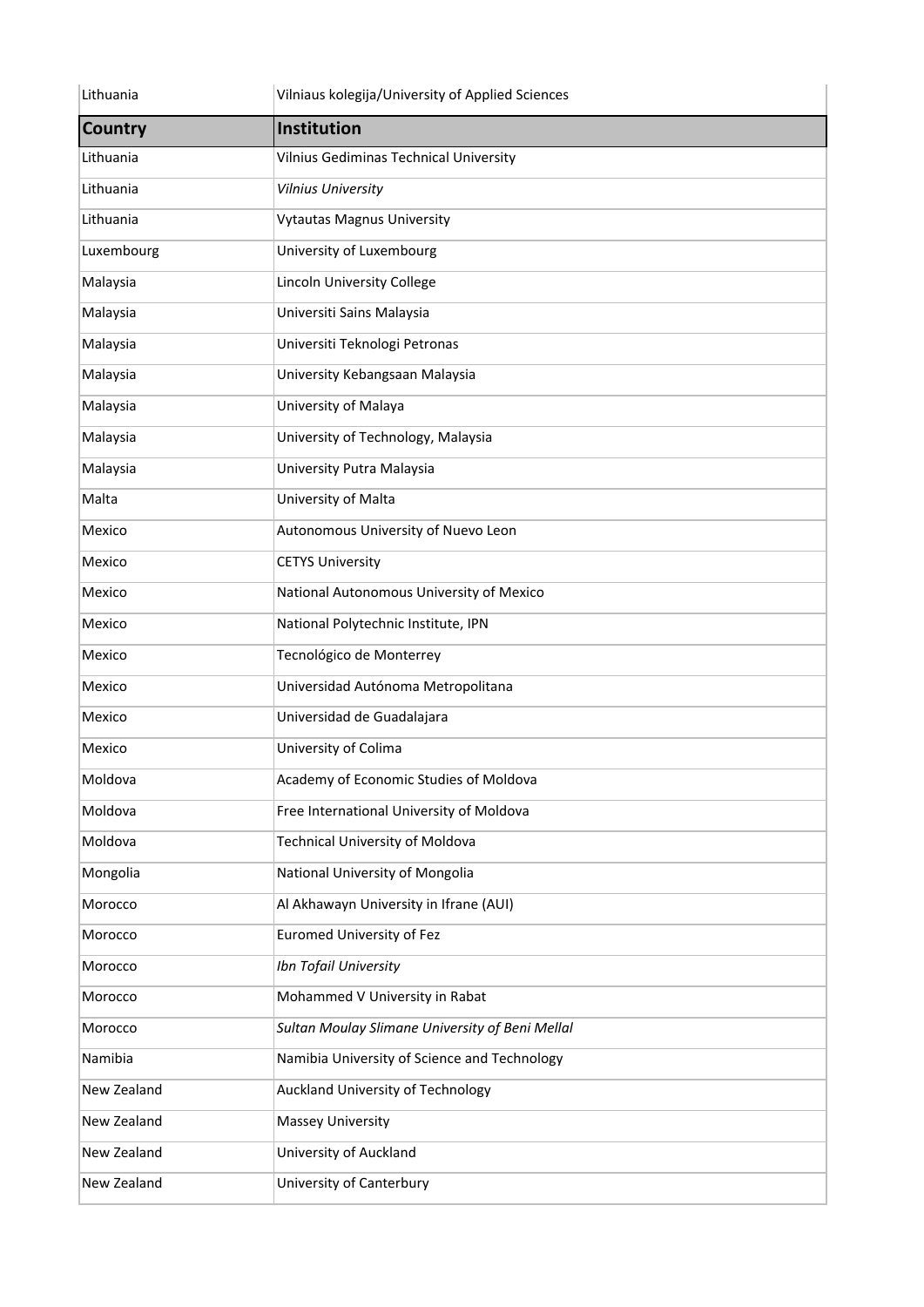| Lithuania      | Vilniaus kolegija/University of Applied Sciences |
|----------------|--------------------------------------------------|
| <b>Country</b> | Institution                                      |
| Lithuania      | Vilnius Gediminas Technical University           |
| Lithuania      | Vilnius University                               |
| Lithuania      | <b>Vytautas Magnus University</b>                |
| Luxembourg     | University of Luxembourg                         |
| Malaysia       | Lincoln University College                       |
| Malaysia       | Universiti Sains Malaysia                        |
| Malaysia       | Universiti Teknologi Petronas                    |
| Malaysia       | University Kebangsaan Malaysia                   |
| Malaysia       | University of Malaya                             |
| Malaysia       | University of Technology, Malaysia               |
| Malaysia       | University Putra Malaysia                        |
| Malta          | University of Malta                              |
| Mexico         | Autonomous University of Nuevo Leon              |
| Mexico         | <b>CETYS University</b>                          |
| Mexico         | National Autonomous University of Mexico         |
| Mexico         | National Polytechnic Institute, IPN              |
| Mexico         | Tecnológico de Monterrey                         |
| Mexico         | Universidad Autónoma Metropolitana               |
| Mexico         | Universidad de Guadalajara                       |
| Mexico         | University of Colima                             |
| Moldova        | Academy of Economic Studies of Moldova           |
| Moldova        | Free International University of Moldova         |
| Moldova        | <b>Technical University of Moldova</b>           |
| Mongolia       | National University of Mongolia                  |
| Morocco        | Al Akhawayn University in Ifrane (AUI)           |
| Morocco        | <b>Euromed University of Fez</b>                 |
| Morocco        | Ibn Tofail University                            |
| Morocco        | Mohammed V University in Rabat                   |
| Morocco        | Sultan Moulay Slimane University of Beni Mellal  |
| Namibia        | Namibia University of Science and Technology     |
| New Zealand    | Auckland University of Technology                |
| New Zealand    | <b>Massey University</b>                         |
| New Zealand    | University of Auckland                           |
| New Zealand    | University of Canterbury                         |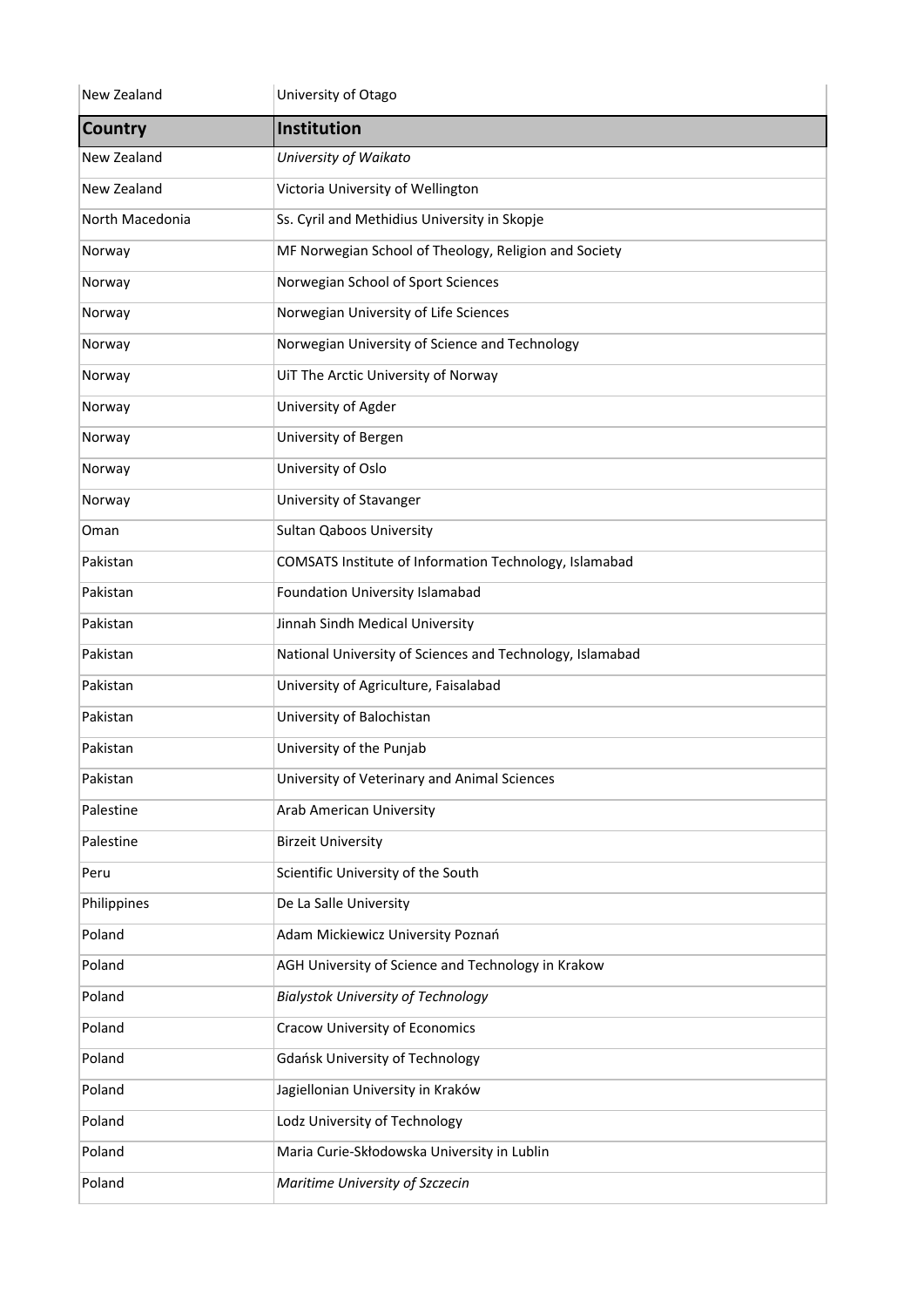| New Zealand     | University of Otago                                       |
|-----------------|-----------------------------------------------------------|
| <b>Country</b>  | Institution                                               |
| New Zealand     | University of Waikato                                     |
| New Zealand     | Victoria University of Wellington                         |
| North Macedonia | Ss. Cyril and Methidius University in Skopje              |
| Norway          | MF Norwegian School of Theology, Religion and Society     |
| Norway          | Norwegian School of Sport Sciences                        |
| Norway          | Norwegian University of Life Sciences                     |
| Norway          | Norwegian University of Science and Technology            |
| Norway          | UiT The Arctic University of Norway                       |
| Norway          | University of Agder                                       |
| Norway          | University of Bergen                                      |
| Norway          | University of Oslo                                        |
| Norway          | University of Stavanger                                   |
| Oman            | <b>Sultan Qaboos University</b>                           |
| Pakistan        | COMSATS Institute of Information Technology, Islamabad    |
| Pakistan        | Foundation University Islamabad                           |
| Pakistan        | Jinnah Sindh Medical University                           |
| Pakistan        | National University of Sciences and Technology, Islamabad |
| Pakistan        | University of Agriculture, Faisalabad                     |
| Pakistan        | University of Balochistan                                 |
| Pakistan        | University of the Punjab                                  |
| Pakistan        | University of Veterinary and Animal Sciences              |
| Palestine       | Arab American University                                  |
| Palestine       | <b>Birzeit University</b>                                 |
| Peru            | Scientific University of the South                        |
| Philippines     | De La Salle University                                    |
| Poland          | Adam Mickiewicz University Poznań                         |
| Poland          | AGH University of Science and Technology in Krakow        |
| Poland          | <b>Bialystok University of Technology</b>                 |
| Poland          | <b>Cracow University of Economics</b>                     |
| Poland          | <b>Gdańsk University of Technology</b>                    |
| Poland          | Jagiellonian University in Kraków                         |
| Poland          | Lodz University of Technology                             |
| Poland          | Maria Curie-Skłodowska University in Lublin               |
| Poland          | Maritime University of Szczecin                           |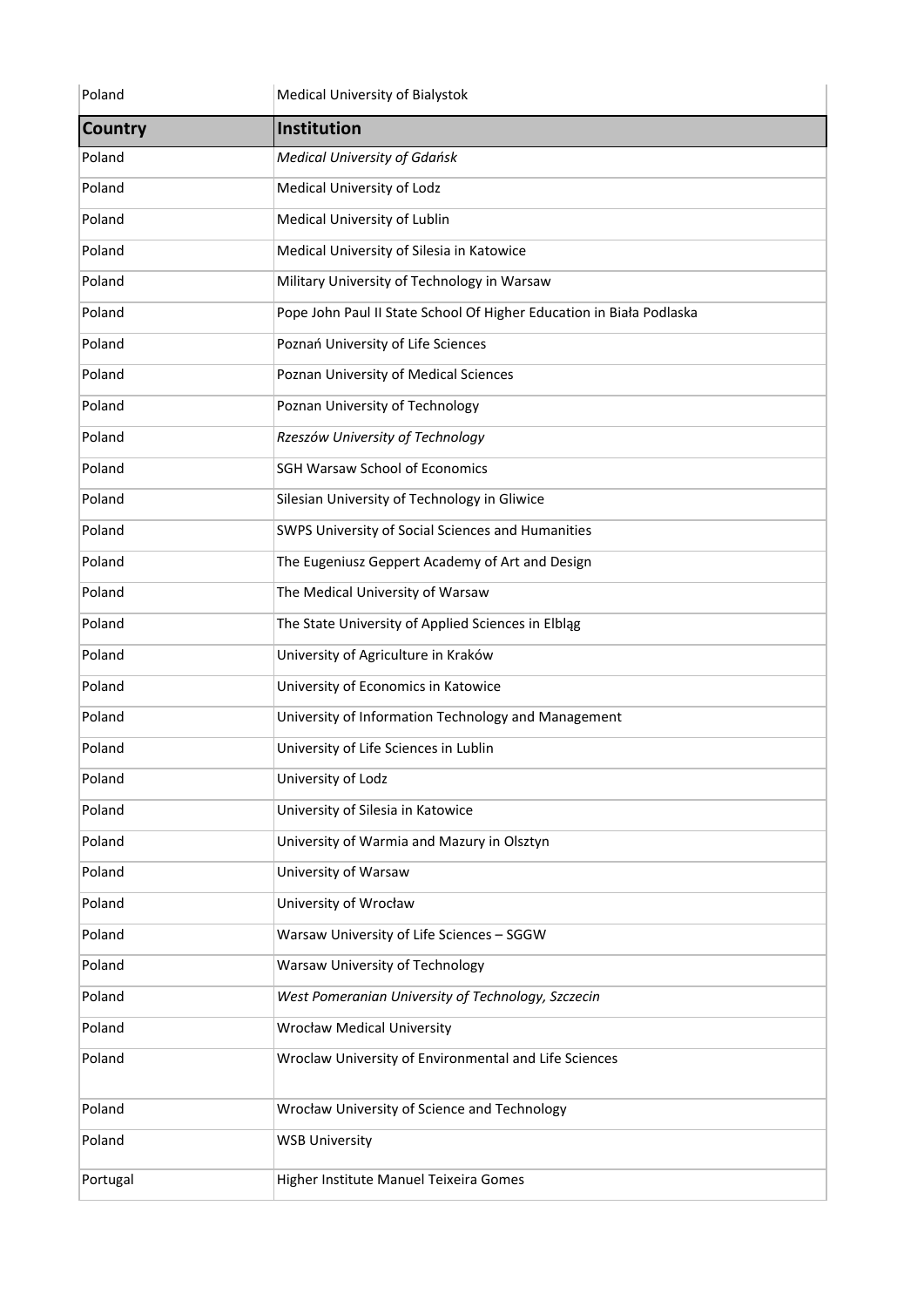| Poland         | Medical University of Bialystok                                      |
|----------------|----------------------------------------------------------------------|
| <b>Country</b> | Institution                                                          |
| Poland         | <b>Medical University of Gdańsk</b>                                  |
| Poland         | Medical University of Lodz                                           |
| Poland         | Medical University of Lublin                                         |
| Poland         | Medical University of Silesia in Katowice                            |
| Poland         | Military University of Technology in Warsaw                          |
| Poland         | Pope John Paul II State School Of Higher Education in Biała Podlaska |
| Poland         | Poznań University of Life Sciences                                   |
| Poland         | Poznan University of Medical Sciences                                |
| Poland         | Poznan University of Technology                                      |
| Poland         | Rzeszów University of Technology                                     |
| Poland         | <b>SGH Warsaw School of Economics</b>                                |
| Poland         | Silesian University of Technology in Gliwice                         |
| Poland         | SWPS University of Social Sciences and Humanities                    |
| Poland         | The Eugeniusz Geppert Academy of Art and Design                      |
| Poland         | The Medical University of Warsaw                                     |
| Poland         | The State University of Applied Sciences in Elbląg                   |
| Poland         | University of Agriculture in Kraków                                  |
| Poland         | University of Economics in Katowice                                  |
| Poland         | University of Information Technology and Management                  |
| Poland         | University of Life Sciences in Lublin                                |
| Poland         | University of Lodz                                                   |
| Poland         | University of Silesia in Katowice                                    |
| Poland         | University of Warmia and Mazury in Olsztyn                           |
| Poland         | University of Warsaw                                                 |
| Poland         | University of Wrocław                                                |
| Poland         | Warsaw University of Life Sciences - SGGW                            |
| Poland         | Warsaw University of Technology                                      |
| Poland         | West Pomeranian University of Technology, Szczecin                   |
| Poland         | <b>Wrocław Medical University</b>                                    |
| Poland         | Wroclaw University of Environmental and Life Sciences                |
| Poland         | Wrocław University of Science and Technology                         |
| Poland         | <b>WSB University</b>                                                |
| Portugal       | Higher Institute Manuel Teixeira Gomes                               |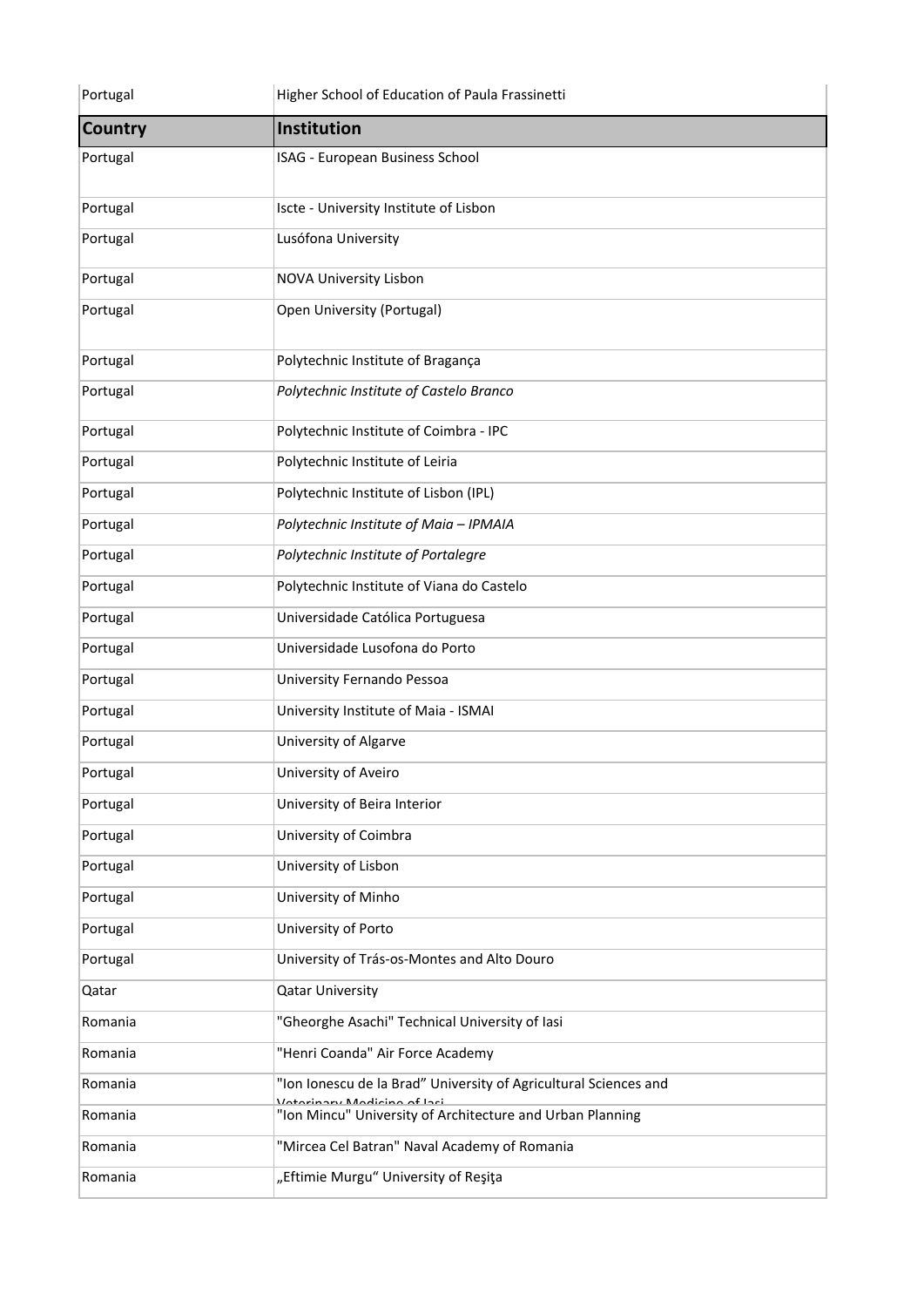| Portugal       | Higher School of Education of Paula Frassinetti                                               |
|----------------|-----------------------------------------------------------------------------------------------|
| <b>Country</b> | Institution                                                                                   |
| Portugal       | ISAG - European Business School                                                               |
| Portugal       | Iscte - University Institute of Lisbon                                                        |
| Portugal       | Lusófona University                                                                           |
| Portugal       | <b>NOVA University Lisbon</b>                                                                 |
| Portugal       | Open University (Portugal)                                                                    |
| Portugal       | Polytechnic Institute of Bragança                                                             |
| Portugal       | Polytechnic Institute of Castelo Branco                                                       |
| Portugal       | Polytechnic Institute of Coimbra - IPC                                                        |
| Portugal       | Polytechnic Institute of Leiria                                                               |
| Portugal       | Polytechnic Institute of Lisbon (IPL)                                                         |
| Portugal       | Polytechnic Institute of Maia - IPMAIA                                                        |
| Portugal       | Polytechnic Institute of Portalegre                                                           |
| Portugal       | Polytechnic Institute of Viana do Castelo                                                     |
| Portugal       | Universidade Católica Portuguesa                                                              |
| Portugal       | Universidade Lusofona do Porto                                                                |
| Portugal       | University Fernando Pessoa                                                                    |
| Portugal       | University Institute of Maia - ISMAI                                                          |
| Portugal       | University of Algarve                                                                         |
| Portugal       | University of Aveiro                                                                          |
| Portugal       | University of Beira Interior                                                                  |
| Portugal       | University of Coimbra                                                                         |
| Portugal       | University of Lisbon                                                                          |
| Portugal       | University of Minho                                                                           |
| Portugal       | University of Porto                                                                           |
| Portugal       | University of Trás-os-Montes and Alto Douro                                                   |
| Qatar          | <b>Qatar University</b>                                                                       |
| Romania        | "Gheorghe Asachi" Technical University of lasi                                                |
| Romania        | "Henri Coanda" Air Force Academy                                                              |
| Romania        | "Ion Ionescu de la Brad" University of Agricultural Sciences and<br>tarinamı Madicina af Iaci |
| Romania        | "Ion Mincu" University of Architecture and Urban Planning                                     |
| Romania        | "Mircea Cel Batran" Naval Academy of Romania                                                  |
| Romania        | "Eftimie Murgu" University of Reşiţa                                                          |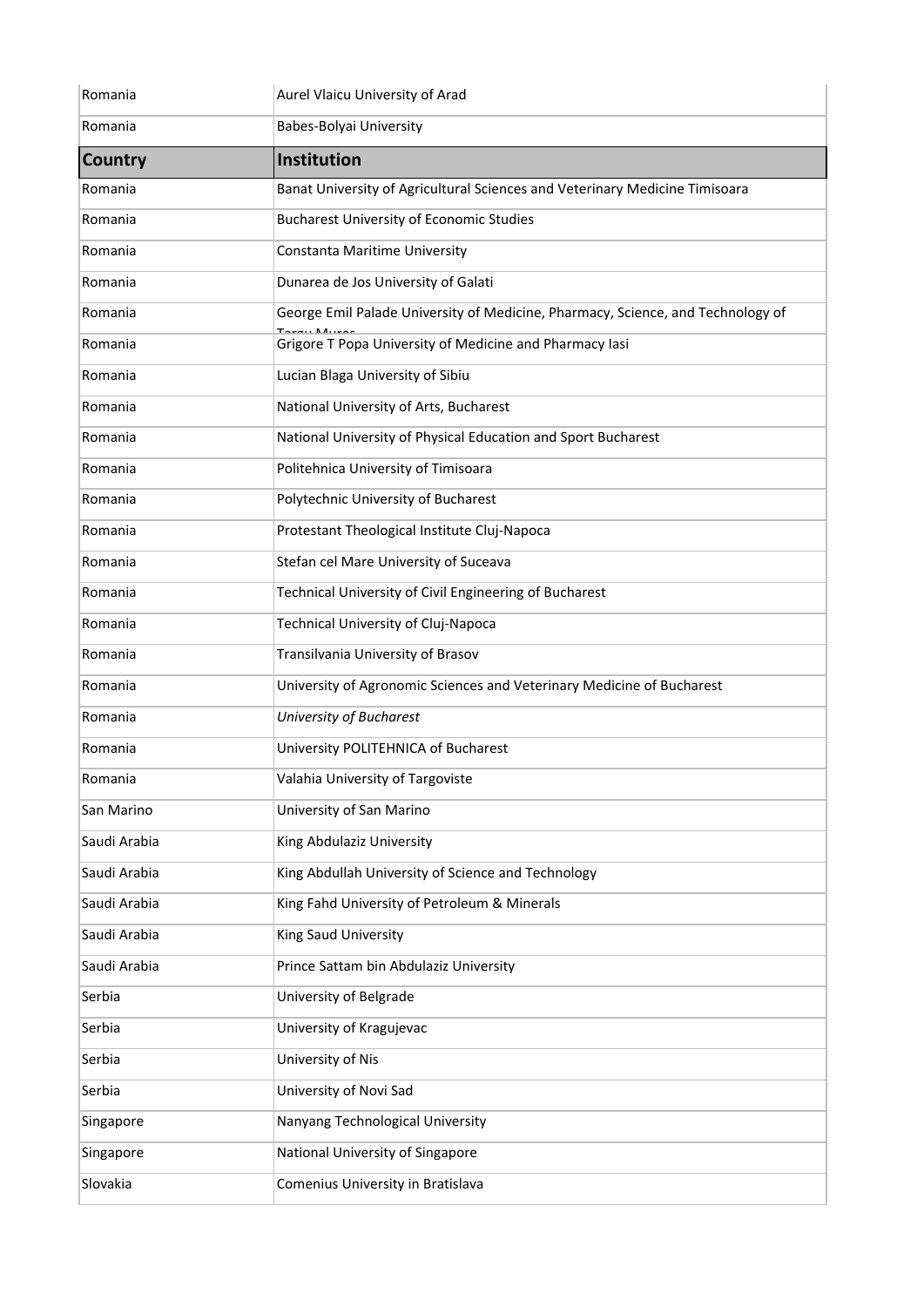| Romania        | Aurel Vlaicu University of Arad                                                 |
|----------------|---------------------------------------------------------------------------------|
| Romania        | Babes-Bolyai University                                                         |
| <b>Country</b> | Institution                                                                     |
| Romania        | Banat University of Agricultural Sciences and Veterinary Medicine Timisoara     |
| Romania        | <b>Bucharest University of Economic Studies</b>                                 |
| Romania        | Constanta Maritime University                                                   |
| Romania        | Dunarea de Jos University of Galati                                             |
| Romania        | George Emil Palade University of Medicine, Pharmacy, Science, and Technology of |
| Romania        | Grigore T Popa University of Medicine and Pharmacy lasi                         |
| Romania        | Lucian Blaga University of Sibiu                                                |
| Romania        | National University of Arts, Bucharest                                          |
| Romania        | National University of Physical Education and Sport Bucharest                   |
| Romania        | Politehnica University of Timisoara                                             |
| Romania        | Polytechnic University of Bucharest                                             |
| Romania        | Protestant Theological Institute Cluj-Napoca                                    |
| Romania        | Stefan cel Mare University of Suceava                                           |
| Romania        | Technical University of Civil Engineering of Bucharest                          |
| Romania        | Technical University of Cluj-Napoca                                             |
| Romania        | Transilvania University of Brasov                                               |
| Romania        | University of Agronomic Sciences and Veterinary Medicine of Bucharest           |
| Romania        | University of Bucharest                                                         |
| Romania        | University POLITEHNICA of Bucharest                                             |
| Romania        | Valahia University of Targoviste                                                |
| San Marino     | University of San Marino                                                        |
| Saudi Arabia   | King Abdulaziz University                                                       |
| Saudi Arabia   | King Abdullah University of Science and Technology                              |
| Saudi Arabia   | King Fahd University of Petroleum & Minerals                                    |
| Saudi Arabia   | King Saud University                                                            |
| Saudi Arabia   | Prince Sattam bin Abdulaziz University                                          |
| Serbia         | University of Belgrade                                                          |
| Serbia         | University of Kragujevac                                                        |
| Serbia         | University of Nis                                                               |
| Serbia         | University of Novi Sad                                                          |
| Singapore      | Nanyang Technological University                                                |
| Singapore      | National University of Singapore                                                |
| Slovakia       | Comenius University in Bratislava                                               |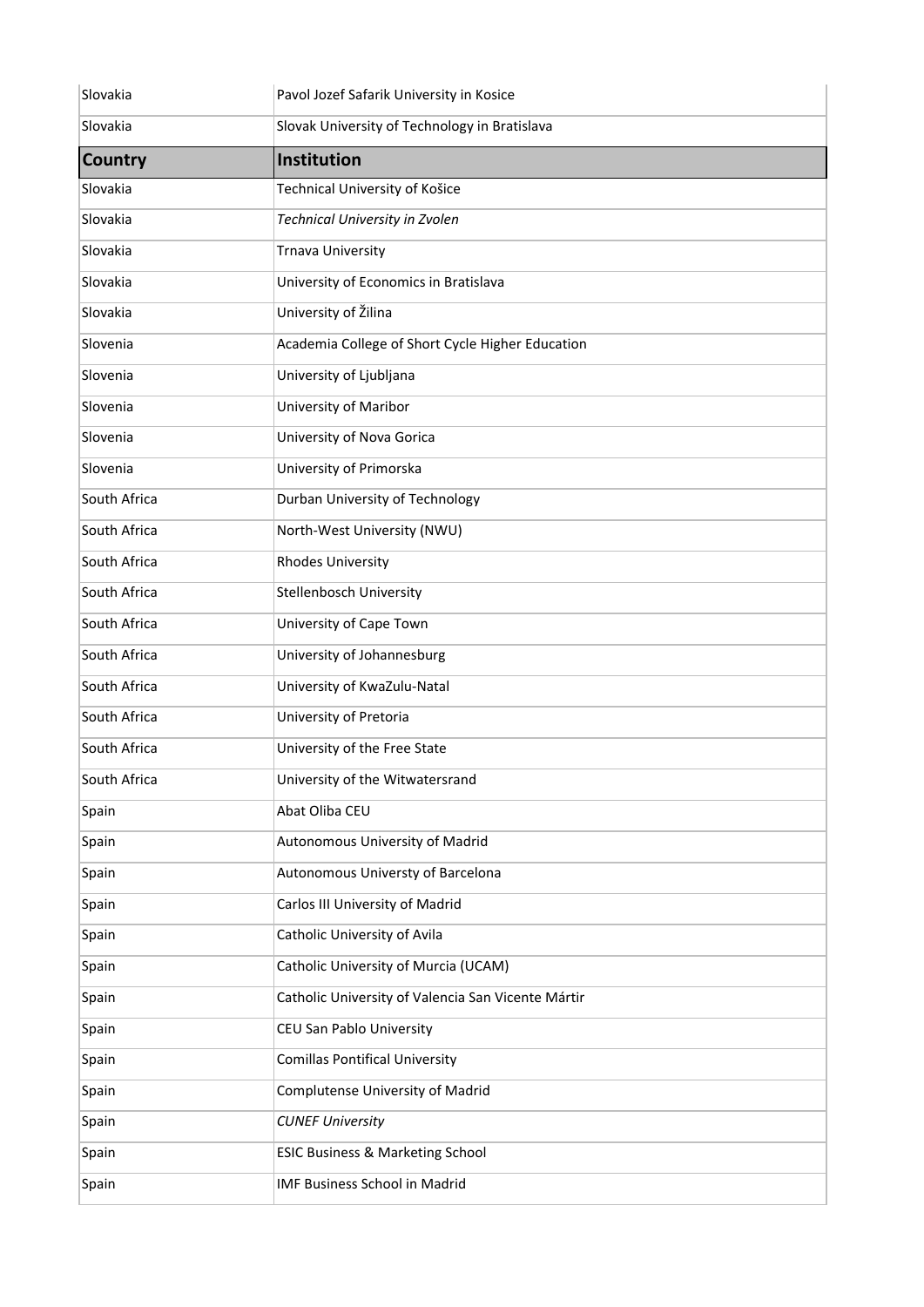| Slovakia       | Pavol Jozef Safarik University in Kosice           |
|----------------|----------------------------------------------------|
| Slovakia       | Slovak University of Technology in Bratislava      |
| <b>Country</b> | Institution                                        |
| Slovakia       | Technical University of Košice                     |
| Slovakia       | Technical University in Zvolen                     |
| Slovakia       | <b>Trnava University</b>                           |
| Slovakia       | University of Economics in Bratislava              |
| Slovakia       | University of Žilina                               |
| Slovenia       | Academia College of Short Cycle Higher Education   |
| Slovenia       | University of Ljubljana                            |
| Slovenia       | <b>University of Maribor</b>                       |
| Slovenia       | University of Nova Gorica                          |
| Slovenia       | University of Primorska                            |
| South Africa   | Durban University of Technology                    |
| South Africa   | North-West University (NWU)                        |
| South Africa   | <b>Rhodes University</b>                           |
| South Africa   | <b>Stellenbosch University</b>                     |
| South Africa   | University of Cape Town                            |
| South Africa   | University of Johannesburg                         |
| South Africa   | University of KwaZulu-Natal                        |
| South Africa   | University of Pretoria                             |
| South Africa   | University of the Free State                       |
| South Africa   | University of the Witwatersrand                    |
| Spain          | Abat Oliba CEU                                     |
| Spain          | Autonomous University of Madrid                    |
| Spain          | Autonomous Universty of Barcelona                  |
| Spain          | Carlos III University of Madrid                    |
| Spain          | Catholic University of Avila                       |
| Spain          | Catholic University of Murcia (UCAM)               |
| Spain          | Catholic University of Valencia San Vicente Mártir |
| Spain          | CEU San Pablo University                           |
| Spain          | <b>Comillas Pontifical University</b>              |
| Spain          | Complutense University of Madrid                   |
| Spain          | <b>CUNEF University</b>                            |
| Spain          | <b>ESIC Business &amp; Marketing School</b>        |
| Spain          | IMF Business School in Madrid                      |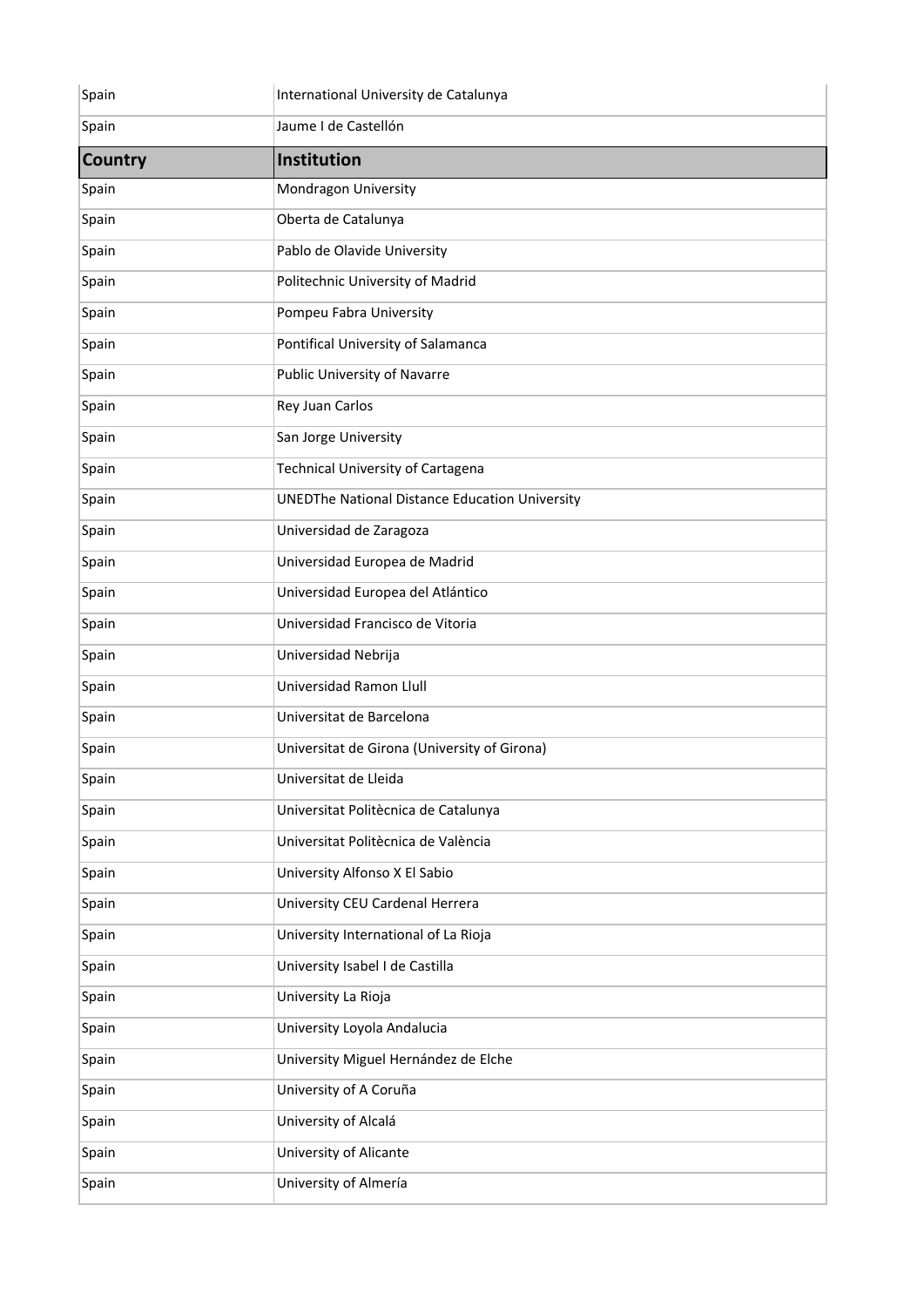| Spain          | International University de Catalunya                 |
|----------------|-------------------------------------------------------|
| Spain          | Jaume I de Castellón                                  |
| <b>Country</b> | Institution                                           |
| Spain          | Mondragon University                                  |
| Spain          | Oberta de Catalunya                                   |
| Spain          | Pablo de Olavide University                           |
| Spain          | Politechnic University of Madrid                      |
| Spain          | Pompeu Fabra University                               |
| Spain          | Pontifical University of Salamanca                    |
| Spain          | Public University of Navarre                          |
| Spain          | Rey Juan Carlos                                       |
| Spain          | San Jorge University                                  |
| Spain          | <b>Technical University of Cartagena</b>              |
| Spain          | <b>UNEDThe National Distance Education University</b> |
| Spain          | Universidad de Zaragoza                               |
| Spain          | Universidad Europea de Madrid                         |
| Spain          | Universidad Europea del Atlántico                     |
| Spain          | Universidad Francisco de Vitoria                      |
| Spain          | Universidad Nebrija                                   |
| Spain          | Universidad Ramon Llull                               |
| Spain          | Universitat de Barcelona                              |
| Spain          | Universitat de Girona (University of Girona)          |
| Spain          | Universitat de Lleida                                 |
| Spain          | Universitat Politècnica de Catalunya                  |
| Spain          | Universitat Politècnica de València                   |
| Spain          | University Alfonso X El Sabio                         |
| Spain          | University CEU Cardenal Herrera                       |
| Spain          | University International of La Rioja                  |
| Spain          | University Isabel I de Castilla                       |
| Spain          | University La Rioja                                   |
| Spain          | University Loyola Andalucia                           |
| Spain          | University Miguel Hernández de Elche                  |
| Spain          | University of A Coruña                                |
| Spain          | University of Alcalá                                  |
| Spain          | University of Alicante                                |
| Spain          | University of Almería                                 |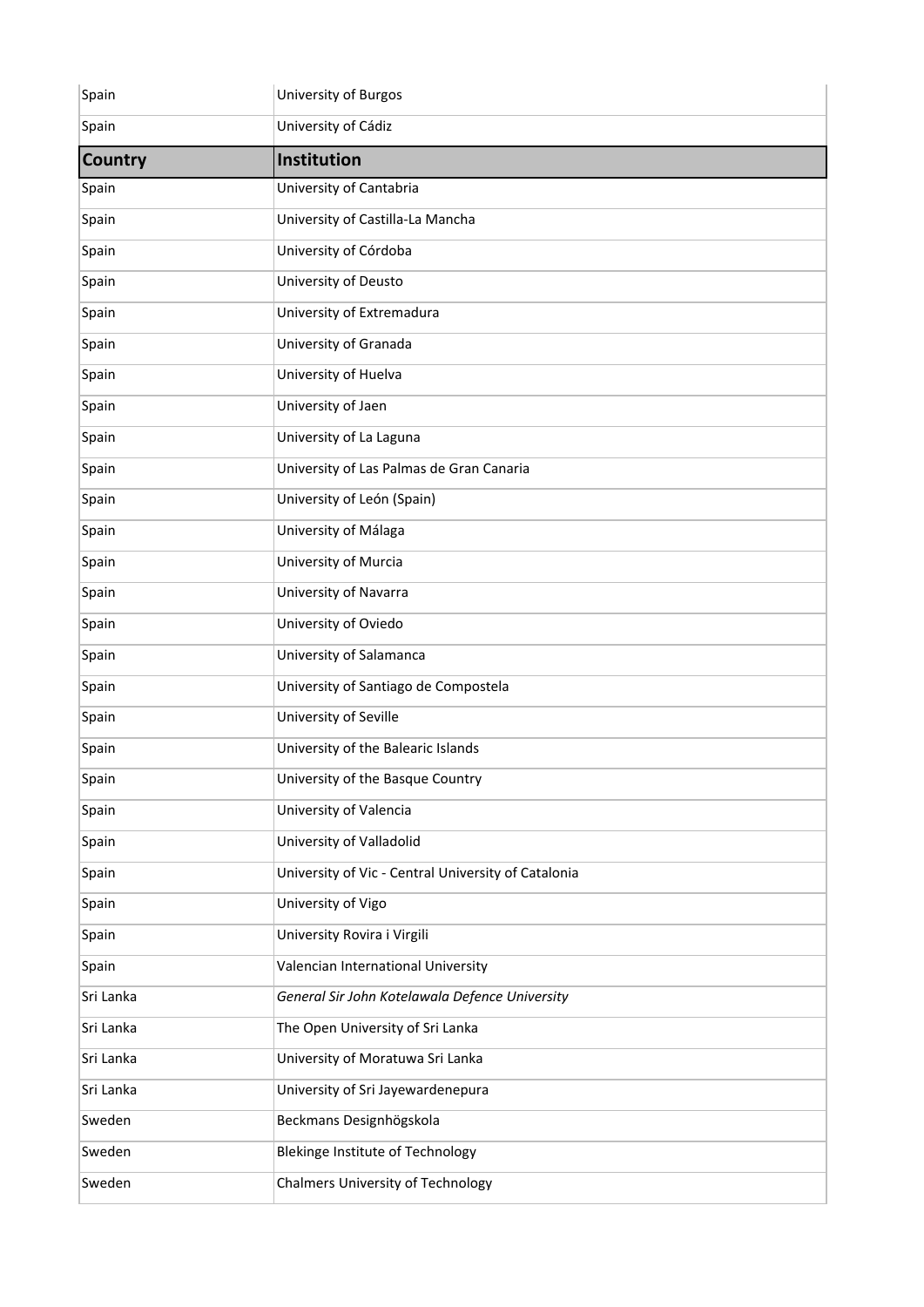| Spain          | University of Burgos                                |
|----------------|-----------------------------------------------------|
| Spain          | University of Cádiz                                 |
| <b>Country</b> | Institution                                         |
| Spain          | University of Cantabria                             |
| Spain          | University of Castilla-La Mancha                    |
| Spain          | University of Córdoba                               |
| Spain          | University of Deusto                                |
| Spain          | University of Extremadura                           |
| Spain          | University of Granada                               |
| Spain          | University of Huelva                                |
| Spain          | University of Jaen                                  |
| Spain          | University of La Laguna                             |
| Spain          | University of Las Palmas de Gran Canaria            |
| Spain          | University of León (Spain)                          |
| Spain          | University of Málaga                                |
| Spain          | University of Murcia                                |
| Spain          | University of Navarra                               |
| Spain          | University of Oviedo                                |
| Spain          | University of Salamanca                             |
| Spain          | University of Santiago de Compostela                |
| Spain          | University of Seville                               |
| Spain          | University of the Balearic Islands                  |
| Spain          | University of the Basque Country                    |
| Spain          | University of Valencia                              |
| Spain          | University of Valladolid                            |
| Spain          | University of Vic - Central University of Catalonia |
| Spain          | University of Vigo                                  |
| Spain          | University Rovira i Virgili                         |
| Spain          | Valencian International University                  |
| Sri Lanka      | General Sir John Kotelawala Defence University      |
| Sri Lanka      | The Open University of Sri Lanka                    |
| Sri Lanka      | University of Moratuwa Sri Lanka                    |
| Sri Lanka      | University of Sri Jayewardenepura                   |
| Sweden         | Beckmans Designhögskola                             |
| Sweden         | <b>Blekinge Institute of Technology</b>             |
| Sweden         | <b>Chalmers University of Technology</b>            |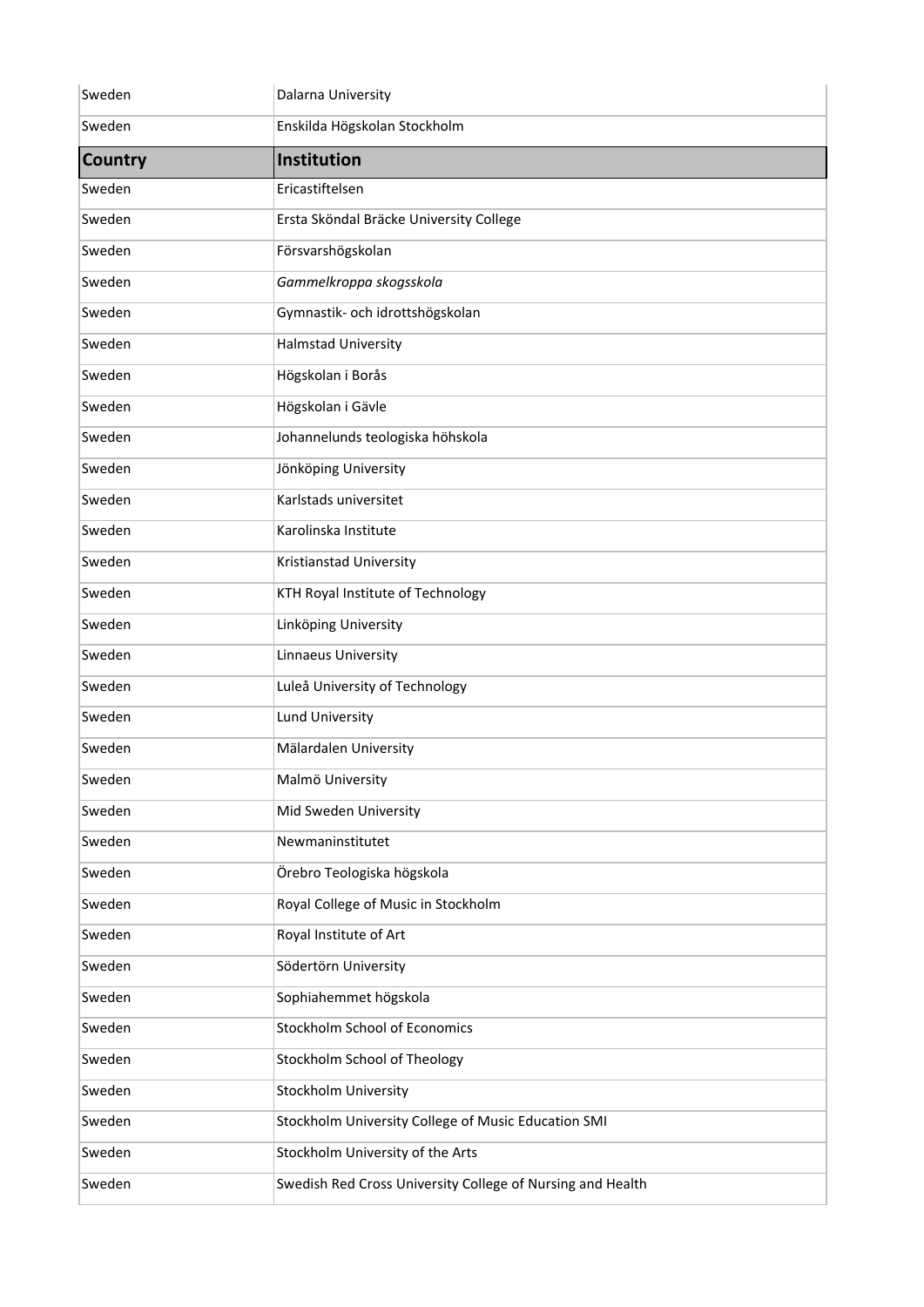| Sweden         | Dalarna University                                         |
|----------------|------------------------------------------------------------|
| Sweden         | Enskilda Högskolan Stockholm                               |
| <b>Country</b> | <b>Institution</b>                                         |
| Sweden         | Ericastiftelsen                                            |
| Sweden         | Ersta Sköndal Bräcke University College                    |
| Sweden         | Försvarshögskolan                                          |
| Sweden         | Gammelkroppa skogsskola                                    |
| Sweden         | Gymnastik- och idrottshögskolan                            |
| Sweden         | Halmstad University                                        |
| Sweden         | Högskolan i Borås                                          |
| Sweden         | Högskolan i Gävle                                          |
| Sweden         | Johannelunds teologiska höhskola                           |
| Sweden         | Jönköping University                                       |
| Sweden         | Karlstads universitet                                      |
| Sweden         | Karolinska Institute                                       |
| Sweden         | Kristianstad University                                    |
| Sweden         | KTH Royal Institute of Technology                          |
| Sweden         | Linköping University                                       |
| Sweden         | Linnaeus University                                        |
| Sweden         | Luleå University of Technology                             |
| Sweden         | Lund University                                            |
| Sweden         | Mälardalen University                                      |
| Sweden         | Malmö University                                           |
| Sweden         | Mid Sweden University                                      |
| Sweden         | Newmaninstitutet                                           |
| Sweden         | Örebro Teologiska högskola                                 |
| Sweden         | Royal College of Music in Stockholm                        |
| Sweden         | Royal Institute of Art                                     |
| Sweden         | Södertörn University                                       |
| Sweden         | Sophiahemmet högskola                                      |
| Sweden         | Stockholm School of Economics                              |
| Sweden         | Stockholm School of Theology                               |
| Sweden         | Stockholm University                                       |
| Sweden         | Stockholm University College of Music Education SMI        |
| Sweden         | Stockholm University of the Arts                           |
| Sweden         | Swedish Red Cross University College of Nursing and Health |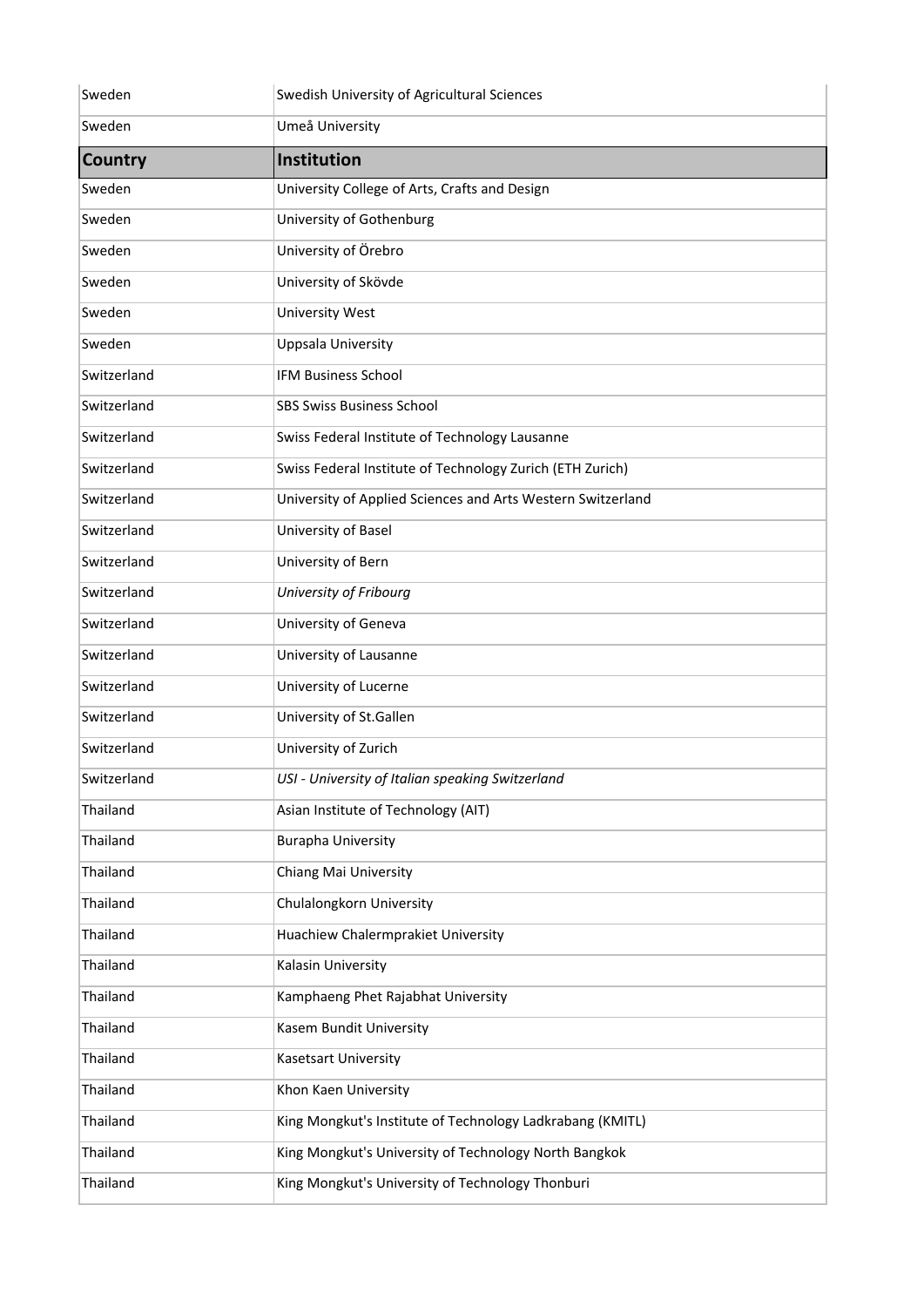| Sweden         | Swedish University of Agricultural Sciences                 |
|----------------|-------------------------------------------------------------|
| Sweden         | Umeå University                                             |
| <b>Country</b> | Institution                                                 |
| Sweden         | University College of Arts, Crafts and Design               |
| Sweden         | University of Gothenburg                                    |
| Sweden         | University of Örebro                                        |
| Sweden         | University of Skövde                                        |
| Sweden         | <b>University West</b>                                      |
| Sweden         | <b>Uppsala University</b>                                   |
| Switzerland    | <b>IFM Business School</b>                                  |
| Switzerland    | <b>SBS Swiss Business School</b>                            |
| Switzerland    | Swiss Federal Institute of Technology Lausanne              |
| Switzerland    | Swiss Federal Institute of Technology Zurich (ETH Zurich)   |
| Switzerland    | University of Applied Sciences and Arts Western Switzerland |
| Switzerland    | University of Basel                                         |
| Switzerland    | University of Bern                                          |
| Switzerland    | University of Fribourg                                      |
| Switzerland    | University of Geneva                                        |
| Switzerland    | University of Lausanne                                      |
| Switzerland    | University of Lucerne                                       |
| Switzerland    | University of St.Gallen                                     |
| Switzerland    | University of Zurich                                        |
| Switzerland    | USI - University of Italian speaking Switzerland            |
| Thailand       | Asian Institute of Technology (AIT)                         |
| Thailand       | <b>Burapha University</b>                                   |
| Thailand       | Chiang Mai University                                       |
| Thailand       | Chulalongkorn University                                    |
| Thailand       | Huachiew Chalermprakiet University                          |
| Thailand       | Kalasin University                                          |
| Thailand       | Kamphaeng Phet Rajabhat University                          |
| Thailand       | Kasem Bundit University                                     |
| Thailand       | <b>Kasetsart University</b>                                 |
| Thailand       | Khon Kaen University                                        |
| Thailand       | King Mongkut's Institute of Technology Ladkrabang (KMITL)   |
| Thailand       | King Mongkut's University of Technology North Bangkok       |
| Thailand       | King Mongkut's University of Technology Thonburi            |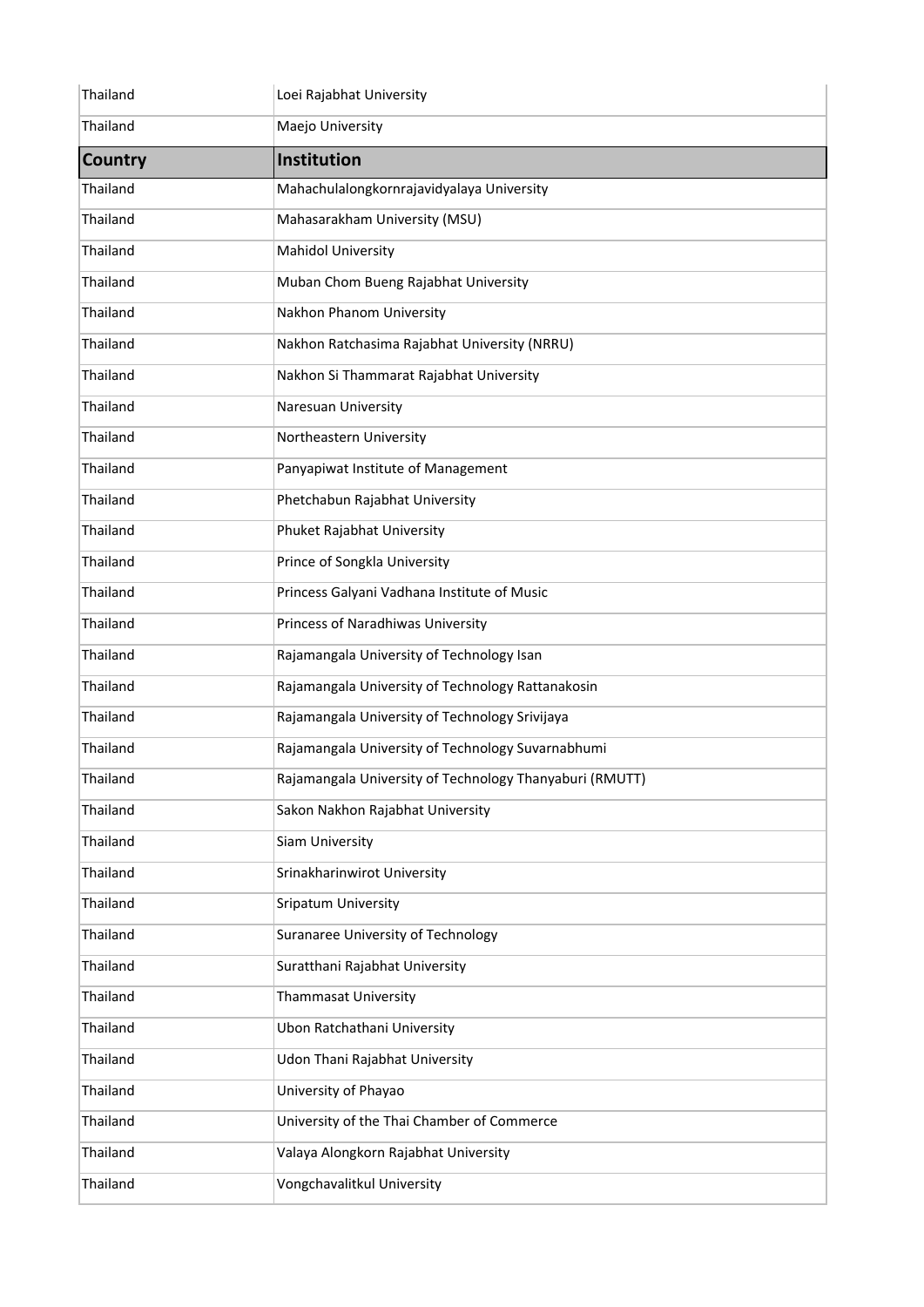| Thailand       | Loei Rajabhat University                                |
|----------------|---------------------------------------------------------|
| Thailand       | Maejo University                                        |
| <b>Country</b> | Institution                                             |
| Thailand       | Mahachulalongkornrajavidyalaya University               |
| Thailand       | Mahasarakham University (MSU)                           |
| Thailand       | <b>Mahidol University</b>                               |
| Thailand       | Muban Chom Bueng Rajabhat University                    |
| Thailand       | Nakhon Phanom University                                |
| Thailand       | Nakhon Ratchasima Rajabhat University (NRRU)            |
| Thailand       | Nakhon Si Thammarat Rajabhat University                 |
| Thailand       | Naresuan University                                     |
| Thailand       | Northeastern University                                 |
| Thailand       | Panyapiwat Institute of Management                      |
| Thailand       | Phetchabun Rajabhat University                          |
| Thailand       | Phuket Rajabhat University                              |
| Thailand       | Prince of Songkla University                            |
| Thailand       | Princess Galyani Vadhana Institute of Music             |
| Thailand       | Princess of Naradhiwas University                       |
| Thailand       | Rajamangala University of Technology Isan               |
| Thailand       | Rajamangala University of Technology Rattanakosin       |
| Thailand       | Rajamangala University of Technology Srivijaya          |
| Thailand       | Rajamangala University of Technology Suvarnabhumi       |
| Thailand       | Rajamangala University of Technology Thanyaburi (RMUTT) |
| Thailand       | Sakon Nakhon Rajabhat University                        |
| Thailand       | Siam University                                         |
| Thailand       | Srinakharinwirot University                             |
| Thailand       | Sripatum University                                     |
| Thailand       | Suranaree University of Technology                      |
| Thailand       | Suratthani Rajabhat University                          |
| Thailand       | Thammasat University                                    |
| Thailand       | Ubon Ratchathani University                             |
| Thailand       | Udon Thani Rajabhat University                          |
| Thailand       | University of Phayao                                    |
| Thailand       | University of the Thai Chamber of Commerce              |
| Thailand       | Valaya Alongkorn Rajabhat University                    |
| Thailand       | Vongchavalitkul University                              |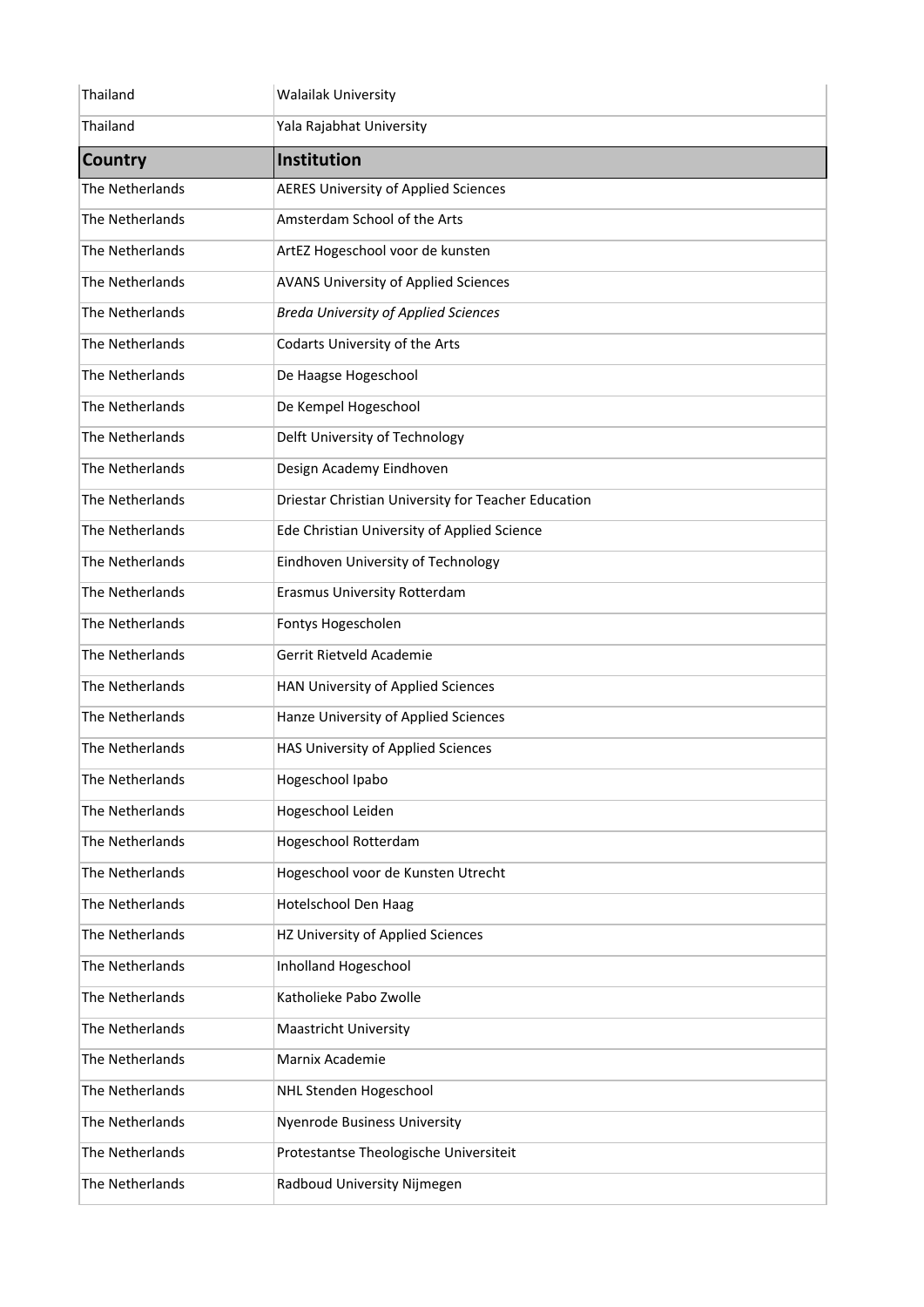| Thailand               | <b>Walailak University</b>                          |
|------------------------|-----------------------------------------------------|
| Thailand               | Yala Rajabhat University                            |
| <b>Country</b>         | <b>Institution</b>                                  |
| The Netherlands        | <b>AERES University of Applied Sciences</b>         |
| The Netherlands        | Amsterdam School of the Arts                        |
| The Netherlands        | ArtEZ Hogeschool voor de kunsten                    |
| The Netherlands        | <b>AVANS University of Applied Sciences</b>         |
| The Netherlands        | <b>Breda University of Applied Sciences</b>         |
| <b>The Netherlands</b> | Codarts University of the Arts                      |
| The Netherlands        | De Haagse Hogeschool                                |
| The Netherlands        | De Kempel Hogeschool                                |
| The Netherlands        | Delft University of Technology                      |
| The Netherlands        | Design Academy Eindhoven                            |
| The Netherlands        | Driestar Christian University for Teacher Education |
| The Netherlands        | Ede Christian University of Applied Science         |
| The Netherlands        | Eindhoven University of Technology                  |
| The Netherlands        | <b>Erasmus University Rotterdam</b>                 |
| The Netherlands        | Fontys Hogescholen                                  |
| The Netherlands        | Gerrit Rietveld Academie                            |
| The Netherlands        | HAN University of Applied Sciences                  |
| The Netherlands        | Hanze University of Applied Sciences                |
| The Netherlands        | HAS University of Applied Sciences                  |
| The Netherlands        | Hogeschool Ipabo                                    |
| The Netherlands        | Hogeschool Leiden                                   |
| The Netherlands        | <b>Hogeschool Rotterdam</b>                         |
| The Netherlands        | Hogeschool voor de Kunsten Utrecht                  |
| <b>The Netherlands</b> | Hotelschool Den Haag                                |
| The Netherlands        | HZ University of Applied Sciences                   |
| The Netherlands        | Inholland Hogeschool                                |
| The Netherlands        | Katholieke Pabo Zwolle                              |
| The Netherlands        | <b>Maastricht University</b>                        |
| The Netherlands        | Marnix Academie                                     |
| The Netherlands        | NHL Stenden Hogeschool                              |
| The Netherlands        | <b>Nyenrode Business University</b>                 |
| The Netherlands        | Protestantse Theologische Universiteit              |
| The Netherlands        | Radboud University Nijmegen                         |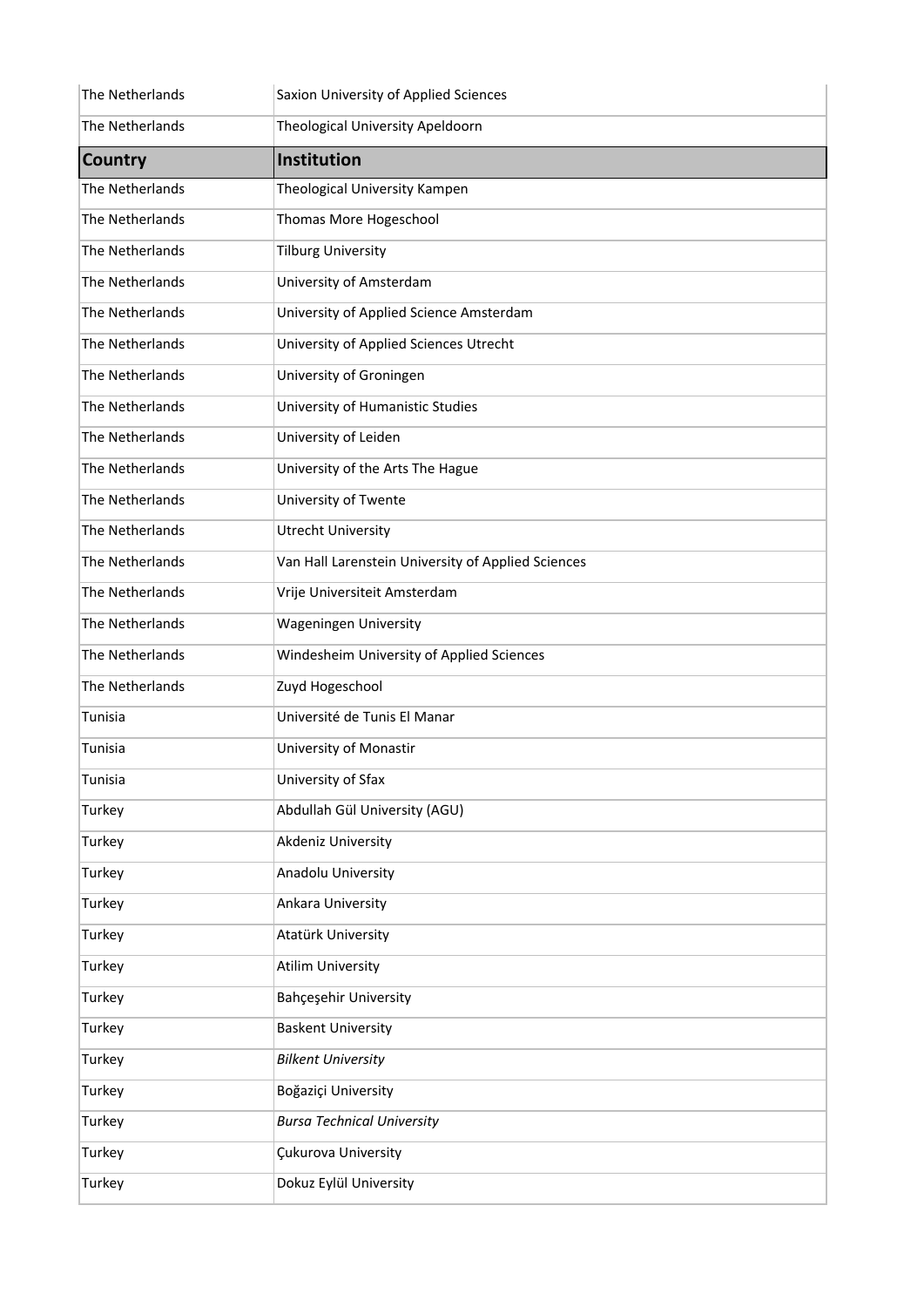| The Netherlands | Saxion University of Applied Sciences              |
|-----------------|----------------------------------------------------|
| The Netherlands | Theological University Apeldoorn                   |
| <b>Country</b>  | Institution                                        |
| The Netherlands | Theological University Kampen                      |
| The Netherlands | Thomas More Hogeschool                             |
| The Netherlands | <b>Tilburg University</b>                          |
| The Netherlands | University of Amsterdam                            |
| The Netherlands | University of Applied Science Amsterdam            |
| The Netherlands | University of Applied Sciences Utrecht             |
| The Netherlands | University of Groningen                            |
| The Netherlands | University of Humanistic Studies                   |
| The Netherlands | University of Leiden                               |
| The Netherlands | University of the Arts The Hague                   |
| The Netherlands | University of Twente                               |
| The Netherlands | <b>Utrecht University</b>                          |
| The Netherlands | Van Hall Larenstein University of Applied Sciences |
| The Netherlands | Vrije Universiteit Amsterdam                       |
| The Netherlands | <b>Wageningen University</b>                       |
| The Netherlands | Windesheim University of Applied Sciences          |
| The Netherlands | Zuyd Hogeschool                                    |
| Tunisia         | Université de Tunis El Manar                       |
| Tunisia         | University of Monastir                             |
| Tunisia         | University of Sfax                                 |
| Turkey          | Abdullah Gül University (AGU)                      |
| Turkey          | Akdeniz University                                 |
| Turkey          | Anadolu University                                 |
| Turkey          | Ankara University                                  |
| Turkey          | Atatürk University                                 |
| Turkey          | <b>Atilim University</b>                           |
| Turkey          | Bahçeşehir University                              |
| Turkey          | <b>Baskent University</b>                          |
| Turkey          | <b>Bilkent University</b>                          |
| Turkey          | Boğaziçi University                                |
| Turkey          | <b>Bursa Technical University</b>                  |
| Turkey          | Çukurova University                                |
| Turkey          | Dokuz Eylül University                             |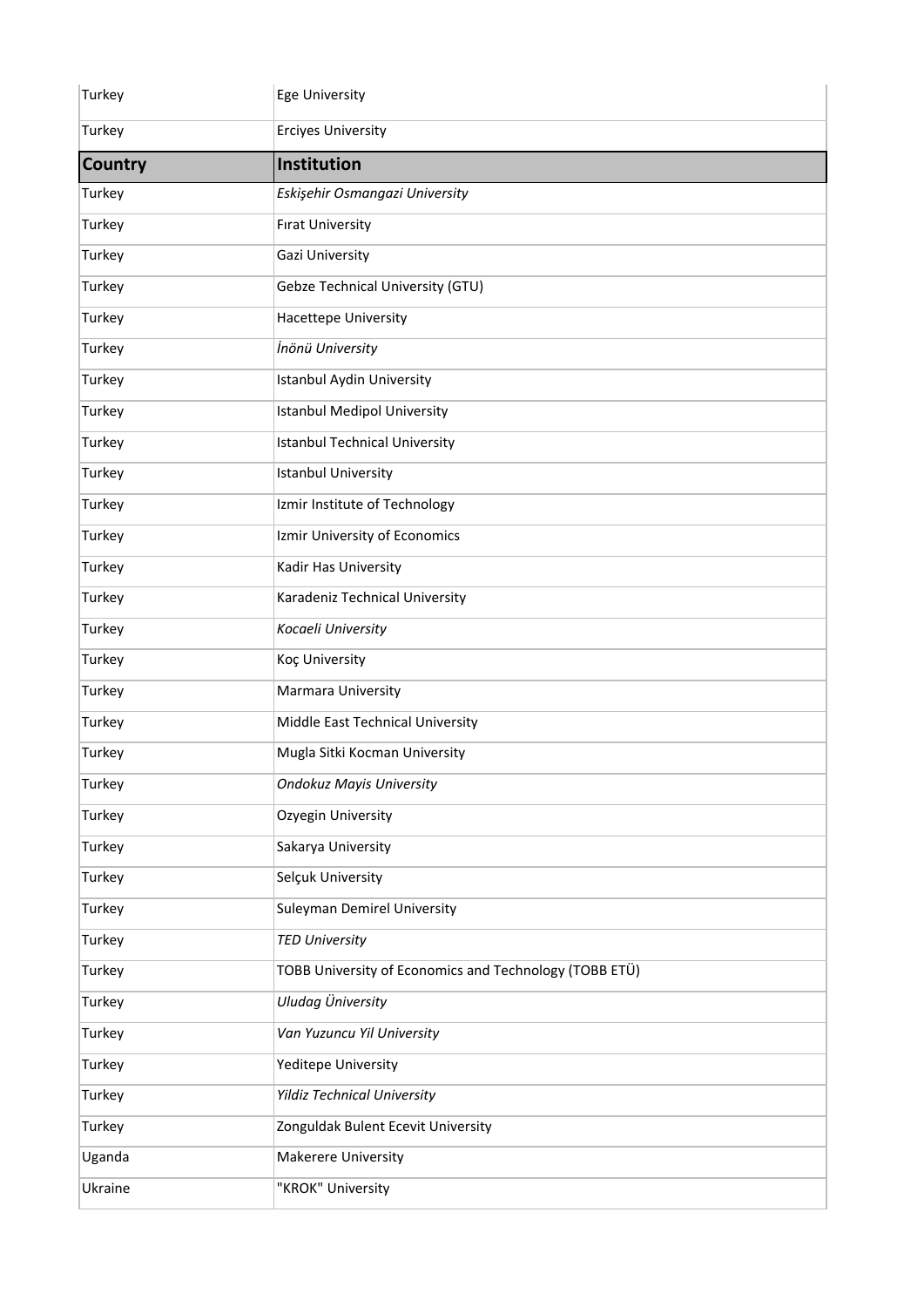| Turkey         | <b>Ege University</b>                                  |
|----------------|--------------------------------------------------------|
| Turkey         | <b>Erciyes University</b>                              |
| <b>Country</b> | Institution                                            |
| Turkey         | Eskişehir Osmangazi University                         |
| Turkey         | <b>Firat University</b>                                |
| Turkey         | Gazi University                                        |
| Turkey         | Gebze Technical University (GTU)                       |
| Turkey         | Hacettepe University                                   |
| Turkey         | İnönü University                                       |
| Turkey         | <b>Istanbul Aydin University</b>                       |
| Turkey         | <b>Istanbul Medipol University</b>                     |
| Turkey         | <b>Istanbul Technical University</b>                   |
| Turkey         | <b>Istanbul University</b>                             |
| Turkey         | Izmir Institute of Technology                          |
| Turkey         | Izmir University of Economics                          |
| Turkey         | Kadir Has University                                   |
| Turkey         | Karadeniz Technical University                         |
| Turkey         | Kocaeli University                                     |
| Turkey         | Koç University                                         |
| Turkey         | Marmara University                                     |
| Turkey         | Middle East Technical University                       |
| Turkey         | Mugla Sitki Kocman University                          |
| Turkey         | <b>Ondokuz Mayis University</b>                        |
| Turkey         | Ozyegin University                                     |
| Turkey         | Sakarya University                                     |
| Turkey         | Selçuk University                                      |
| Turkey         | <b>Suleyman Demirel University</b>                     |
| Turkey         | <b>TED University</b>                                  |
| Turkey         | TOBB University of Economics and Technology (TOBB ETÜ) |
| Turkey         | Uludag Üniversity                                      |
| Turkey         | Van Yuzuncu Yil University                             |
| Turkey         | Yeditepe University                                    |
| Turkey         | <b>Yildiz Technical University</b>                     |
| Turkey         | Zonguldak Bulent Ecevit University                     |
| Uganda         | Makerere University                                    |
| Ukraine        | "KROK" University                                      |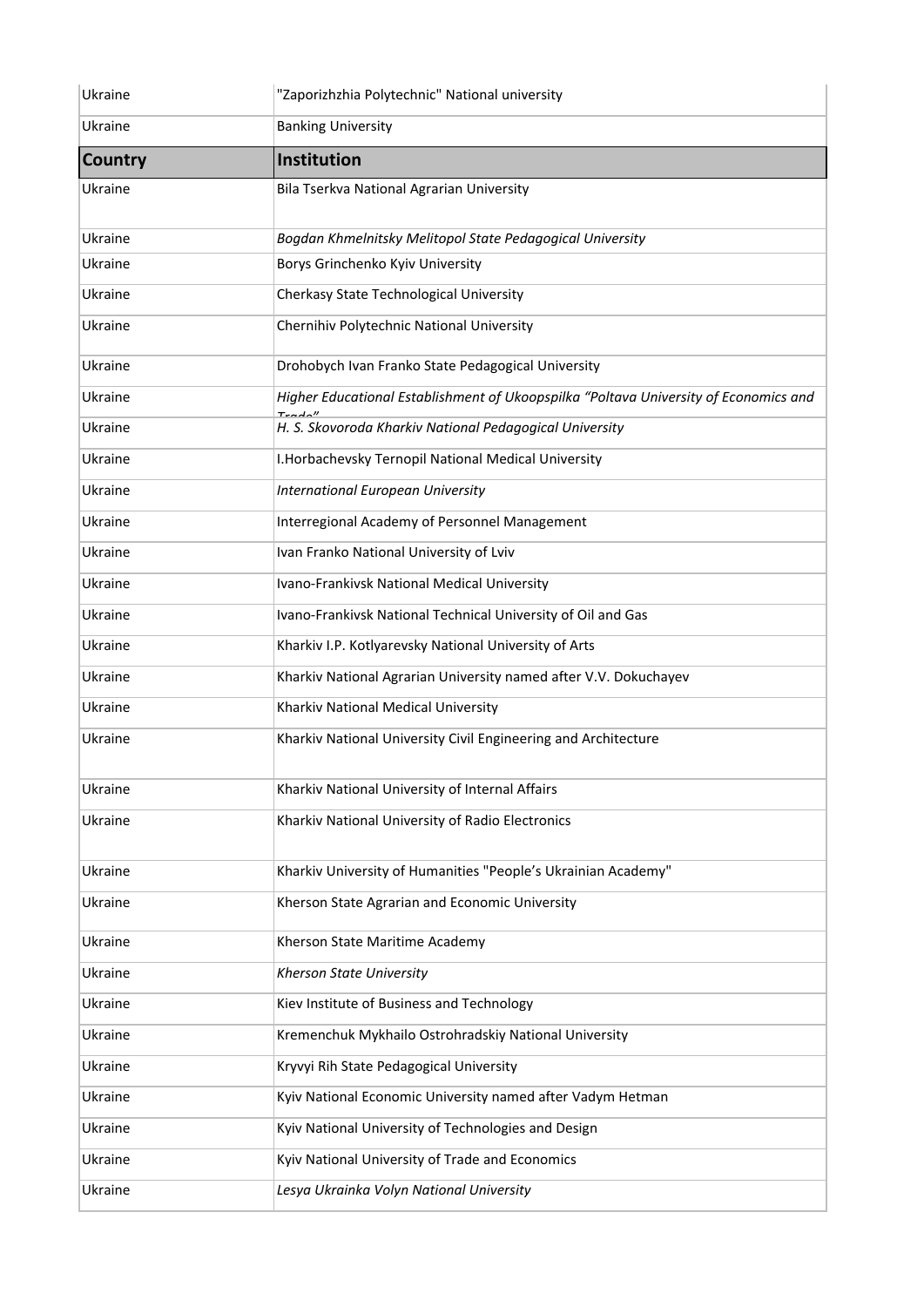| Ukraine        | "Zaporizhzhia Polytechnic" National university                                       |
|----------------|--------------------------------------------------------------------------------------|
| Ukraine        | <b>Banking University</b>                                                            |
| <b>Country</b> | <b>Institution</b>                                                                   |
| Ukraine        | Bila Tserkva National Agrarian University                                            |
| Ukraine        | Bogdan Khmelnitsky Melitopol State Pedagogical University                            |
| Ukraine        | Borys Grinchenko Kyiv University                                                     |
| Ukraine        | Cherkasy State Technological University                                              |
| Ukraine        | Chernihiv Polytechnic National University                                            |
| Ukraine        | Drohobych Ivan Franko State Pedagogical University                                   |
| Ukraine        | Higher Educational Establishment of Ukoopspilka "Poltava University of Economics and |
| Ukraine        | H. S. Skovoroda Kharkiv National Pedagogical University                              |
| Ukraine        | I. Horbachevsky Ternopil National Medical University                                 |
| Ukraine        | <b>International European University</b>                                             |
| Ukraine        | Interregional Academy of Personnel Management                                        |
| Ukraine        | Ivan Franko National University of Lviv                                              |
| Ukraine        | Ivano-Frankivsk National Medical University                                          |
| Ukraine        | Ivano-Frankivsk National Technical University of Oil and Gas                         |
| Ukraine        | Kharkiv I.P. Kotlyarevsky National University of Arts                                |
| Ukraine        | Kharkiv National Agrarian University named after V.V. Dokuchayev                     |
| Ukraine        | Kharkiv National Medical University                                                  |
| Ukraine        | Kharkiv National University Civil Engineering and Architecture                       |
| Ukraine        | Kharkiv National University of Internal Affairs                                      |
| Ukraine        | Kharkiv National University of Radio Electronics                                     |
| Ukraine        | Kharkiv University of Humanities "People's Ukrainian Academy"                        |
| Ukraine        | Kherson State Agrarian and Economic University                                       |
| Ukraine        | Kherson State Maritime Academy                                                       |
| Ukraine        | Kherson State University                                                             |
| Ukraine        | Kiev Institute of Business and Technology                                            |
| Ukraine        | Kremenchuk Mykhailo Ostrohradskiy National University                                |
| Ukraine        | Kryvyi Rih State Pedagogical University                                              |
| Ukraine        | Kyiv National Economic University named after Vadym Hetman                           |
| Ukraine        | Kyiv National University of Technologies and Design                                  |
| Ukraine        | Kyiv National University of Trade and Economics                                      |
| Ukraine        | Lesya Ukrainka Volyn National University                                             |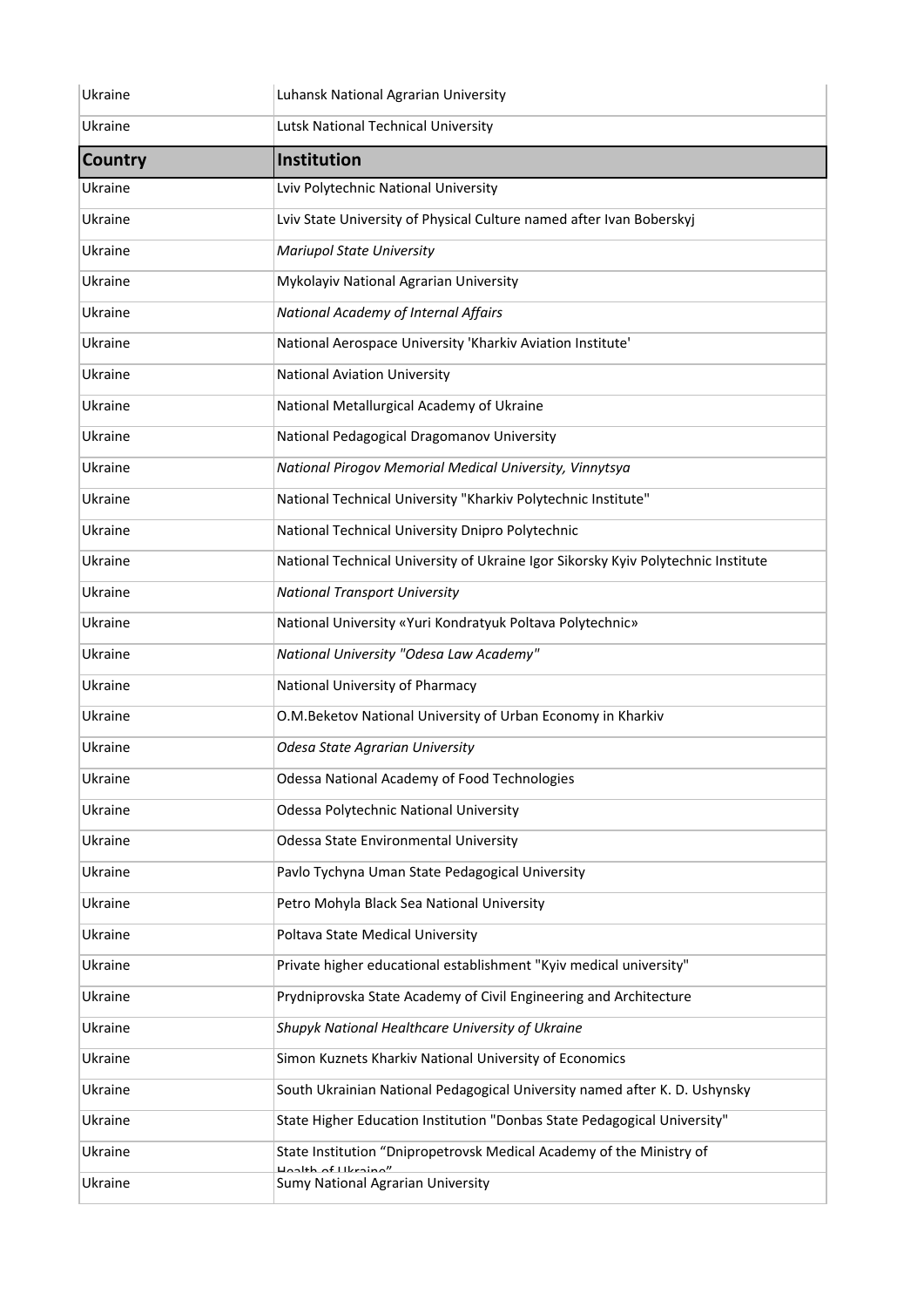| Ukraine        | Luhansk National Agrarian University                                              |
|----------------|-----------------------------------------------------------------------------------|
| Ukraine        | Lutsk National Technical University                                               |
| <b>Country</b> | Institution                                                                       |
| Ukraine        | Lviv Polytechnic National University                                              |
| Ukraine        | Lviv State University of Physical Culture named after Ivan Boberskyj              |
| Ukraine        | <b>Mariupol State University</b>                                                  |
| Ukraine        | Mykolayiv National Agrarian University                                            |
| Ukraine        | National Academy of Internal Affairs                                              |
| Ukraine        | National Aerospace University 'Kharkiv Aviation Institute'                        |
| Ukraine        | <b>National Aviation University</b>                                               |
| Ukraine        | National Metallurgical Academy of Ukraine                                         |
| Ukraine        | National Pedagogical Dragomanov University                                        |
| Ukraine        | National Pirogov Memorial Medical University, Vinnytsya                           |
| Ukraine        | National Technical University "Kharkiv Polytechnic Institute"                     |
| Ukraine        | National Technical University Dnipro Polytechnic                                  |
| Ukraine        | National Technical University of Ukraine Igor Sikorsky Kyiv Polytechnic Institute |
| Ukraine        | <b>National Transport University</b>                                              |
| Ukraine        | National University «Yuri Kondratyuk Poltava Polytechnic»                         |
| Ukraine        | National University "Odesa Law Academy"                                           |
| Ukraine        | National University of Pharmacy                                                   |
| Ukraine        | O.M.Beketov National University of Urban Economy in Kharkiv                       |
| Ukraine        | Odesa State Agrarian University                                                   |
| Ukraine        | Odessa National Academy of Food Technologies                                      |
| Ukraine        | Odessa Polytechnic National University                                            |
| Ukraine        | Odessa State Environmental University                                             |
| Ukraine        | Pavlo Tychyna Uman State Pedagogical University                                   |
| Ukraine        | Petro Mohyla Black Sea National University                                        |
| Ukraine        | Poltava State Medical University                                                  |
| Ukraine        | Private higher educational establishment "Kyiv medical university"                |
| Ukraine        | Prydniprovska State Academy of Civil Engineering and Architecture                 |
| Ukraine        | Shupyk National Healthcare University of Ukraine                                  |
| Ukraine        | Simon Kuznets Kharkiv National University of Economics                            |
| Ukraine        | South Ukrainian National Pedagogical University named after K. D. Ushynsky        |
| Ukraine        | State Higher Education Institution "Donbas State Pedagogical University"          |
| Ukraine        | State Institution "Dnipropetrovsk Medical Academy of the Ministry of              |
| Ukraine        | $\n  l$ the af Libraina"<br>Sumy National Agrarian University                     |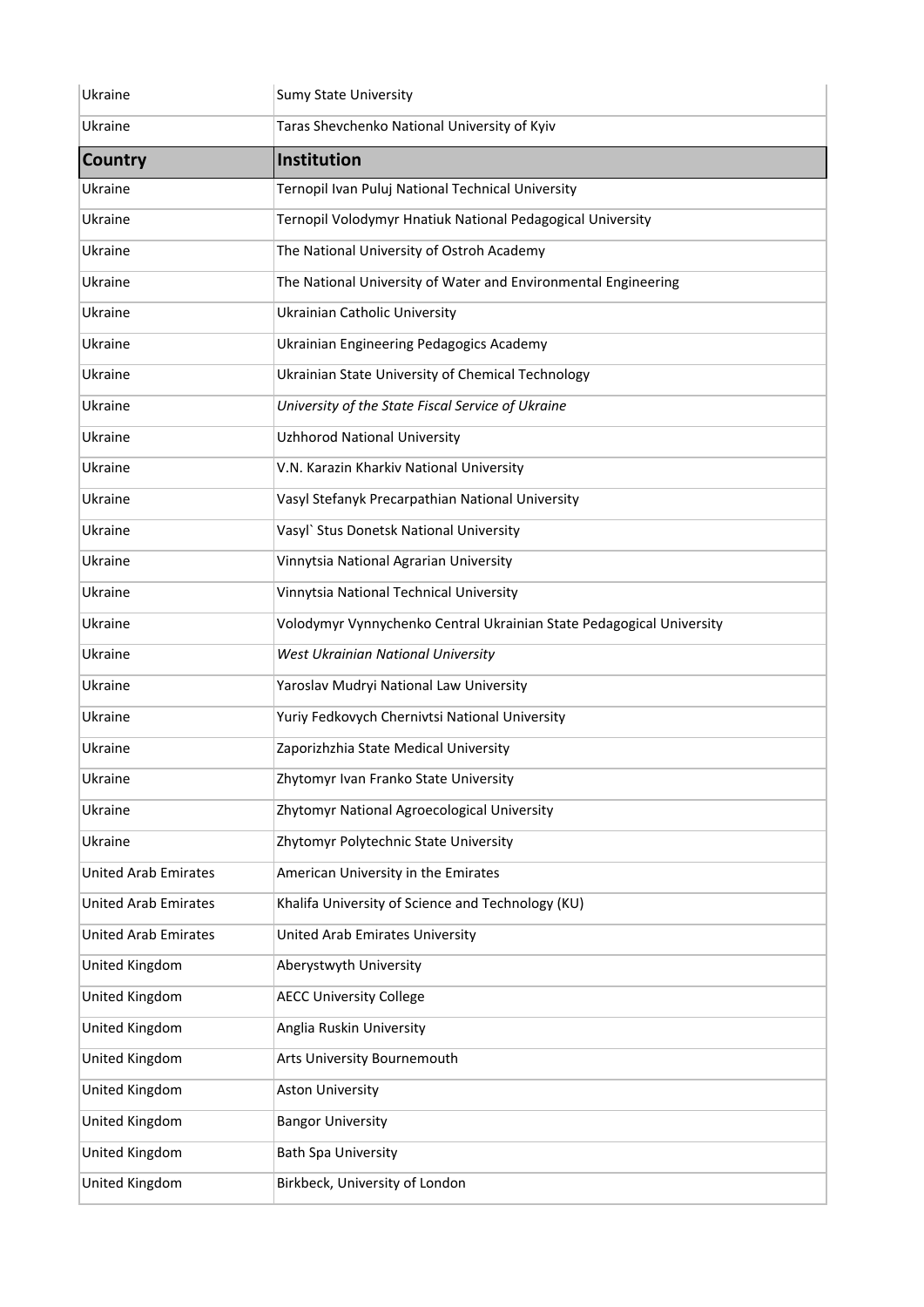| Ukraine                     | <b>Sumy State University</b>                                         |
|-----------------------------|----------------------------------------------------------------------|
| Ukraine                     | Taras Shevchenko National University of Kyiv                         |
| <b>Country</b>              | Institution                                                          |
| Ukraine                     | Ternopil Ivan Puluj National Technical University                    |
| Ukraine                     | Ternopil Volodymyr Hnatiuk National Pedagogical University           |
| Ukraine                     | The National University of Ostroh Academy                            |
| Ukraine                     | The National University of Water and Environmental Engineering       |
| Ukraine                     | Ukrainian Catholic University                                        |
| Ukraine                     | Ukrainian Engineering Pedagogics Academy                             |
| Ukraine                     | Ukrainian State University of Chemical Technology                    |
| Ukraine                     | University of the State Fiscal Service of Ukraine                    |
| Ukraine                     | <b>Uzhhorod National University</b>                                  |
| Ukraine                     | V.N. Karazin Kharkiv National University                             |
| Ukraine                     | Vasyl Stefanyk Precarpathian National University                     |
| Ukraine                     | Vasyl' Stus Donetsk National University                              |
| Ukraine                     | Vinnytsia National Agrarian University                               |
| Ukraine                     | Vinnytsia National Technical University                              |
| Ukraine                     | Volodymyr Vynnychenko Central Ukrainian State Pedagogical University |
| Ukraine                     | West Ukrainian National University                                   |
| Ukraine                     | Yaroslav Mudryi National Law University                              |
| Ukraine                     | Yuriy Fedkovych Chernivtsi National University                       |
| Ukraine                     | Zaporizhzhia State Medical University                                |
| Ukraine                     | Zhytomyr Ivan Franko State University                                |
| Ukraine                     | Zhytomyr National Agroecological University                          |
| Ukraine                     | Zhytomyr Polytechnic State University                                |
| <b>United Arab Emirates</b> | American University in the Emirates                                  |
| <b>United Arab Emirates</b> | Khalifa University of Science and Technology (KU)                    |
| <b>United Arab Emirates</b> | United Arab Emirates University                                      |
| United Kingdom              | Aberystwyth University                                               |
| United Kingdom              | <b>AECC University College</b>                                       |
| United Kingdom              | Anglia Ruskin University                                             |
| United Kingdom              | Arts University Bournemouth                                          |
| United Kingdom              | <b>Aston University</b>                                              |
| United Kingdom              | <b>Bangor University</b>                                             |
| United Kingdom              | <b>Bath Spa University</b>                                           |
| United Kingdom              | Birkbeck, University of London                                       |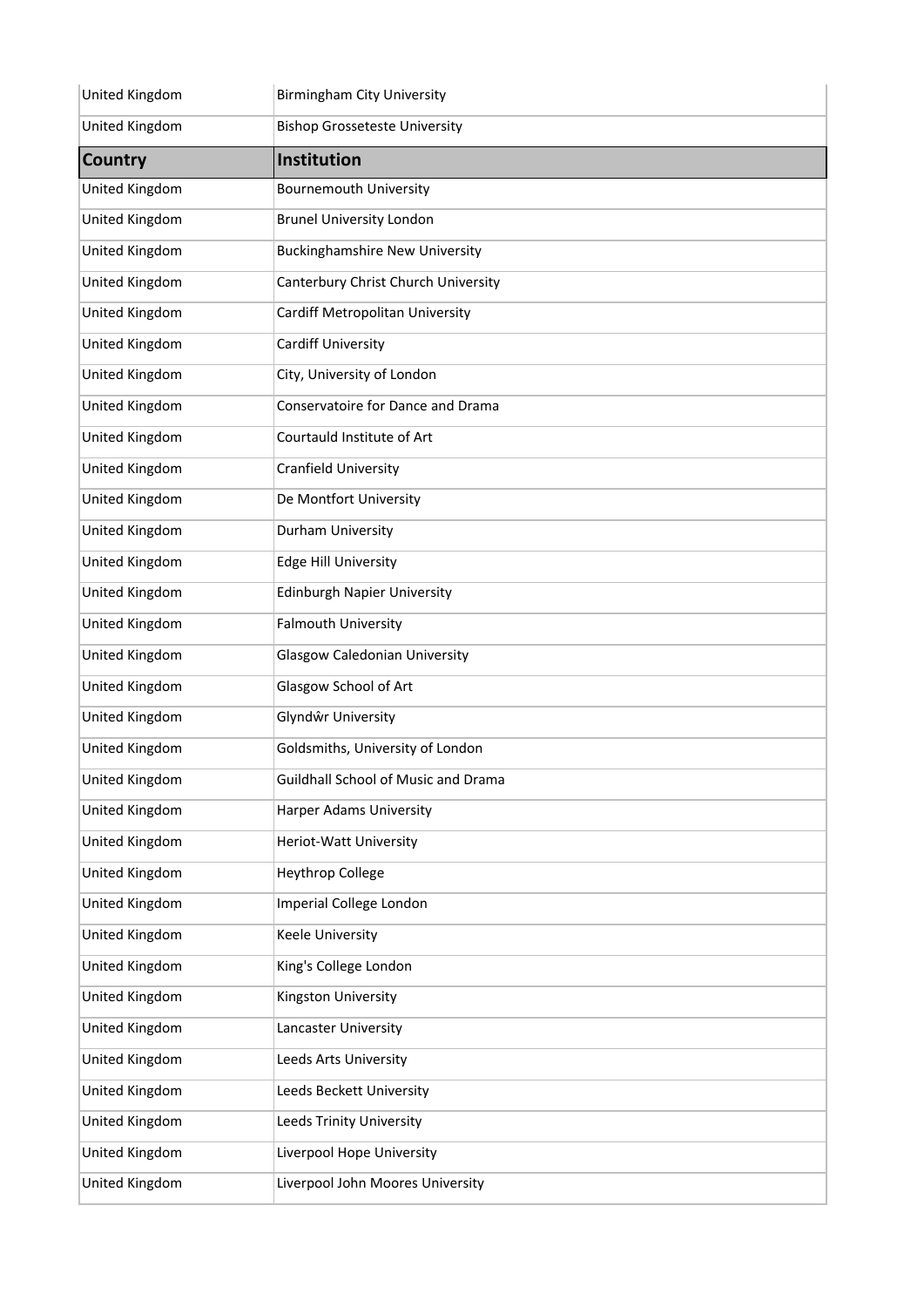| United Kingdom | <b>Birmingham City University</b>     |
|----------------|---------------------------------------|
| United Kingdom | <b>Bishop Grosseteste University</b>  |
| <b>Country</b> | <b>Institution</b>                    |
| United Kingdom | <b>Bournemouth University</b>         |
| United Kingdom | <b>Brunel University London</b>       |
| United Kingdom | <b>Buckinghamshire New University</b> |
| United Kingdom | Canterbury Christ Church University   |
| United Kingdom | Cardiff Metropolitan University       |
| United Kingdom | <b>Cardiff University</b>             |
| United Kingdom | City, University of London            |
| United Kingdom | Conservatoire for Dance and Drama     |
| United Kingdom | Courtauld Institute of Art            |
| United Kingdom | Cranfield University                  |
| United Kingdom | De Montfort University                |
| United Kingdom | Durham University                     |
| United Kingdom | <b>Edge Hill University</b>           |
| United Kingdom | <b>Edinburgh Napier University</b>    |
| United Kingdom | <b>Falmouth University</b>            |
| United Kingdom | <b>Glasgow Caledonian University</b>  |
| United Kingdom | Glasgow School of Art                 |
| United Kingdom | Glyndŵr University                    |
| United Kingdom | Goldsmiths, University of London      |
| United Kingdom | Guildhall School of Music and Drama   |
| United Kingdom | <b>Harper Adams University</b>        |
| United Kingdom | Heriot-Watt University                |
| United Kingdom | <b>Heythrop College</b>               |
| United Kingdom | Imperial College London               |
| United Kingdom | Keele University                      |
| United Kingdom | King's College London                 |
| United Kingdom | Kingston University                   |
| United Kingdom | Lancaster University                  |
| United Kingdom | Leeds Arts University                 |
| United Kingdom | Leeds Beckett University              |
| United Kingdom | <b>Leeds Trinity University</b>       |
| United Kingdom | Liverpool Hope University             |
| United Kingdom | Liverpool John Moores University      |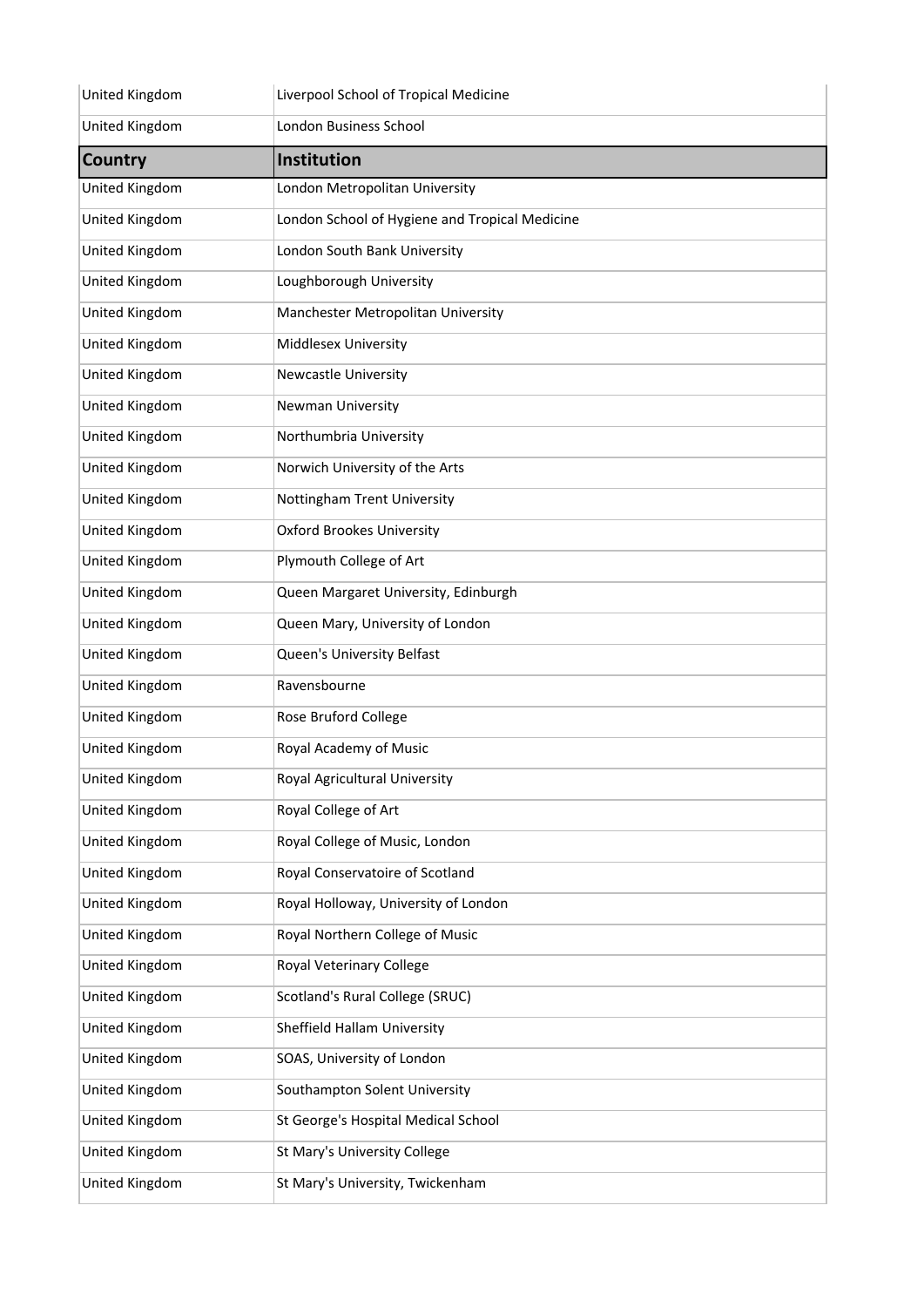| United Kingdom        | Liverpool School of Tropical Medicine          |
|-----------------------|------------------------------------------------|
| United Kingdom        | London Business School                         |
| <b>Country</b>        | Institution                                    |
| United Kingdom        | London Metropolitan University                 |
| United Kingdom        | London School of Hygiene and Tropical Medicine |
| United Kingdom        | London South Bank University                   |
| United Kingdom        | Loughborough University                        |
| United Kingdom        | Manchester Metropolitan University             |
| United Kingdom        | Middlesex University                           |
| United Kingdom        | <b>Newcastle University</b>                    |
| United Kingdom        | Newman University                              |
| United Kingdom        | Northumbria University                         |
| United Kingdom        | Norwich University of the Arts                 |
| United Kingdom        | Nottingham Trent University                    |
| United Kingdom        | <b>Oxford Brookes University</b>               |
| United Kingdom        | Plymouth College of Art                        |
| United Kingdom        | Queen Margaret University, Edinburgh           |
| United Kingdom        | Queen Mary, University of London               |
| United Kingdom        | Queen's University Belfast                     |
| United Kingdom        | Ravensbourne                                   |
| United Kingdom        | Rose Bruford College                           |
| United Kingdom        | Royal Academy of Music                         |
| <b>United Kingdom</b> | Royal Agricultural University                  |
| United Kingdom        | Royal College of Art                           |
| United Kingdom        | Royal College of Music, London                 |
| United Kingdom        | Royal Conservatoire of Scotland                |
| United Kingdom        | Royal Holloway, University of London           |
| United Kingdom        | Royal Northern College of Music                |
| United Kingdom        | Royal Veterinary College                       |
| United Kingdom        | Scotland's Rural College (SRUC)                |
| United Kingdom        | Sheffield Hallam University                    |
| United Kingdom        | SOAS, University of London                     |
| United Kingdom        | Southampton Solent University                  |
| United Kingdom        | St George's Hospital Medical School            |
| United Kingdom        | St Mary's University College                   |
| United Kingdom        | St Mary's University, Twickenham               |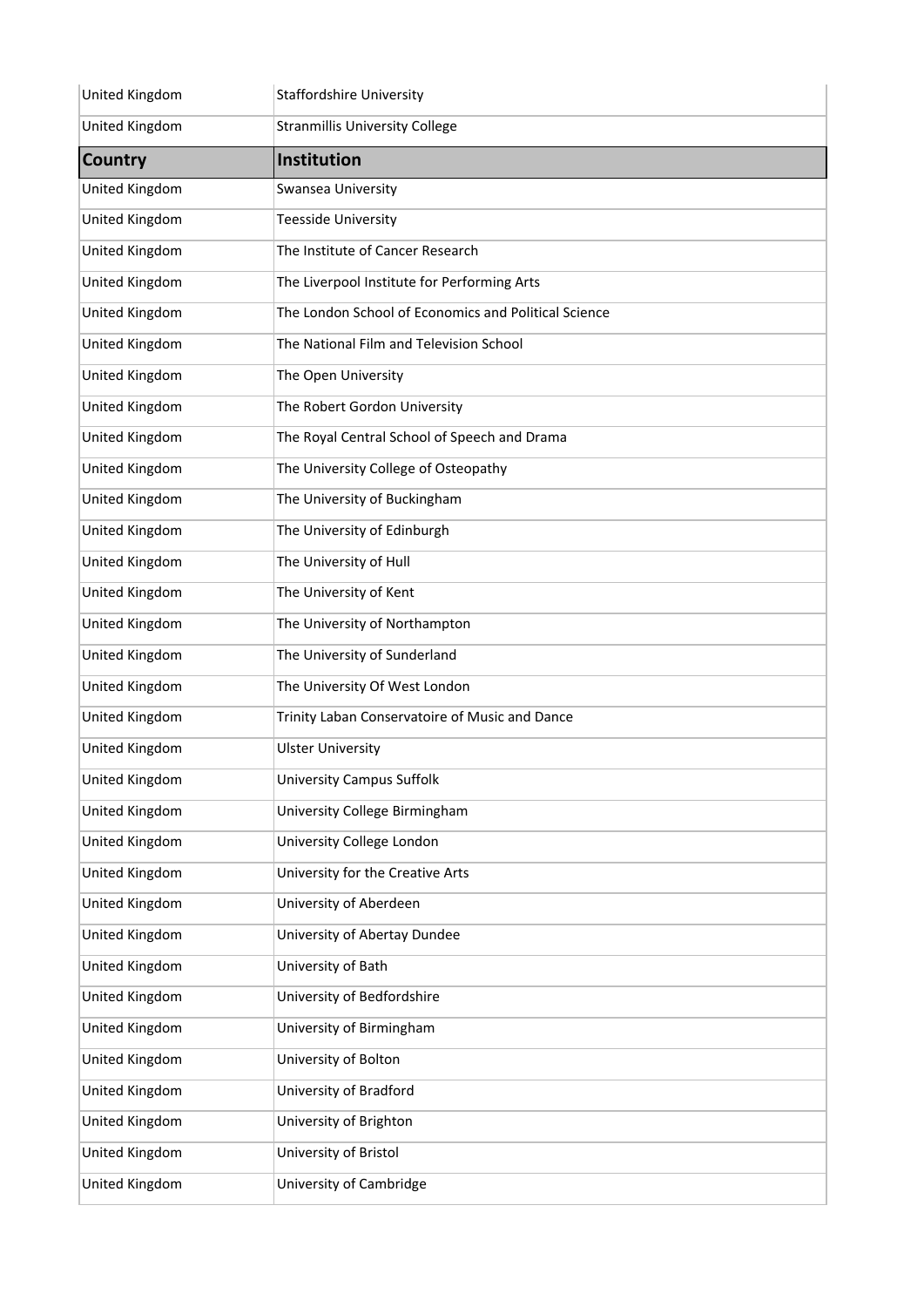| United Kingdom | <b>Staffordshire University</b>                      |
|----------------|------------------------------------------------------|
| United Kingdom | <b>Stranmillis University College</b>                |
| Country        | <b>Institution</b>                                   |
| United Kingdom | Swansea University                                   |
| United Kingdom | <b>Teesside University</b>                           |
| United Kingdom | The Institute of Cancer Research                     |
| United Kingdom | The Liverpool Institute for Performing Arts          |
| United Kingdom | The London School of Economics and Political Science |
| United Kingdom | The National Film and Television School              |
| United Kingdom | The Open University                                  |
| United Kingdom | The Robert Gordon University                         |
| United Kingdom | The Royal Central School of Speech and Drama         |
| United Kingdom | The University College of Osteopathy                 |
| United Kingdom | The University of Buckingham                         |
| United Kingdom | The University of Edinburgh                          |
| United Kingdom | The University of Hull                               |
| United Kingdom | The University of Kent                               |
| United Kingdom | The University of Northampton                        |
| United Kingdom | The University of Sunderland                         |
| United Kingdom | The University Of West London                        |
| United Kingdom | Trinity Laban Conservatoire of Music and Dance       |
| United Kingdom | <b>Ulster University</b>                             |
| United Kingdom | <b>University Campus Suffolk</b>                     |
| United Kingdom | University College Birmingham                        |
| United Kingdom | University College London                            |
| United Kingdom | University for the Creative Arts                     |
| United Kingdom | University of Aberdeen                               |
| United Kingdom | University of Abertay Dundee                         |
| United Kingdom | University of Bath                                   |
| United Kingdom | University of Bedfordshire                           |
| United Kingdom | University of Birmingham                             |
| United Kingdom | University of Bolton                                 |
| United Kingdom | University of Bradford                               |
| United Kingdom | University of Brighton                               |
| United Kingdom | University of Bristol                                |
| United Kingdom | University of Cambridge                              |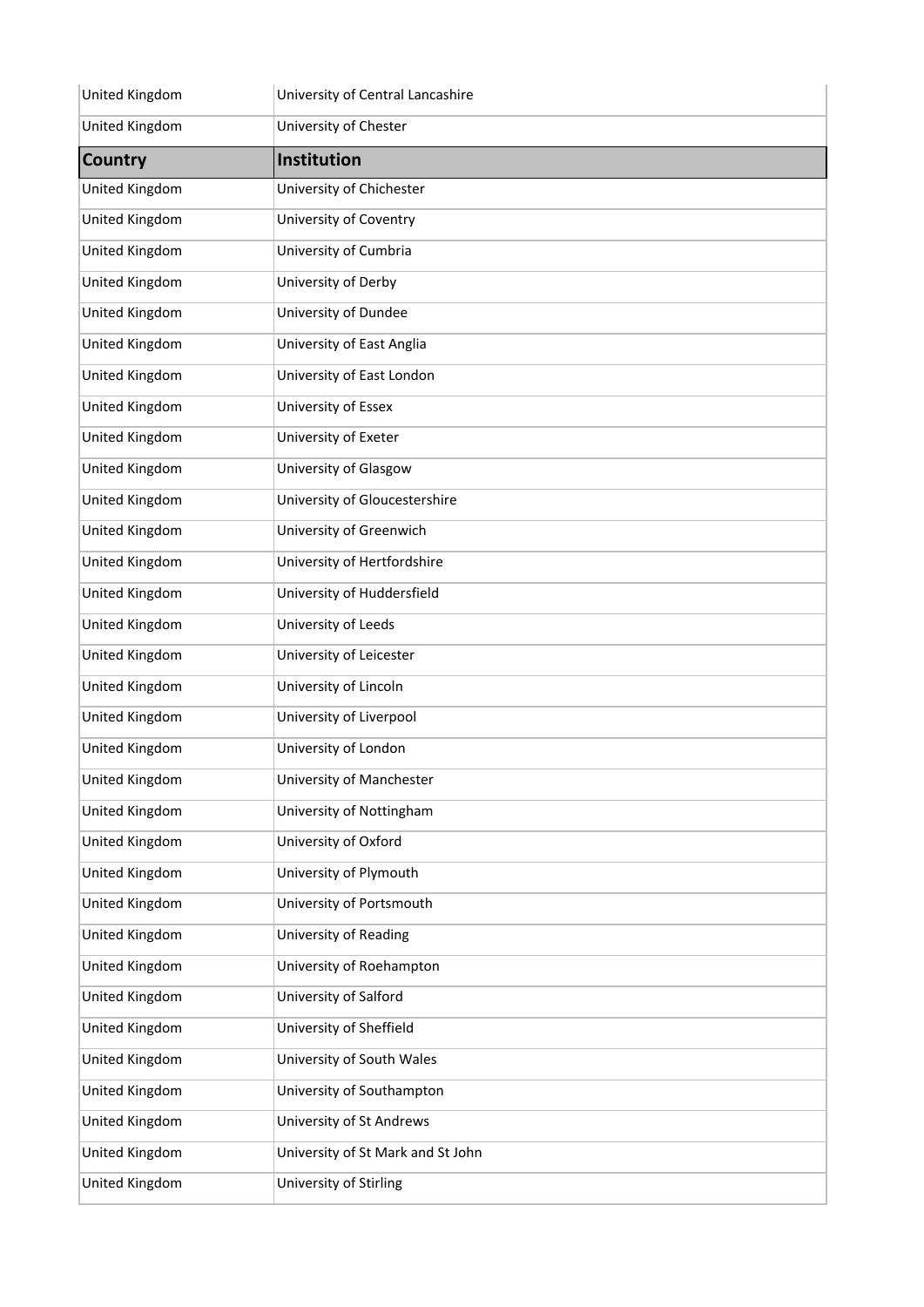| United Kingdom | University of Central Lancashire  |
|----------------|-----------------------------------|
| United Kingdom | University of Chester             |
| <b>Country</b> | <b>Institution</b>                |
| United Kingdom | University of Chichester          |
| United Kingdom | University of Coventry            |
| United Kingdom | University of Cumbria             |
| United Kingdom | University of Derby               |
| United Kingdom | University of Dundee              |
| United Kingdom | University of East Anglia         |
| United Kingdom | University of East London         |
| United Kingdom | University of Essex               |
| United Kingdom | University of Exeter              |
| United Kingdom | University of Glasgow             |
| United Kingdom | University of Gloucestershire     |
| United Kingdom | University of Greenwich           |
| United Kingdom | University of Hertfordshire       |
| United Kingdom | University of Huddersfield        |
| United Kingdom | University of Leeds               |
| United Kingdom | University of Leicester           |
| United Kingdom | University of Lincoln             |
| United Kingdom | University of Liverpool           |
| United Kingdom | University of London              |
| United Kingdom | University of Manchester          |
| United Kingdom | University of Nottingham          |
| United Kingdom | University of Oxford              |
| United Kingdom | University of Plymouth            |
| United Kingdom | University of Portsmouth          |
| United Kingdom | University of Reading             |
| United Kingdom | University of Roehampton          |
| United Kingdom | University of Salford             |
| United Kingdom | University of Sheffield           |
| United Kingdom | University of South Wales         |
| United Kingdom | University of Southampton         |
| United Kingdom | University of St Andrews          |
| United Kingdom | University of St Mark and St John |
| United Kingdom | University of Stirling            |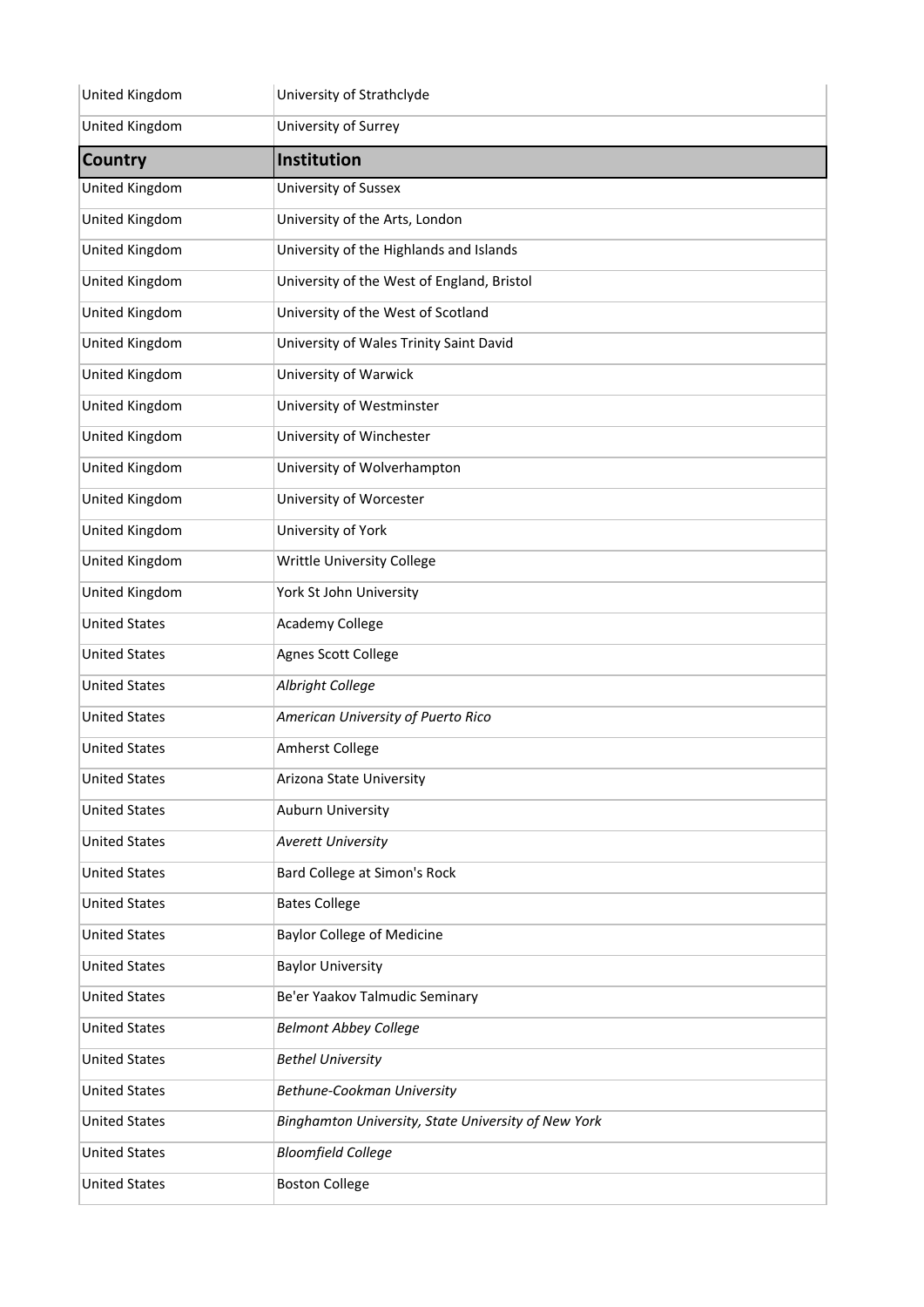| United Kingdom       | University of Strathclyde                           |
|----------------------|-----------------------------------------------------|
| United Kingdom       | University of Surrey                                |
| <b>Country</b>       | Institution                                         |
| United Kingdom       | University of Sussex                                |
| United Kingdom       | University of the Arts, London                      |
| United Kingdom       | University of the Highlands and Islands             |
| United Kingdom       | University of the West of England, Bristol          |
| United Kingdom       | University of the West of Scotland                  |
| United Kingdom       | University of Wales Trinity Saint David             |
| United Kingdom       | University of Warwick                               |
| United Kingdom       | University of Westminster                           |
| United Kingdom       | University of Winchester                            |
| United Kingdom       | University of Wolverhampton                         |
| United Kingdom       | University of Worcester                             |
| United Kingdom       | University of York                                  |
| United Kingdom       | Writtle University College                          |
| United Kingdom       | York St John University                             |
| <b>United States</b> | Academy College                                     |
| <b>United States</b> | Agnes Scott College                                 |
| <b>United States</b> | Albright College                                    |
| <b>United States</b> | American University of Puerto Rico                  |
| <b>United States</b> | Amherst College                                     |
| <b>United States</b> | Arizona State University                            |
| <b>United States</b> | Auburn University                                   |
| <b>United States</b> | <b>Averett University</b>                           |
| <b>United States</b> | Bard College at Simon's Rock                        |
| <b>United States</b> | <b>Bates College</b>                                |
| <b>United States</b> | <b>Baylor College of Medicine</b>                   |
| <b>United States</b> | <b>Baylor University</b>                            |
| <b>United States</b> | Be'er Yaakov Talmudic Seminary                      |
| <b>United States</b> | <b>Belmont Abbey College</b>                        |
| <b>United States</b> | <b>Bethel University</b>                            |
| <b>United States</b> | Bethune-Cookman University                          |
| <b>United States</b> | Binghamton University, State University of New York |
| <b>United States</b> | <b>Bloomfield College</b>                           |
| <b>United States</b> | <b>Boston College</b>                               |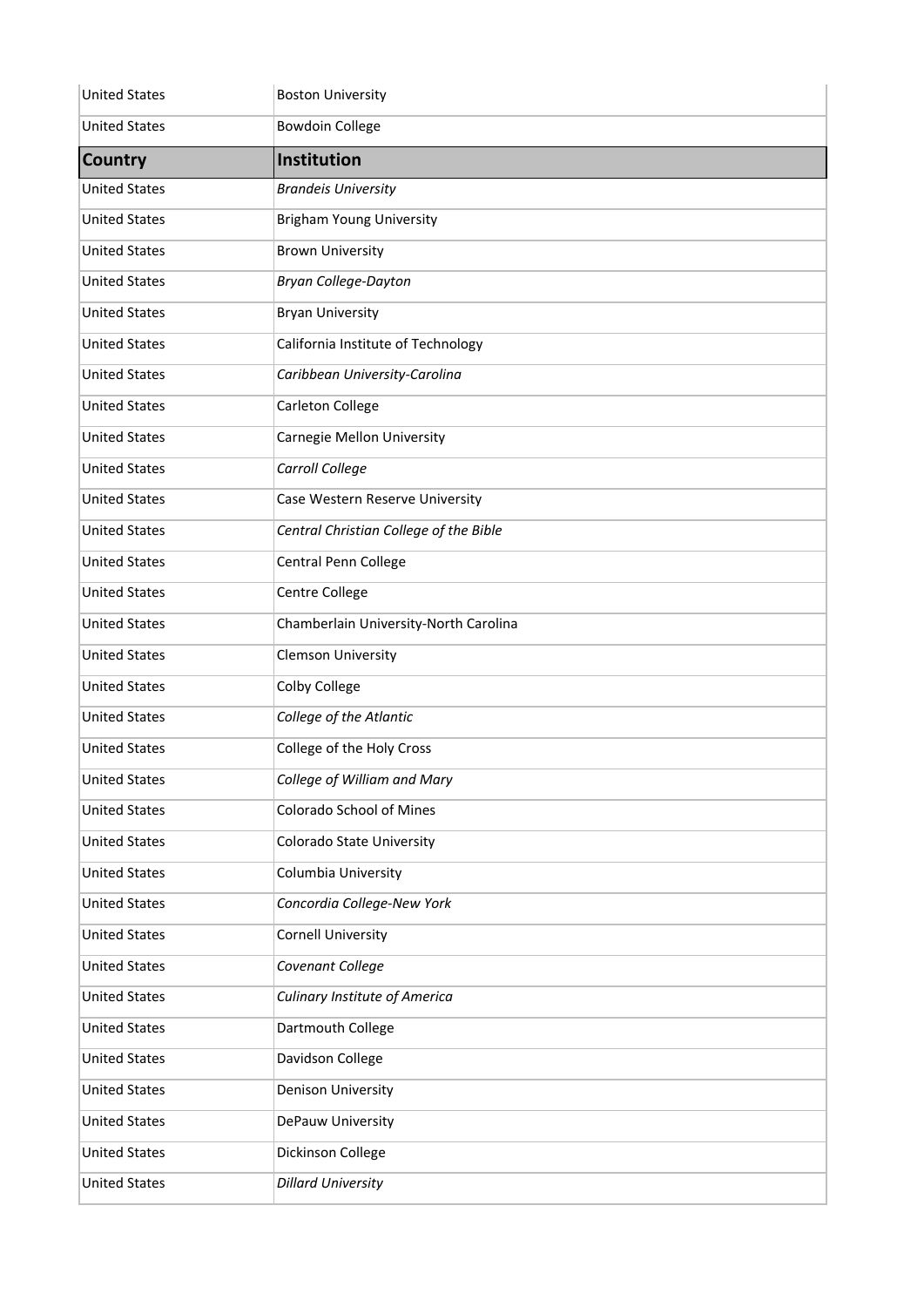| <b>United States</b> | <b>Boston University</b>               |
|----------------------|----------------------------------------|
| <b>United States</b> | <b>Bowdoin College</b>                 |
| <b>Country</b>       | <b>Institution</b>                     |
| <b>United States</b> | <b>Brandeis University</b>             |
| <b>United States</b> | <b>Brigham Young University</b>        |
| <b>United States</b> | <b>Brown University</b>                |
| <b>United States</b> | <b>Bryan College-Dayton</b>            |
| <b>United States</b> | <b>Bryan University</b>                |
| <b>United States</b> | California Institute of Technology     |
| <b>United States</b> | Caribbean University-Carolina          |
| <b>United States</b> | Carleton College                       |
| <b>United States</b> | <b>Carnegie Mellon University</b>      |
| <b>United States</b> | Carroll College                        |
| <b>United States</b> | Case Western Reserve University        |
| <b>United States</b> | Central Christian College of the Bible |
| <b>United States</b> | Central Penn College                   |
| <b>United States</b> | Centre College                         |
| <b>United States</b> | Chamberlain University-North Carolina  |
| <b>United States</b> | <b>Clemson University</b>              |
| <b>United States</b> | Colby College                          |
| <b>United States</b> | College of the Atlantic                |
| <b>United States</b> | College of the Holy Cross              |
| <b>United States</b> | College of William and Mary            |
| <b>United States</b> | Colorado School of Mines               |
| <b>United States</b> | <b>Colorado State University</b>       |
| <b>United States</b> | Columbia University                    |
| <b>United States</b> | Concordia College-New York             |
| <b>United States</b> | <b>Cornell University</b>              |
| <b>United States</b> | Covenant College                       |
| <b>United States</b> | <b>Culinary Institute of America</b>   |
| <b>United States</b> | Dartmouth College                      |
| <b>United States</b> | Davidson College                       |
| <b>United States</b> | <b>Denison University</b>              |
| <b>United States</b> | DePauw University                      |
| <b>United States</b> | Dickinson College                      |
| <b>United States</b> | <b>Dillard University</b>              |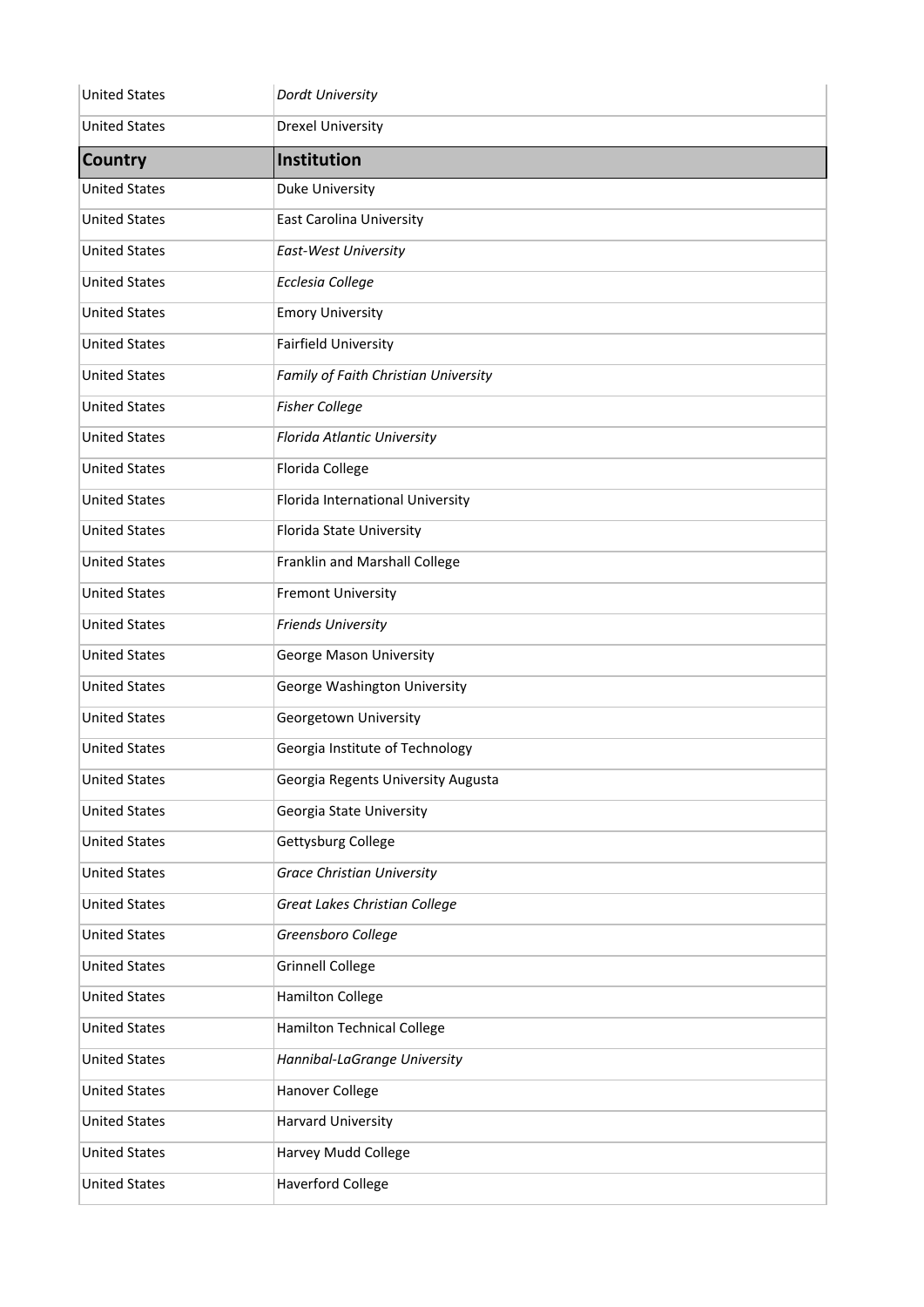| <b>United States</b> | Dordt University                     |
|----------------------|--------------------------------------|
| <b>United States</b> | <b>Drexel University</b>             |
| <b>Country</b>       | Institution                          |
| <b>United States</b> | <b>Duke University</b>               |
| <b>United States</b> | <b>East Carolina University</b>      |
| <b>United States</b> | East-West University                 |
| <b>United States</b> | <b>Ecclesia College</b>              |
| <b>United States</b> | <b>Emory University</b>              |
| <b>United States</b> | <b>Fairfield University</b>          |
| <b>United States</b> | Family of Faith Christian University |
| <b>United States</b> | <b>Fisher College</b>                |
| <b>United States</b> | Florida Atlantic University          |
| <b>United States</b> | Florida College                      |
| <b>United States</b> | Florida International University     |
| <b>United States</b> | Florida State University             |
| <b>United States</b> | Franklin and Marshall College        |
| <b>United States</b> | <b>Fremont University</b>            |
| <b>United States</b> | <b>Friends University</b>            |
| <b>United States</b> | George Mason University              |
| <b>United States</b> | George Washington University         |
| <b>United States</b> | Georgetown University                |
| <b>United States</b> | Georgia Institute of Technology      |
| <b>United States</b> | Georgia Regents University Augusta   |
| <b>United States</b> | Georgia State University             |
| <b>United States</b> | Gettysburg College                   |
| <b>United States</b> | <b>Grace Christian University</b>    |
| <b>United States</b> | Great Lakes Christian College        |
| <b>United States</b> | Greensboro College                   |
| <b>United States</b> | <b>Grinnell College</b>              |
| <b>United States</b> | <b>Hamilton College</b>              |
| <b>United States</b> | <b>Hamilton Technical College</b>    |
| <b>United States</b> | Hannibal-LaGrange University         |
| <b>United States</b> | Hanover College                      |
| <b>United States</b> | <b>Harvard University</b>            |
| <b>United States</b> | Harvey Mudd College                  |
| <b>United States</b> | <b>Haverford College</b>             |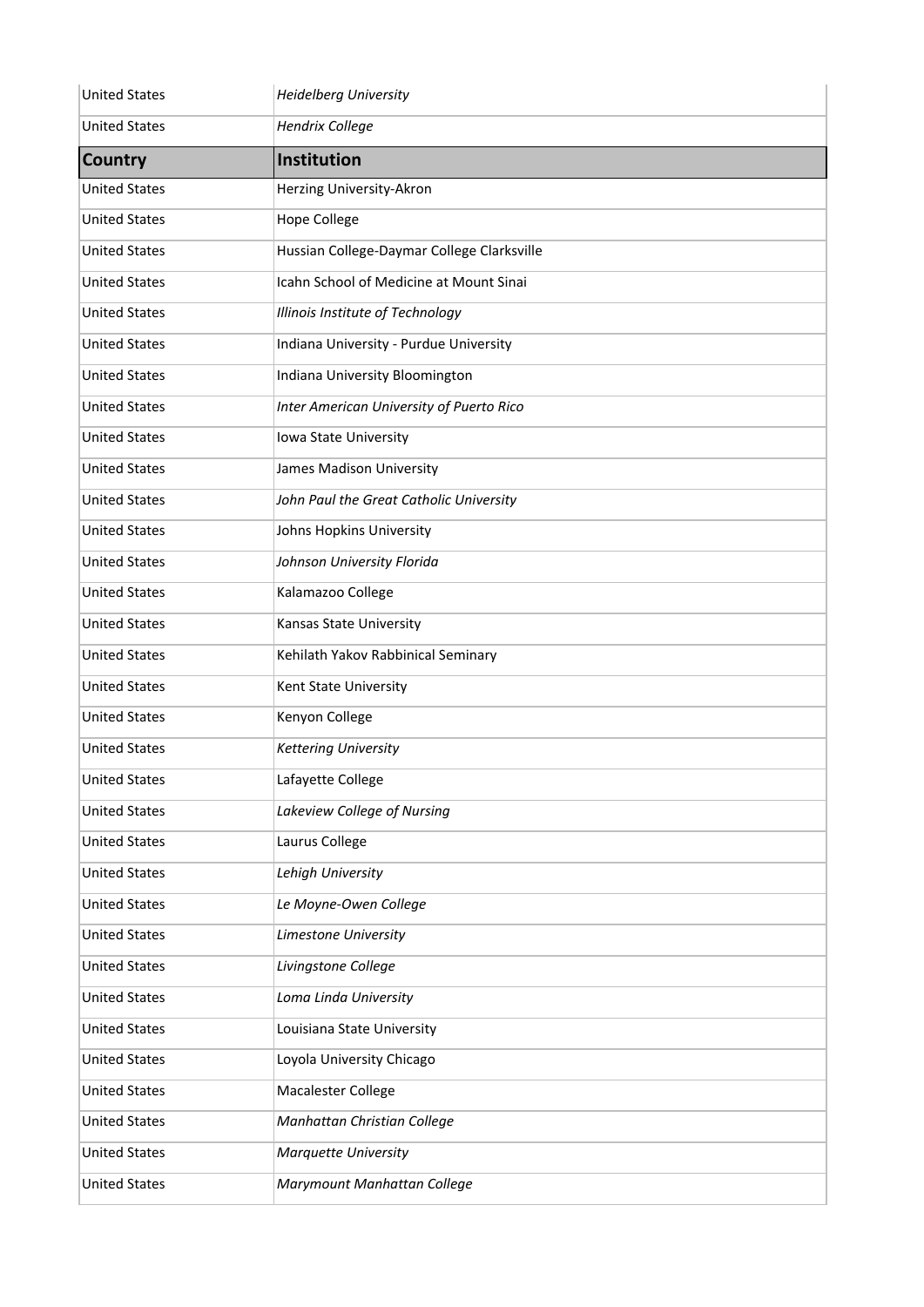| <b>United States</b> | <b>Heidelberg University</b>               |
|----------------------|--------------------------------------------|
| <b>United States</b> | <b>Hendrix College</b>                     |
| <b>Country</b>       | Institution                                |
| <b>United States</b> | Herzing University-Akron                   |
| <b>United States</b> | <b>Hope College</b>                        |
| <b>United States</b> | Hussian College-Daymar College Clarksville |
| <b>United States</b> | Icahn School of Medicine at Mount Sinai    |
| <b>United States</b> | Illinois Institute of Technology           |
| <b>United States</b> | Indiana University - Purdue University     |
| <b>United States</b> | Indiana University Bloomington             |
| <b>United States</b> | Inter American University of Puerto Rico   |
| <b>United States</b> | Iowa State University                      |
| <b>United States</b> | James Madison University                   |
| <b>United States</b> | John Paul the Great Catholic University    |
| <b>United States</b> | Johns Hopkins University                   |
| <b>United States</b> | Johnson University Florida                 |
| <b>United States</b> | Kalamazoo College                          |
| <b>United States</b> | Kansas State University                    |
| <b>United States</b> | Kehilath Yakov Rabbinical Seminary         |
| <b>United States</b> | Kent State University                      |
| <b>United States</b> | Kenyon College                             |
| <b>United States</b> | <b>Kettering University</b>                |
| <b>United States</b> | Lafayette College                          |
| <b>United States</b> | Lakeview College of Nursing                |
| <b>United States</b> | Laurus College                             |
| <b>United States</b> | Lehigh University                          |
| <b>United States</b> | Le Moyne-Owen College                      |
| <b>United States</b> | Limestone University                       |
| <b>United States</b> | Livingstone College                        |
| <b>United States</b> | Loma Linda University                      |
| <b>United States</b> | Louisiana State University                 |
| <b>United States</b> | Loyola University Chicago                  |
| <b>United States</b> | Macalester College                         |
| <b>United States</b> | Manhattan Christian College                |
| <b>United States</b> | Marquette University                       |
| <b>United States</b> | Marymount Manhattan College                |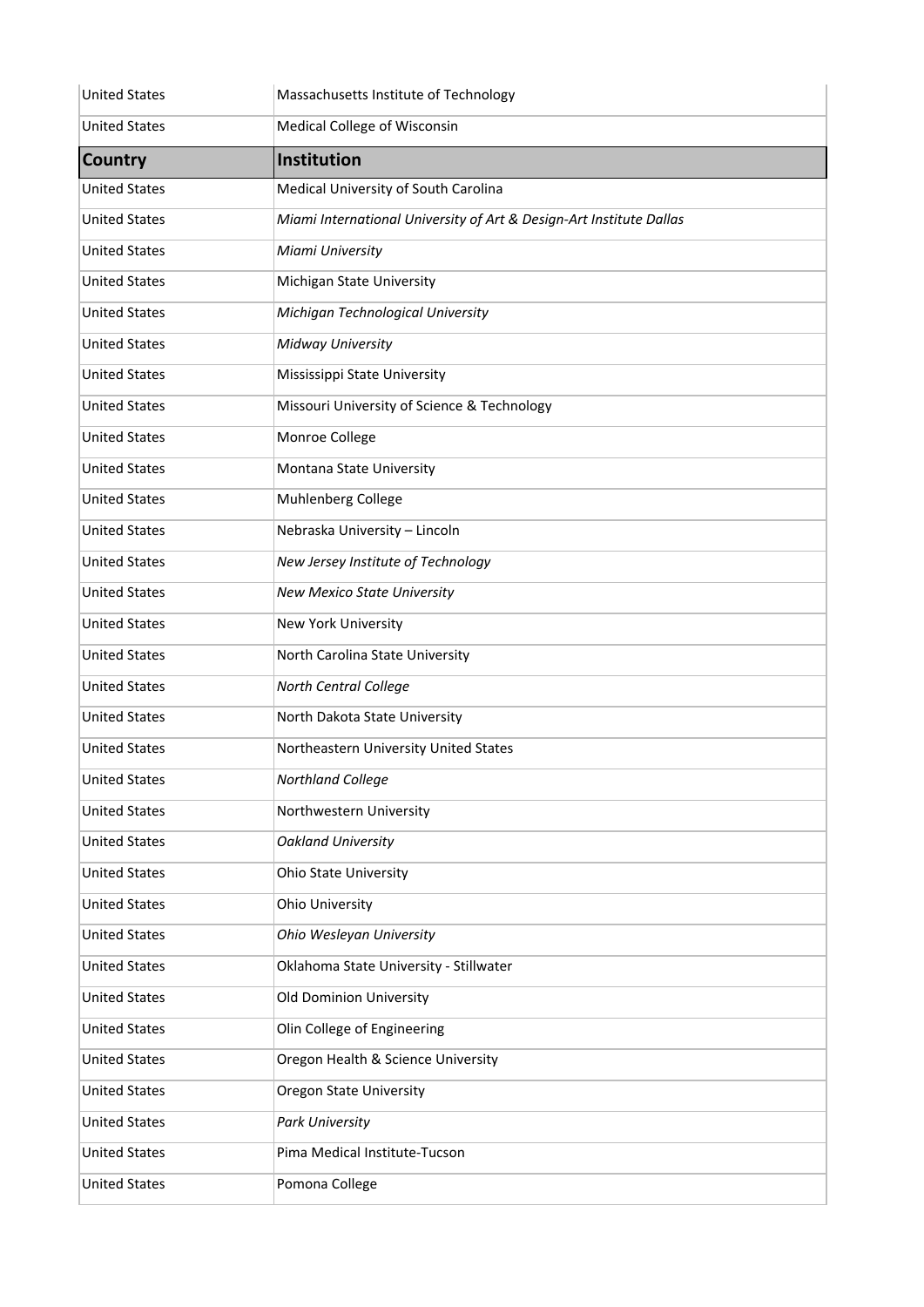| <b>United States</b> | Massachusetts Institute of Technology                               |
|----------------------|---------------------------------------------------------------------|
| <b>United States</b> | Medical College of Wisconsin                                        |
| <b>Country</b>       | Institution                                                         |
| <b>United States</b> | Medical University of South Carolina                                |
| <b>United States</b> | Miami International University of Art & Design-Art Institute Dallas |
| <b>United States</b> | Miami University                                                    |
| <b>United States</b> | Michigan State University                                           |
| <b>United States</b> | Michigan Technological University                                   |
| <b>United States</b> | Midway University                                                   |
| <b>United States</b> | Mississippi State University                                        |
| <b>United States</b> | Missouri University of Science & Technology                         |
| <b>United States</b> | Monroe College                                                      |
| <b>United States</b> | Montana State University                                            |
| <b>United States</b> | Muhlenberg College                                                  |
| <b>United States</b> | Nebraska University - Lincoln                                       |
| <b>United States</b> | New Jersey Institute of Technology                                  |
| <b>United States</b> | New Mexico State University                                         |
| <b>United States</b> | New York University                                                 |
| <b>United States</b> | North Carolina State University                                     |
| <b>United States</b> | North Central College                                               |
| <b>United States</b> | North Dakota State University                                       |
| <b>United States</b> | Northeastern University United States                               |
| <b>United States</b> | Northland College                                                   |
| <b>United States</b> | Northwestern University                                             |
| <b>United States</b> | <b>Oakland University</b>                                           |
| <b>United States</b> | <b>Ohio State University</b>                                        |
| <b>United States</b> | <b>Ohio University</b>                                              |
| <b>United States</b> | Ohio Wesleyan University                                            |
| <b>United States</b> | Oklahoma State University - Stillwater                              |
| <b>United States</b> | Old Dominion University                                             |
| <b>United States</b> | Olin College of Engineering                                         |
| <b>United States</b> | Oregon Health & Science University                                  |
| <b>United States</b> | <b>Oregon State University</b>                                      |
| <b>United States</b> | Park University                                                     |
| <b>United States</b> | Pima Medical Institute-Tucson                                       |
| <b>United States</b> | Pomona College                                                      |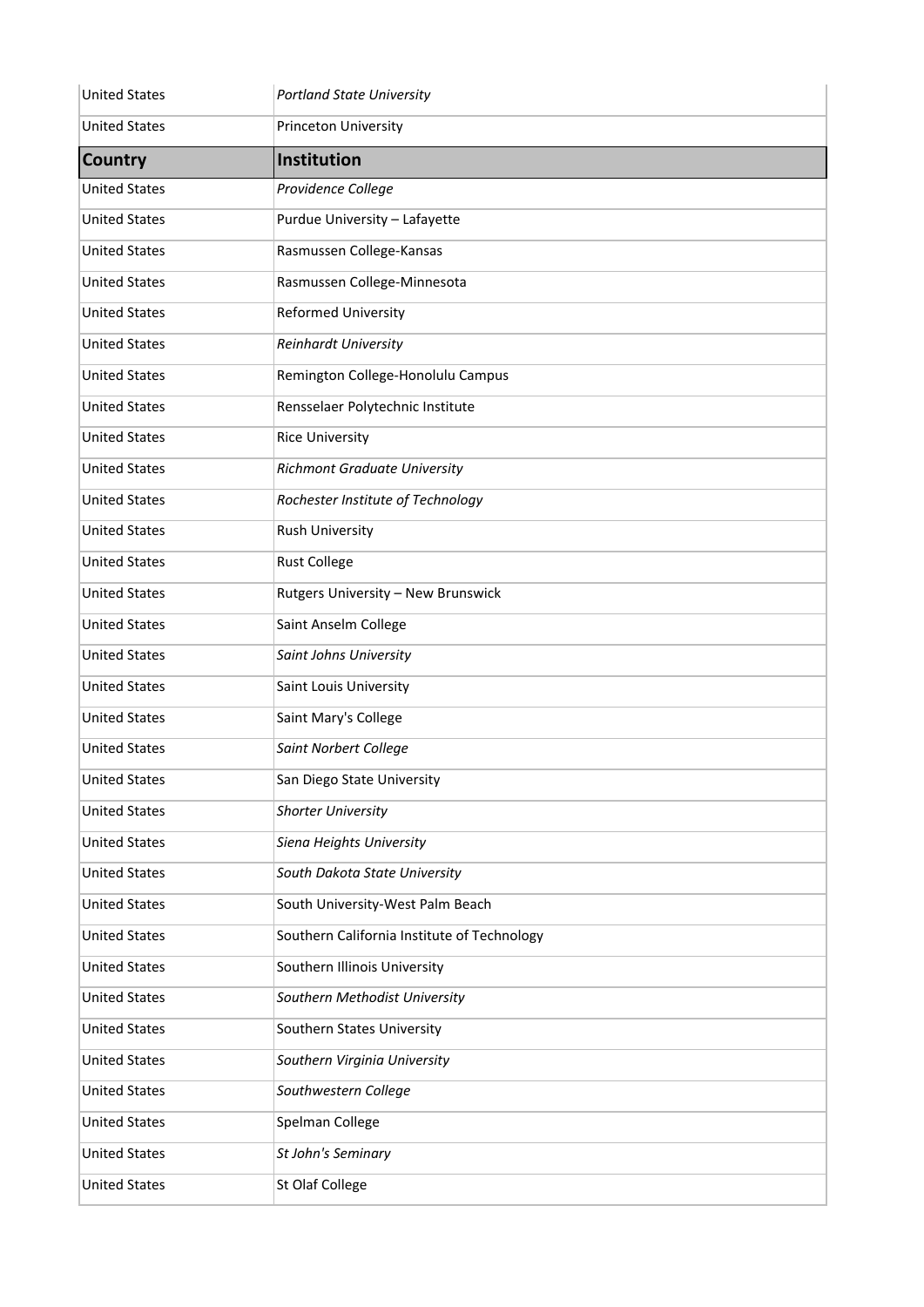| <b>United States</b> | <b>Portland State University</b>            |
|----------------------|---------------------------------------------|
| <b>United States</b> | Princeton University                        |
| <b>Country</b>       | Institution                                 |
| <b>United States</b> | Providence College                          |
| <b>United States</b> | Purdue University - Lafayette               |
| <b>United States</b> | Rasmussen College-Kansas                    |
| <b>United States</b> | Rasmussen College-Minnesota                 |
| <b>United States</b> | <b>Reformed University</b>                  |
| <b>United States</b> | Reinhardt University                        |
| <b>United States</b> | Remington College-Honolulu Campus           |
| <b>United States</b> | Rensselaer Polytechnic Institute            |
| <b>United States</b> | <b>Rice University</b>                      |
| <b>United States</b> | Richmont Graduate University                |
| <b>United States</b> | Rochester Institute of Technology           |
| <b>United States</b> | <b>Rush University</b>                      |
| <b>United States</b> | <b>Rust College</b>                         |
| <b>United States</b> | Rutgers University - New Brunswick          |
| <b>United States</b> | Saint Anselm College                        |
| <b>United States</b> | Saint Johns University                      |
| <b>United States</b> | Saint Louis University                      |
| <b>United States</b> | Saint Mary's College                        |
| <b>United States</b> | Saint Norbert College                       |
| <b>United States</b> | San Diego State University                  |
| <b>United States</b> | <b>Shorter University</b>                   |
| <b>United States</b> | Siena Heights University                    |
| <b>United States</b> | South Dakota State University               |
| <b>United States</b> | South University-West Palm Beach            |
| <b>United States</b> | Southern California Institute of Technology |
| <b>United States</b> | Southern Illinois University                |
| <b>United States</b> | Southern Methodist University               |
| <b>United States</b> | Southern States University                  |
| <b>United States</b> | Southern Virginia University                |
| <b>United States</b> | Southwestern College                        |
| <b>United States</b> | Spelman College                             |
| <b>United States</b> | St John's Seminary                          |
| <b>United States</b> | St Olaf College                             |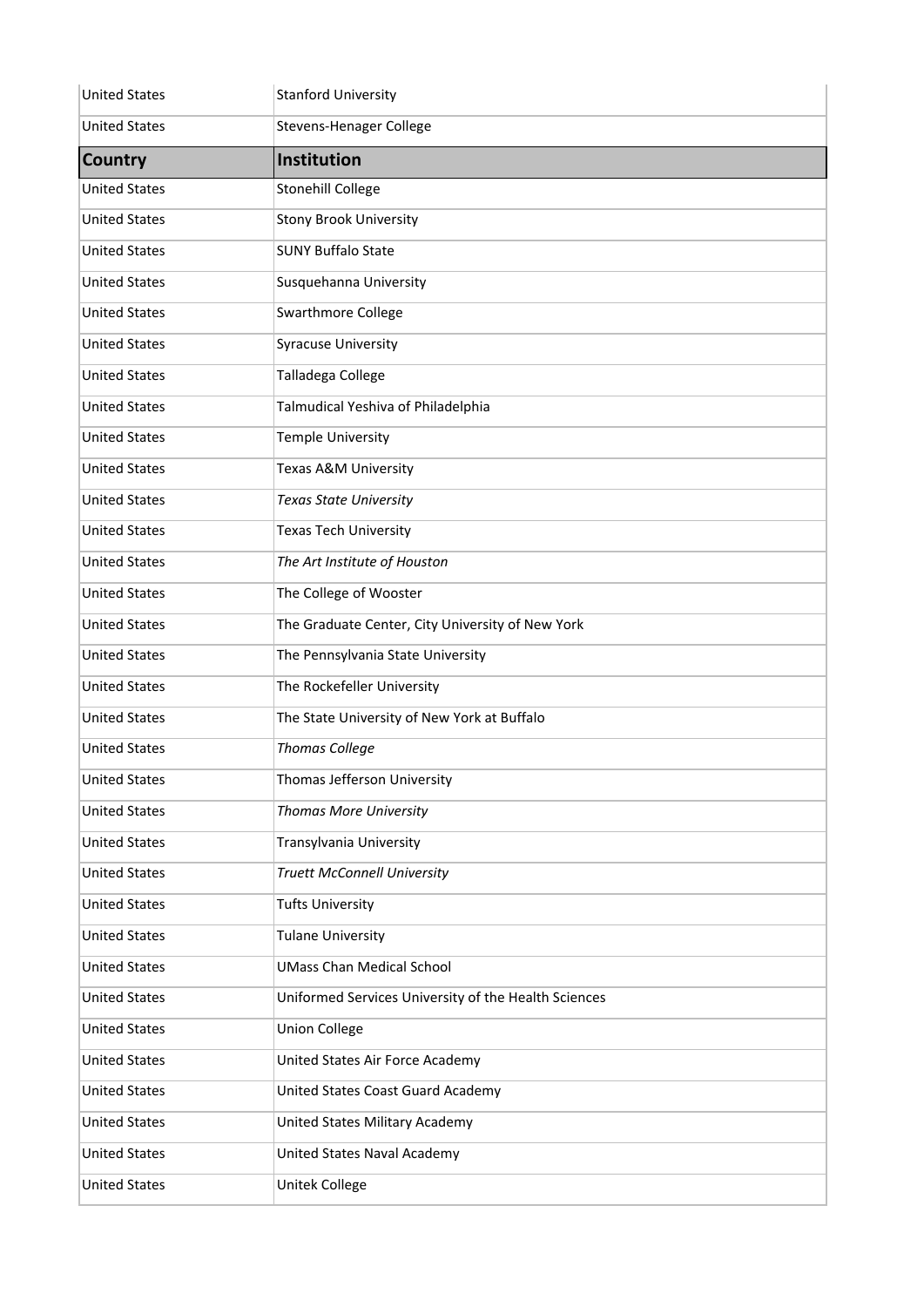| <b>United States</b> | <b>Stanford University</b>                           |
|----------------------|------------------------------------------------------|
| <b>United States</b> | <b>Stevens-Henager College</b>                       |
| <b>Country</b>       | <b>Institution</b>                                   |
| <b>United States</b> | <b>Stonehill College</b>                             |
| <b>United States</b> | <b>Stony Brook University</b>                        |
| <b>United States</b> | <b>SUNY Buffalo State</b>                            |
| <b>United States</b> | Susquehanna University                               |
| <b>United States</b> | Swarthmore College                                   |
| <b>United States</b> | <b>Syracuse University</b>                           |
| <b>United States</b> | Talladega College                                    |
| <b>United States</b> | Talmudical Yeshiva of Philadelphia                   |
| <b>United States</b> | <b>Temple University</b>                             |
| <b>United States</b> | Texas A&M University                                 |
| <b>United States</b> | <b>Texas State University</b>                        |
| <b>United States</b> | <b>Texas Tech University</b>                         |
| <b>United States</b> | The Art Institute of Houston                         |
| <b>United States</b> | The College of Wooster                               |
| <b>United States</b> | The Graduate Center, City University of New York     |
| <b>United States</b> | The Pennsylvania State University                    |
| <b>United States</b> | The Rockefeller University                           |
| <b>United States</b> | The State University of New York at Buffalo          |
| <b>United States</b> | <b>Thomas College</b>                                |
| <b>United States</b> | Thomas Jefferson University                          |
| <b>United States</b> | Thomas More University                               |
| <b>United States</b> | Transylvania University                              |
| <b>United States</b> | <b>Truett McConnell University</b>                   |
| <b>United States</b> | <b>Tufts University</b>                              |
| <b>United States</b> | <b>Tulane University</b>                             |
| <b>United States</b> | <b>UMass Chan Medical School</b>                     |
| <b>United States</b> | Uniformed Services University of the Health Sciences |
| <b>United States</b> | <b>Union College</b>                                 |
| <b>United States</b> | United States Air Force Academy                      |
| <b>United States</b> | United States Coast Guard Academy                    |
| <b>United States</b> | United States Military Academy                       |
| <b>United States</b> | United States Naval Academy                          |
| <b>United States</b> | Unitek College                                       |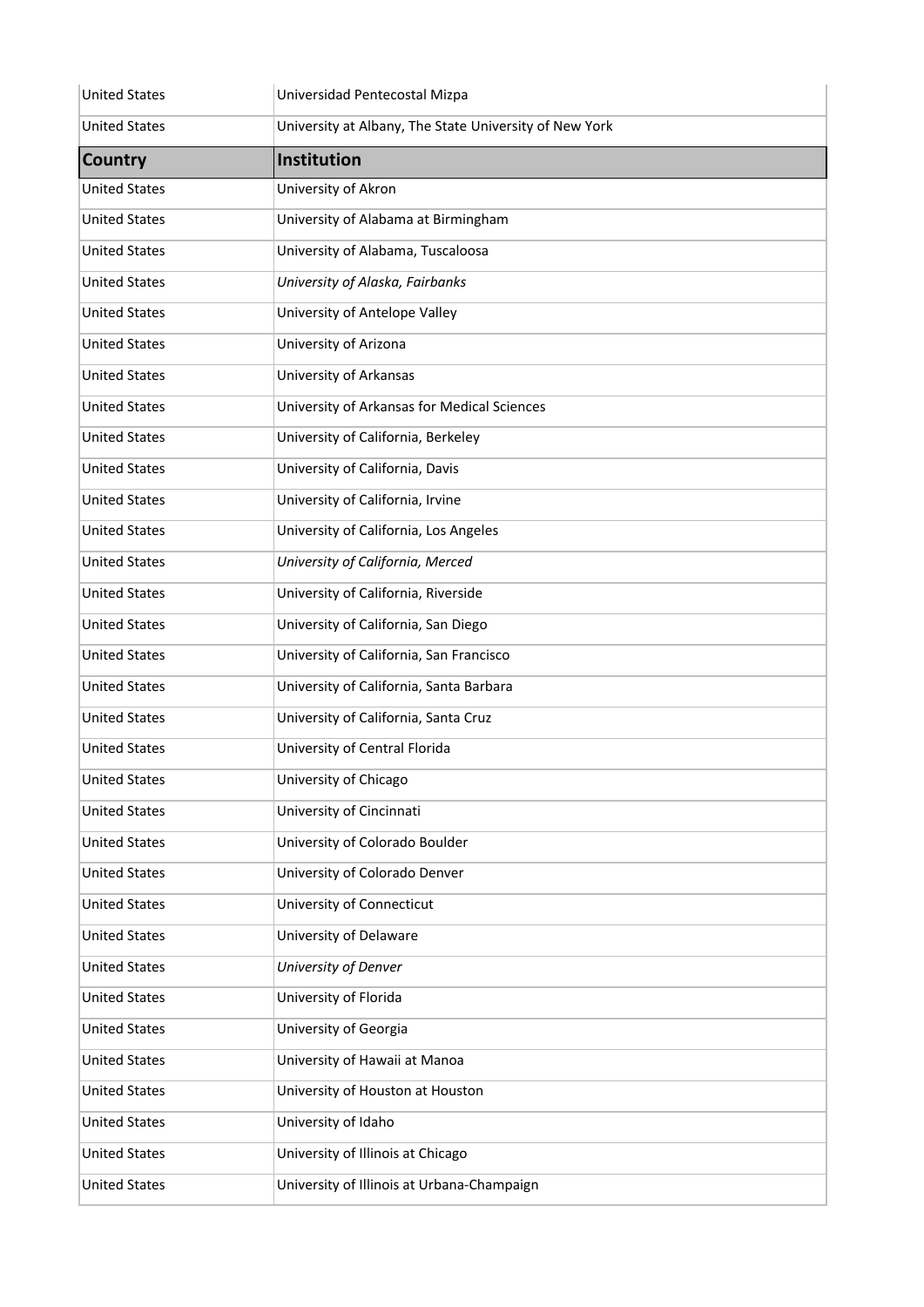| <b>United States</b> | Universidad Pentecostal Mizpa                          |
|----------------------|--------------------------------------------------------|
| <b>United States</b> | University at Albany, The State University of New York |
| <b>Country</b>       | Institution                                            |
| <b>United States</b> | University of Akron                                    |
| <b>United States</b> | University of Alabama at Birmingham                    |
| <b>United States</b> | University of Alabama, Tuscaloosa                      |
| <b>United States</b> | University of Alaska, Fairbanks                        |
| <b>United States</b> | University of Antelope Valley                          |
| <b>United States</b> | University of Arizona                                  |
| <b>United States</b> | University of Arkansas                                 |
| <b>United States</b> | University of Arkansas for Medical Sciences            |
| <b>United States</b> | University of California, Berkeley                     |
| <b>United States</b> | University of California, Davis                        |
| <b>United States</b> | University of California, Irvine                       |
| <b>United States</b> | University of California, Los Angeles                  |
| <b>United States</b> | University of California, Merced                       |
| <b>United States</b> | University of California, Riverside                    |
| <b>United States</b> | University of California, San Diego                    |
| <b>United States</b> | University of California, San Francisco                |
| <b>United States</b> | University of California, Santa Barbara                |
| <b>United States</b> | University of California, Santa Cruz                   |
| <b>United States</b> | University of Central Florida                          |
| <b>United States</b> | University of Chicago                                  |
| <b>United States</b> | University of Cincinnati                               |
| <b>United States</b> | University of Colorado Boulder                         |
| <b>United States</b> | University of Colorado Denver                          |
| <b>United States</b> | University of Connecticut                              |
| <b>United States</b> | University of Delaware                                 |
| <b>United States</b> | University of Denver                                   |
| <b>United States</b> | University of Florida                                  |
| <b>United States</b> | University of Georgia                                  |
| <b>United States</b> | University of Hawaii at Manoa                          |
| <b>United States</b> | University of Houston at Houston                       |
| <b>United States</b> | University of Idaho                                    |
| <b>United States</b> | University of Illinois at Chicago                      |
| <b>United States</b> | University of Illinois at Urbana-Champaign             |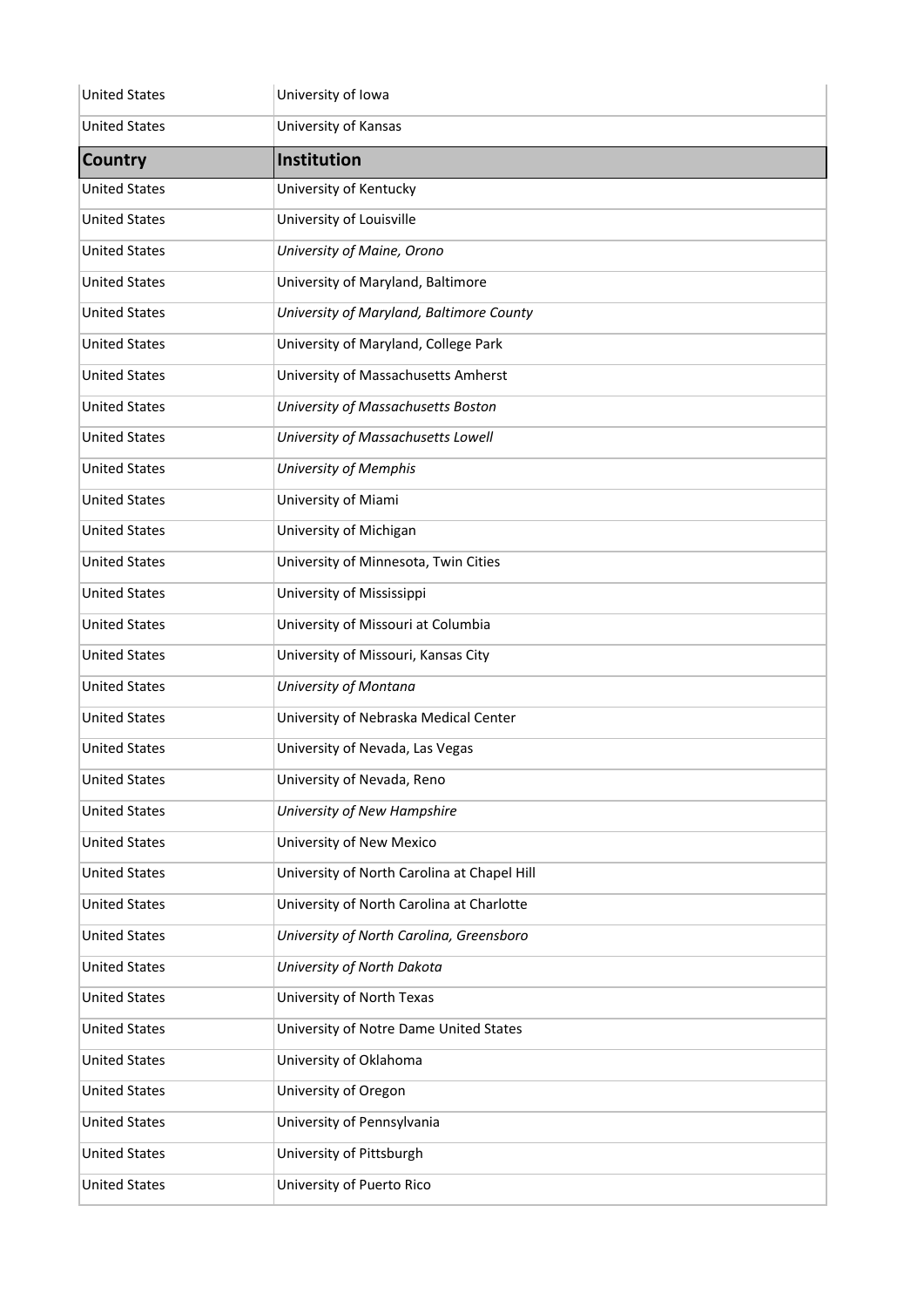| <b>United States</b> | University of Iowa                          |
|----------------------|---------------------------------------------|
| <b>United States</b> | University of Kansas                        |
| <b>Country</b>       | <b>Institution</b>                          |
| <b>United States</b> | University of Kentucky                      |
| <b>United States</b> | University of Louisville                    |
| <b>United States</b> | University of Maine, Orono                  |
| <b>United States</b> | University of Maryland, Baltimore           |
| <b>United States</b> | University of Maryland, Baltimore County    |
| <b>United States</b> | University of Maryland, College Park        |
| <b>United States</b> | University of Massachusetts Amherst         |
| <b>United States</b> | University of Massachusetts Boston          |
| <b>United States</b> | University of Massachusetts Lowell          |
| <b>United States</b> | <b>University of Memphis</b>                |
| <b>United States</b> | University of Miami                         |
| <b>United States</b> | University of Michigan                      |
| <b>United States</b> | University of Minnesota, Twin Cities        |
| <b>United States</b> | University of Mississippi                   |
| <b>United States</b> | University of Missouri at Columbia          |
| <b>United States</b> | University of Missouri, Kansas City         |
| <b>United States</b> | University of Montana                       |
| <b>United States</b> | University of Nebraska Medical Center       |
| <b>United States</b> | University of Nevada, Las Vegas             |
| <b>United States</b> | University of Nevada, Reno                  |
| <b>United States</b> | University of New Hampshire                 |
| <b>United States</b> | University of New Mexico                    |
| <b>United States</b> | University of North Carolina at Chapel Hill |
| <b>United States</b> | University of North Carolina at Charlotte   |
| <b>United States</b> | University of North Carolina, Greensboro    |
| <b>United States</b> | University of North Dakota                  |
| <b>United States</b> | University of North Texas                   |
| <b>United States</b> | University of Notre Dame United States      |
| <b>United States</b> | University of Oklahoma                      |
| <b>United States</b> | University of Oregon                        |
| <b>United States</b> | University of Pennsylvania                  |
| <b>United States</b> | University of Pittsburgh                    |
| <b>United States</b> | University of Puerto Rico                   |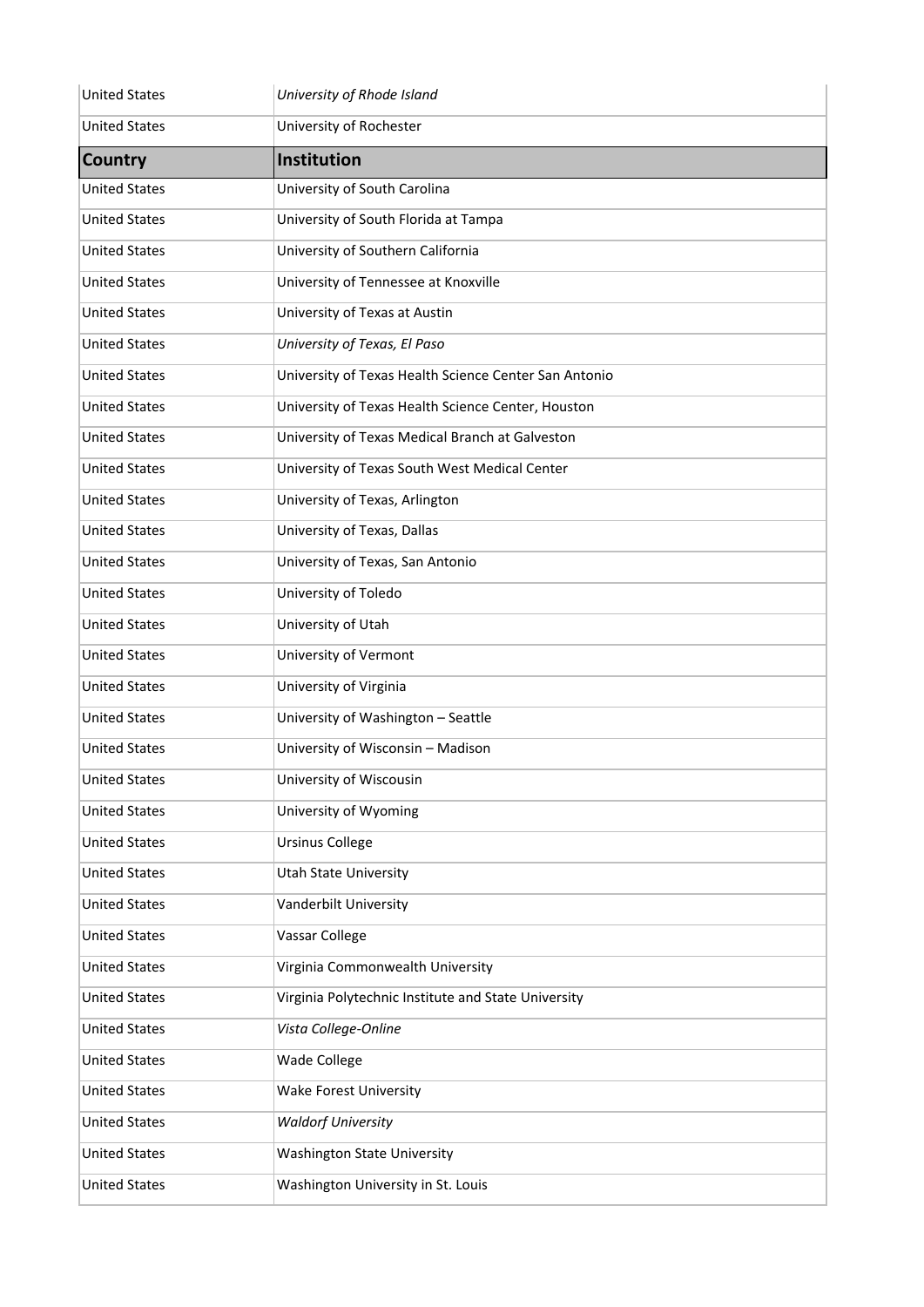| <b>United States</b> | University of Rhode Island                            |
|----------------------|-------------------------------------------------------|
| <b>United States</b> | University of Rochester                               |
| <b>Country</b>       | <b>Institution</b>                                    |
| <b>United States</b> | University of South Carolina                          |
| <b>United States</b> | University of South Florida at Tampa                  |
| <b>United States</b> | University of Southern California                     |
| <b>United States</b> | University of Tennessee at Knoxville                  |
| <b>United States</b> | University of Texas at Austin                         |
| <b>United States</b> | University of Texas, El Paso                          |
| <b>United States</b> | University of Texas Health Science Center San Antonio |
| <b>United States</b> | University of Texas Health Science Center, Houston    |
| <b>United States</b> | University of Texas Medical Branch at Galveston       |
| <b>United States</b> | University of Texas South West Medical Center         |
| <b>United States</b> | University of Texas, Arlington                        |
| <b>United States</b> | University of Texas, Dallas                           |
| <b>United States</b> | University of Texas, San Antonio                      |
| <b>United States</b> | University of Toledo                                  |
| <b>United States</b> | University of Utah                                    |
| <b>United States</b> | University of Vermont                                 |
| <b>United States</b> | University of Virginia                                |
| <b>United States</b> | University of Washington - Seattle                    |
| <b>United States</b> | University of Wisconsin - Madison                     |
| <b>United States</b> | University of Wiscousin                               |
| <b>United States</b> | University of Wyoming                                 |
| <b>United States</b> | <b>Ursinus College</b>                                |
| <b>United States</b> | <b>Utah State University</b>                          |
| <b>United States</b> | Vanderbilt University                                 |
| <b>United States</b> | Vassar College                                        |
| <b>United States</b> | Virginia Commonwealth University                      |
| <b>United States</b> | Virginia Polytechnic Institute and State University   |
| <b>United States</b> | Vista College-Online                                  |
| <b>United States</b> | Wade College                                          |
| <b>United States</b> | <b>Wake Forest University</b>                         |
| <b>United States</b> | <b>Waldorf University</b>                             |
| <b>United States</b> | <b>Washington State University</b>                    |
| <b>United States</b> | Washington University in St. Louis                    |